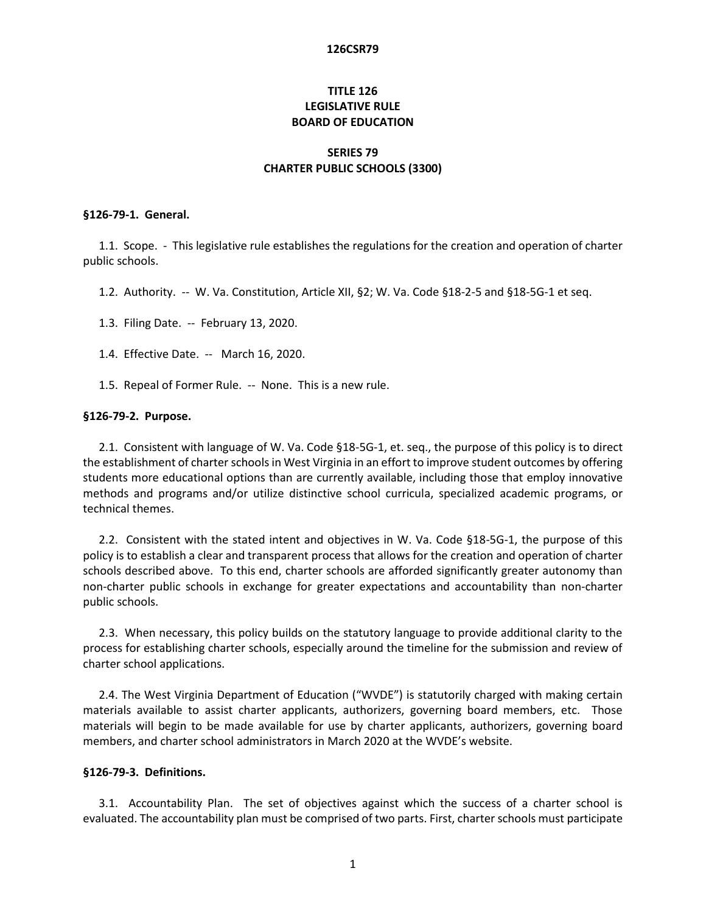# **TITLE 126 LEGISLATIVE RULE BOARD OF EDUCATION**

# **SERIES 79 CHARTER PUBLIC SCHOOLS (3300)**

#### **§126-79-1. General.**

1.1. Scope. - This legislative rule establishes the regulations for the creation and operation of charter public schools.

- 1.2. Authority. -- W. Va. Constitution, Article XII, §2; W. Va. Code §18-2-5 and §18-5G-1 et seq.
- 1.3. Filing Date. -- February 13, 2020.
- 1.4. Effective Date. -- March 16, 2020.
- 1.5. Repeal of Former Rule. -- None. This is a new rule.

#### **§126-79-2. Purpose.**

2.1. Consistent with language of W. Va. Code §18-5G-1, et. seq., the purpose of this policy is to direct the establishment of charter schools in West Virginia in an effort to improve student outcomes by offering students more educational options than are currently available, including those that employ innovative methods and programs and/or utilize distinctive school curricula, specialized academic programs, or technical themes.

2.2. Consistent with the stated intent and objectives in W. Va. Code §18-5G-1, the purpose of this policy is to establish a clear and transparent process that allows for the creation and operation of charter schools described above. To this end, charter schools are afforded significantly greater autonomy than non-charter public schools in exchange for greater expectations and accountability than non-charter public schools.

2.3. When necessary, this policy builds on the statutory language to provide additional clarity to the process for establishing charter schools, especially around the timeline for the submission and review of charter school applications.

2.4. The West Virginia Department of Education ("WVDE") is statutorily charged with making certain materials available to assist charter applicants, authorizers, governing board members, etc. Those materials will begin to be made available for use by charter applicants, authorizers, governing board members, and charter school administrators in March 2020 at the WVDE's website.

### **§126-79-3. Definitions.**

3.1. Accountability Plan. The set of objectives against which the success of a charter school is evaluated. The accountability plan must be comprised of two parts. First, charter schools must participate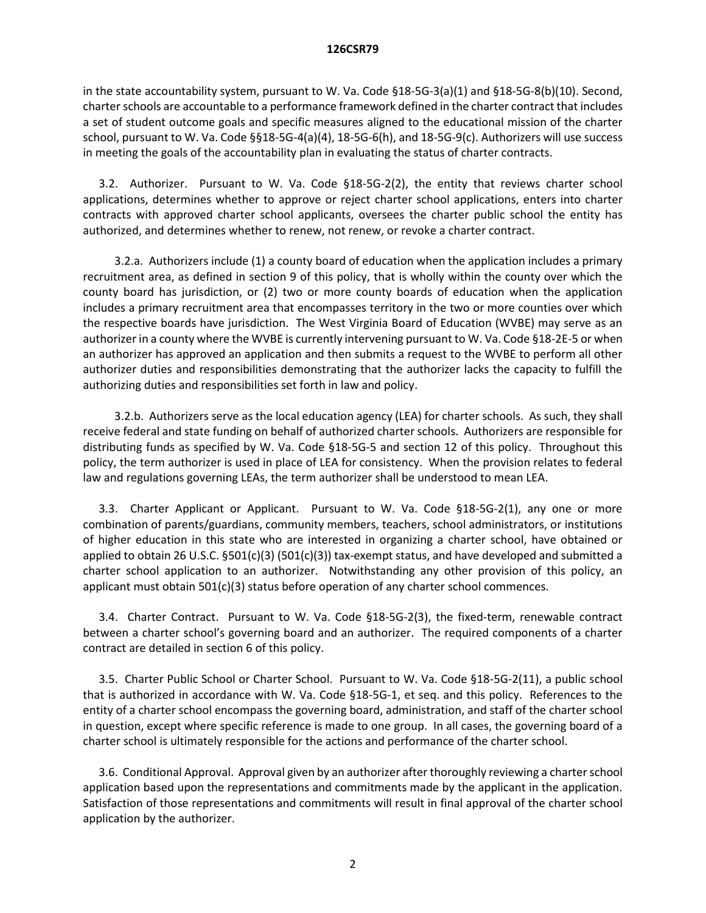in the state accountability system, pursuant to W. Va. Code §18-5G-3(a)(1) and §18-5G-8(b)(10). Second, charter schools are accountable to a performance framework defined in the charter contract that includes a set of student outcome goals and specific measures aligned to the educational mission of the charter school, pursuant to W. Va. Code §§18-5G-4(a)(4), 18-5G-6(h), and 18-5G-9(c). Authorizers will use success in meeting the goals of the accountability plan in evaluating the status of charter contracts.

3.2. Authorizer. Pursuant to W. Va. Code §18-5G-2(2), the entity that reviews charter school applications, determines whether to approve or reject charter school applications, enters into charter contracts with approved charter school applicants, oversees the charter public school the entity has authorized, and determines whether to renew, not renew, or revoke a charter contract.

3.2.a. Authorizers include (1) a county board of education when the application includes a primary recruitment area, as defined in section 9 of this policy, that is wholly within the county over which the county board has jurisdiction, or (2) two or more county boards of education when the application includes a primary recruitment area that encompasses territory in the two or more counties over which the respective boards have jurisdiction. The West Virginia Board of Education (WVBE) may serve as an authorizer in a county where the WVBE is currently intervening pursuant to W. Va. Code §18-2E-5 or when an authorizer has approved an application and then submits a request to the WVBE to perform all other authorizer duties and responsibilities demonstrating that the authorizer lacks the capacity to fulfill the authorizing duties and responsibilities set forth in law and policy.

3.2.b. Authorizers serve as the local education agency (LEA) for charter schools. As such, they shall receive federal and state funding on behalf of authorized charter schools. Authorizers are responsible for distributing funds as specified by W. Va. Code §18-5G-5 and section 12 of this policy. Throughout this policy, the term authorizer is used in place of LEA for consistency. When the provision relates to federal law and regulations governing LEAs, the term authorizer shall be understood to mean LEA.

3.3. Charter Applicant or Applicant. Pursuant to W. Va. Code §18-5G-2(1), any one or more combination of parents/guardians, community members, teachers, school administrators, or institutions of higher education in this state who are interested in organizing a charter school, have obtained or applied to obtain 26 U.S.C. §501(c)(3) (501(c)(3)) tax-exempt status, and have developed and submitted a charter school application to an authorizer. Notwithstanding any other provision of this policy, an applicant must obtain  $501(c)(3)$  status before operation of any charter school commences.

3.4. Charter Contract. Pursuant to W. Va. Code §18-5G-2(3), the fixed-term, renewable contract between a charter school's governing board and an authorizer. The required components of a charter contract are detailed in section 6 of this policy.

3.5. Charter Public School or Charter School. Pursuant to W. Va. Code §18-5G-2(11), a public school that is authorized in accordance with W. Va. Code §18-5G-1, et seq. and this policy. References to the entity of a charter school encompass the governing board, administration, and staff of the charter school in question, except where specific reference is made to one group. In all cases, the governing board of a charter school is ultimately responsible for the actions and performance of the charter school.

3.6. Conditional Approval. Approval given by an authorizer after thoroughly reviewing a charter school application based upon the representations and commitments made by the applicant in the application. Satisfaction of those representations and commitments will result in final approval of the charter school application by the authorizer.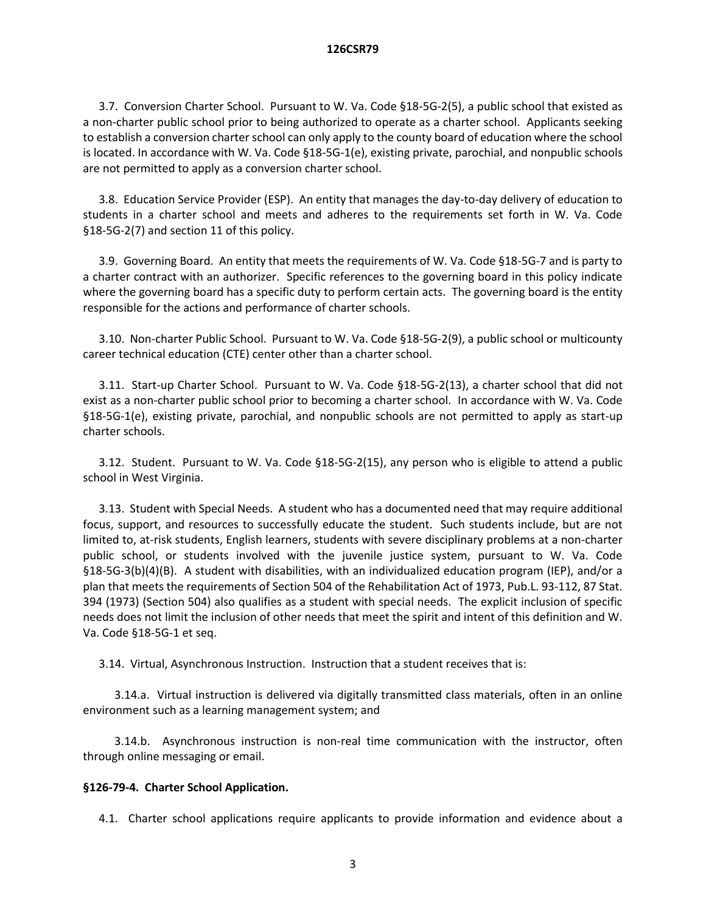3.7. Conversion Charter School. Pursuant to W. Va. Code §18-5G-2(5), a public school that existed as a non-charter public school prior to being authorized to operate as a charter school. Applicants seeking to establish a conversion charter school can only apply to the county board of education where the school is located. In accordance with W. Va. Code §18-5G-1(e), existing private, parochial, and nonpublic schools are not permitted to apply as a conversion charter school.

3.8. Education Service Provider (ESP). An entity that manages the day-to-day delivery of education to students in a charter school and meets and adheres to the requirements set forth in W. Va. Code §18-5G-2(7) and section 11 of this policy.

3.9. Governing Board. An entity that meets the requirements of W. Va. Code §18-5G-7 and is party to a charter contract with an authorizer. Specific references to the governing board in this policy indicate where the governing board has a specific duty to perform certain acts. The governing board is the entity responsible for the actions and performance of charter schools.

3.10. Non-charter Public School. Pursuant to W. Va. Code §18-5G-2(9), a public school or multicounty career technical education (CTE) center other than a charter school.

3.11. Start-up Charter School. Pursuant to W. Va. Code §18-5G-2(13), a charter school that did not exist as a non-charter public school prior to becoming a charter school. In accordance with W. Va. Code §18-5G-1(e), existing private, parochial, and nonpublic schools are not permitted to apply as start-up charter schools.

3.12. Student. Pursuant to W. Va. Code §18-5G-2(15), any person who is eligible to attend a public school in West Virginia.

3.13. Student with Special Needs. A student who has a documented need that may require additional focus, support, and resources to successfully educate the student. Such students include, but are not limited to, at-risk students, English learners, students with severe disciplinary problems at a non-charter public school, or students involved with the juvenile justice system, pursuant to W. Va. Code §18-5G-3(b)(4)(B). A student with disabilities, with an individualized education program (IEP), and/or a plan that meets the requirements of Section 504 of the Rehabilitation Act of 1973, Pub.L. 93-112, 87 Stat. 394 (1973) (Section 504) also qualifies as a student with special needs. The explicit inclusion of specific needs does not limit the inclusion of other needs that meet the spirit and intent of this definition and W. Va. Code §18-5G-1 et seq.

3.14. Virtual, Asynchronous Instruction. Instruction that a student receives that is:

3.14.a. Virtual instruction is delivered via digitally transmitted class materials, often in an online environment such as a learning management system; and

3.14.b. Asynchronous instruction is non-real time communication with the instructor, often through online messaging or email.

# **§126-79-4. Charter School Application.**

4.1. Charter school applications require applicants to provide information and evidence about a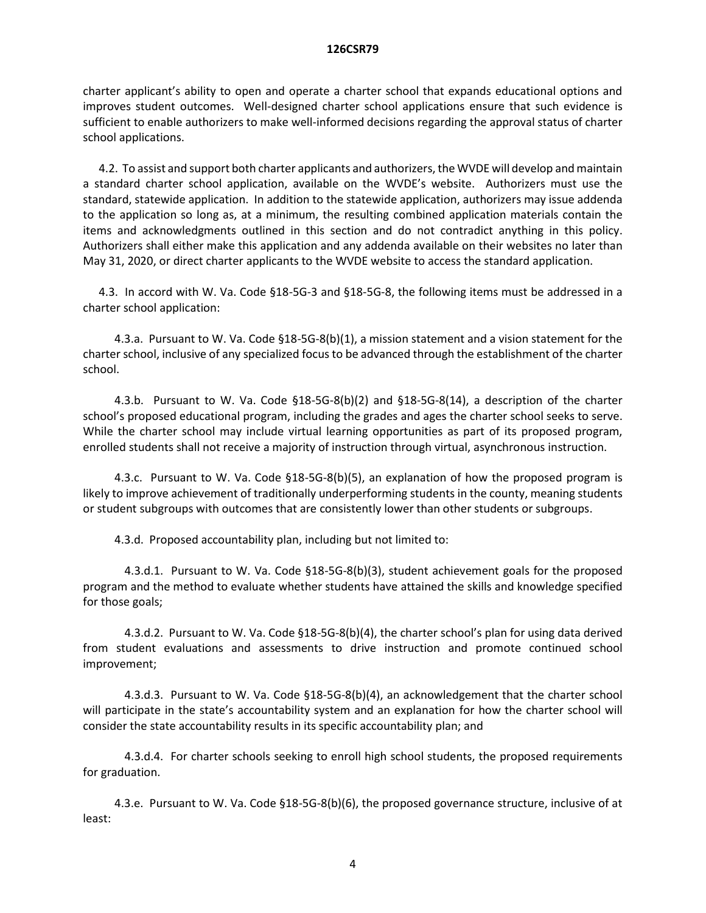charter applicant's ability to open and operate a charter school that expands educational options and improves student outcomes. Well-designed charter school applications ensure that such evidence is sufficient to enable authorizers to make well-informed decisions regarding the approval status of charter school applications.

4.2. To assist and support both charter applicants and authorizers, the WVDE will develop and maintain a standard charter school application, available on the WVDE's website. Authorizers must use the standard, statewide application. In addition to the statewide application, authorizers may issue addenda to the application so long as, at a minimum, the resulting combined application materials contain the items and acknowledgments outlined in this section and do not contradict anything in this policy. Authorizers shall either make this application and any addenda available on their websites no later than May 31, 2020, or direct charter applicants to the WVDE website to access the standard application.

4.3. In accord with W. Va. Code §18-5G-3 and §18-5G-8, the following items must be addressed in a charter school application:

4.3.a. Pursuant to W. Va. Code §18-5G-8(b)(1), a mission statement and a vision statement for the charter school, inclusive of any specialized focus to be advanced through the establishment of the charter school.

4.3.b. Pursuant to W. Va. Code §18-5G-8(b)(2) and §18-5G-8(14), a description of the charter school's proposed educational program, including the grades and ages the charter school seeks to serve. While the charter school may include virtual learning opportunities as part of its proposed program, enrolled students shall not receive a majority of instruction through virtual, asynchronous instruction.

4.3.c. Pursuant to W. Va. Code §18-5G-8(b)(5), an explanation of how the proposed program is likely to improve achievement of traditionally underperforming students in the county, meaning students or student subgroups with outcomes that are consistently lower than other students or subgroups.

4.3.d. Proposed accountability plan, including but not limited to:

4.3.d.1. Pursuant to W. Va. Code §18-5G-8(b)(3), student achievement goals for the proposed program and the method to evaluate whether students have attained the skills and knowledge specified for those goals;

4.3.d.2. Pursuant to W. Va. Code §18-5G-8(b)(4), the charter school's plan for using data derived from student evaluations and assessments to drive instruction and promote continued school improvement;

4.3.d.3. Pursuant to W. Va. Code §18-5G-8(b)(4), an acknowledgement that the charter school will participate in the state's accountability system and an explanation for how the charter school will consider the state accountability results in its specific accountability plan; and

4.3.d.4. For charter schools seeking to enroll high school students, the proposed requirements for graduation.

4.3.e. Pursuant to W. Va. Code §18-5G-8(b)(6), the proposed governance structure, inclusive of at least:

4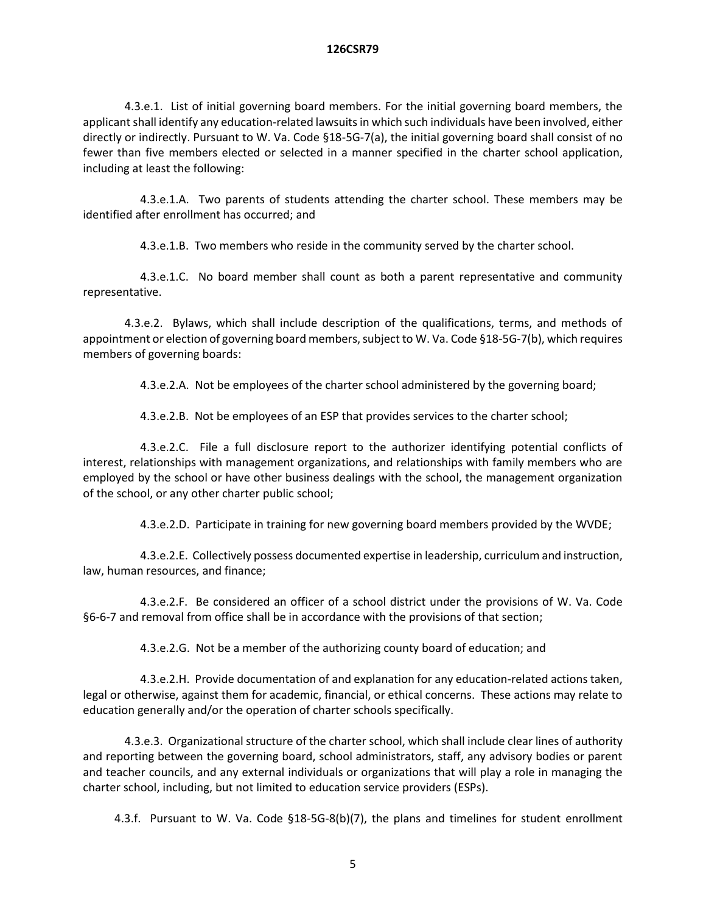4.3.e.1. List of initial governing board members. For the initial governing board members, the applicant shall identify any education-related lawsuits in which such individuals have been involved, either directly or indirectly. Pursuant to W. Va. Code §18-5G-7(a), the initial governing board shall consist of no fewer than five members elected or selected in a manner specified in the charter school application, including at least the following:

4.3.e.1.A. Two parents of students attending the charter school. These members may be identified after enrollment has occurred; and

4.3.e.1.B. Two members who reside in the community served by the charter school.

4.3.e.1.C. No board member shall count as both a parent representative and community representative.

4.3.e.2. Bylaws, which shall include description of the qualifications, terms, and methods of appointment or election of governing board members, subject to W. Va. Code §18-5G-7(b), which requires members of governing boards:

4.3.e.2.A. Not be employees of the charter school administered by the governing board;

4.3.e.2.B. Not be employees of an ESP that provides services to the charter school;

4.3.e.2.C. File a full disclosure report to the authorizer identifying potential conflicts of interest, relationships with management organizations, and relationships with family members who are employed by the school or have other business dealings with the school, the management organization of the school, or any other charter public school;

4.3.e.2.D. Participate in training for new governing board members provided by the WVDE;

4.3.e.2.E. Collectively possess documented expertise in leadership, curriculum and instruction, law, human resources, and finance;

4.3.e.2.F. Be considered an officer of a school district under the provisions of W. Va. Code §6-6-7 and removal from office shall be in accordance with the provisions of that section;

4.3.e.2.G. Not be a member of the authorizing county board of education; and

4.3.e.2.H. Provide documentation of and explanation for any education-related actions taken, legal or otherwise, against them for academic, financial, or ethical concerns. These actions may relate to education generally and/or the operation of charter schools specifically.

4.3.e.3. Organizational structure of the charter school, which shall include clear lines of authority and reporting between the governing board, school administrators, staff, any advisory bodies or parent and teacher councils, and any external individuals or organizations that will play a role in managing the charter school, including, but not limited to education service providers (ESPs).

4.3.f. Pursuant to W. Va. Code §18-5G-8(b)(7), the plans and timelines for student enrollment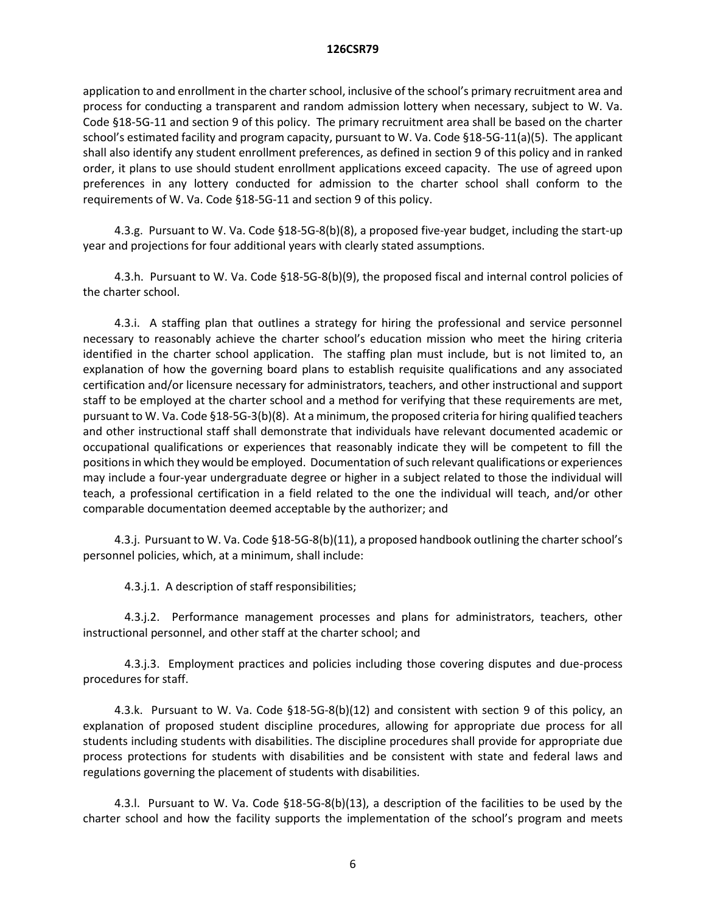application to and enrollment in the charter school, inclusive of the school's primary recruitment area and process for conducting a transparent and random admission lottery when necessary, subject to W. Va. Code §18-5G-11 and section 9 of this policy. The primary recruitment area shall be based on the charter school's estimated facility and program capacity, pursuant to W. Va. Code §18-5G-11(a)(5). The applicant shall also identify any student enrollment preferences, as defined in section 9 of this policy and in ranked order, it plans to use should student enrollment applications exceed capacity. The use of agreed upon preferences in any lottery conducted for admission to the charter school shall conform to the requirements of W. Va. Code §18-5G-11 and section 9 of this policy.

4.3.g. Pursuant to W. Va. Code §18-5G-8(b)(8), a proposed five-year budget, including the start-up year and projections for four additional years with clearly stated assumptions.

4.3.h. Pursuant to W. Va. Code §18-5G-8(b)(9), the proposed fiscal and internal control policies of the charter school.

4.3.i. A staffing plan that outlines a strategy for hiring the professional and service personnel necessary to reasonably achieve the charter school's education mission who meet the hiring criteria identified in the charter school application. The staffing plan must include, but is not limited to, an explanation of how the governing board plans to establish requisite qualifications and any associated certification and/or licensure necessary for administrators, teachers, and other instructional and support staff to be employed at the charter school and a method for verifying that these requirements are met, pursuant to W. Va. Code §18-5G-3(b)(8). At a minimum, the proposed criteria for hiring qualified teachers and other instructional staff shall demonstrate that individuals have relevant documented academic or occupational qualifications or experiences that reasonably indicate they will be competent to fill the positionsin which they would be employed. Documentation of such relevant qualifications or experiences may include a four-year undergraduate degree or higher in a subject related to those the individual will teach, a professional certification in a field related to the one the individual will teach, and/or other comparable documentation deemed acceptable by the authorizer; and

4.3.j. Pursuant to W. Va. Code §18-5G-8(b)(11), a proposed handbook outlining the charter school's personnel policies, which, at a minimum, shall include:

4.3.j.1. A description of staff responsibilities;

4.3.j.2. Performance management processes and plans for administrators, teachers, other instructional personnel, and other staff at the charter school; and

4.3.j.3. Employment practices and policies including those covering disputes and due-process procedures for staff.

4.3.k. Pursuant to W. Va. Code §18-5G-8(b)(12) and consistent with section 9 of this policy, an explanation of proposed student discipline procedures, allowing for appropriate due process for all students including students with disabilities. The discipline procedures shall provide for appropriate due process protections for students with disabilities and be consistent with state and federal laws and regulations governing the placement of students with disabilities.

4.3.l. Pursuant to W. Va. Code §18-5G-8(b)(13), a description of the facilities to be used by the charter school and how the facility supports the implementation of the school's program and meets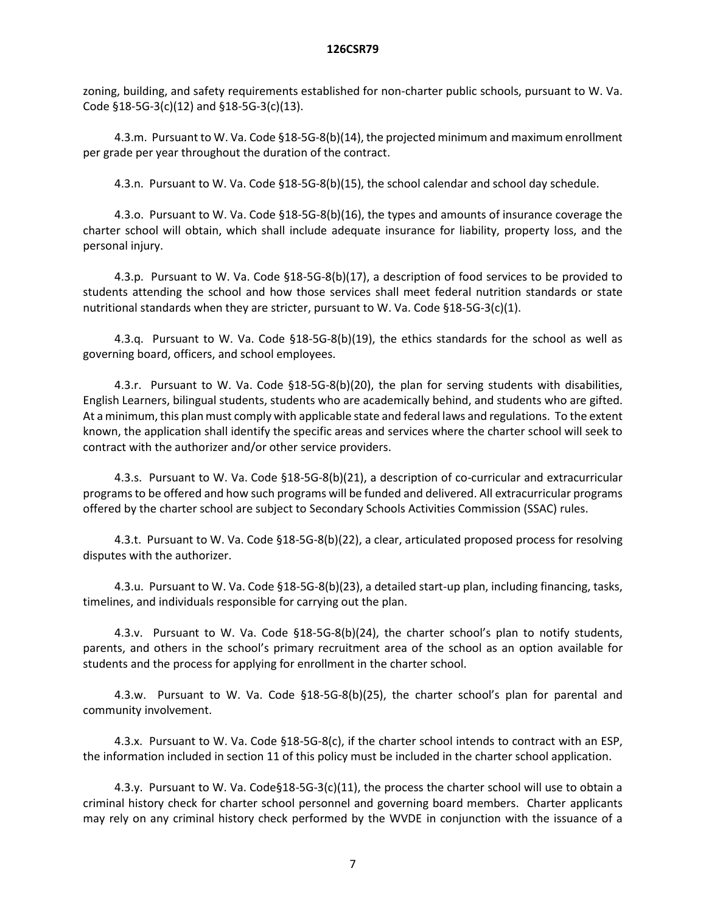zoning, building, and safety requirements established for non-charter public schools, pursuant to W. Va. Code §18-5G-3(c)(12) and §18-5G-3(c)(13).

4.3.m. Pursuant to W. Va. Code §18-5G-8(b)(14), the projected minimum and maximum enrollment per grade per year throughout the duration of the contract.

4.3.n. Pursuant to W. Va. Code §18-5G-8(b)(15), the school calendar and school day schedule.

4.3.o. Pursuant to W. Va. Code §18-5G-8(b)(16), the types and amounts of insurance coverage the charter school will obtain, which shall include adequate insurance for liability, property loss, and the personal injury.

4.3.p. Pursuant to W. Va. Code §18-5G-8(b)(17), a description of food services to be provided to students attending the school and how those services shall meet federal nutrition standards or state nutritional standards when they are stricter, pursuant to W. Va. Code §18-5G-3(c)(1).

4.3.q. Pursuant to W. Va. Code §18-5G-8(b)(19), the ethics standards for the school as well as governing board, officers, and school employees.

4.3.r. Pursuant to W. Va. Code §18-5G-8(b)(20), the plan for serving students with disabilities, English Learners, bilingual students, students who are academically behind, and students who are gifted. At a minimum, this plan must comply with applicable state and federal laws and regulations. To the extent known, the application shall identify the specific areas and services where the charter school will seek to contract with the authorizer and/or other service providers.

4.3.s. Pursuant to W. Va. Code §18-5G-8(b)(21), a description of co-curricular and extracurricular programs to be offered and how such programs will be funded and delivered. All extracurricular programs offered by the charter school are subject to Secondary Schools Activities Commission (SSAC) rules.

4.3.t. Pursuant to W. Va. Code §18-5G-8(b)(22), a clear, articulated proposed process for resolving disputes with the authorizer.

4.3.u. Pursuant to W. Va. Code §18-5G-8(b)(23), a detailed start-up plan, including financing, tasks, timelines, and individuals responsible for carrying out the plan.

4.3.v. Pursuant to W. Va. Code §18-5G-8(b)(24), the charter school's plan to notify students, parents, and others in the school's primary recruitment area of the school as an option available for students and the process for applying for enrollment in the charter school.

4.3.w. Pursuant to W. Va. Code §18-5G-8(b)(25), the charter school's plan for parental and community involvement.

4.3.x. Pursuant to W. Va. Code §18-5G-8(c), if the charter school intends to contract with an ESP, the information included in section 11 of this policy must be included in the charter school application.

4.3.y. Pursuant to W. Va. Code§18-5G-3(c)(11), the process the charter school will use to obtain a criminal history check for charter school personnel and governing board members. Charter applicants may rely on any criminal history check performed by the WVDE in conjunction with the issuance of a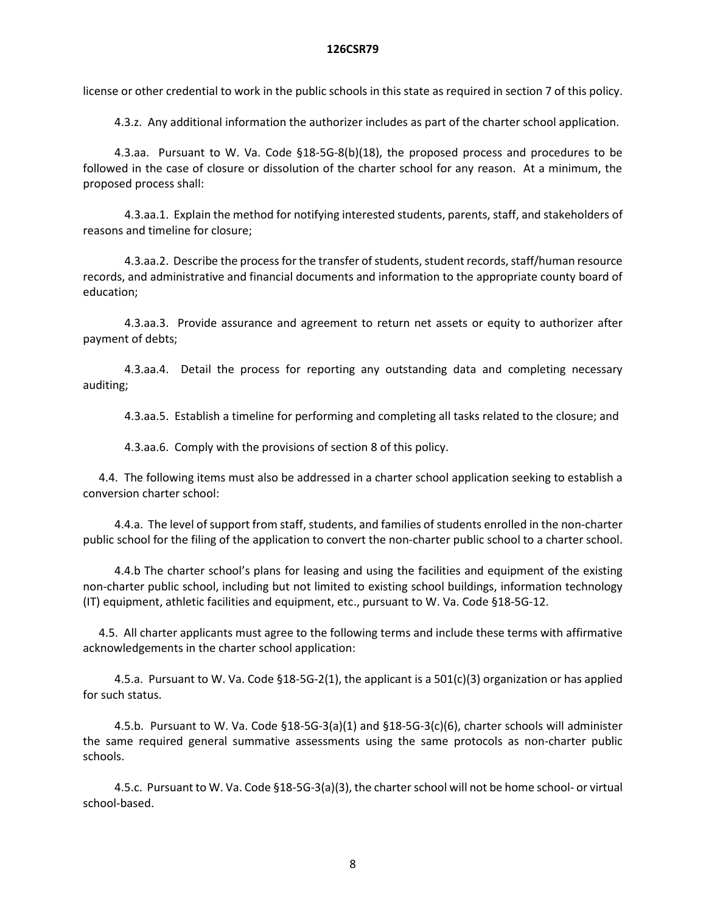license or other credential to work in the public schools in this state as required in section 7 of this policy.

4.3.z. Any additional information the authorizer includes as part of the charter school application.

4.3.aa. Pursuant to W. Va. Code §18-5G-8(b)(18), the proposed process and procedures to be followed in the case of closure or dissolution of the charter school for any reason. At a minimum, the proposed process shall:

4.3.aa.1. Explain the method for notifying interested students, parents, staff, and stakeholders of reasons and timeline for closure;

4.3.aa.2. Describe the process for the transfer of students, student records, staff/human resource records, and administrative and financial documents and information to the appropriate county board of education;

4.3.aa.3. Provide assurance and agreement to return net assets or equity to authorizer after payment of debts;

4.3.aa.4. Detail the process for reporting any outstanding data and completing necessary auditing;

4.3.aa.5. Establish a timeline for performing and completing all tasks related to the closure; and

4.3.aa.6. Comply with the provisions of section 8 of this policy.

4.4. The following items must also be addressed in a charter school application seeking to establish a conversion charter school:

4.4.a. The level of support from staff, students, and families of students enrolled in the non-charter public school for the filing of the application to convert the non-charter public school to a charter school.

4.4.b The charter school's plans for leasing and using the facilities and equipment of the existing non-charter public school, including but not limited to existing school buildings, information technology (IT) equipment, athletic facilities and equipment, etc., pursuant to W. Va. Code §18-5G-12.

4.5. All charter applicants must agree to the following terms and include these terms with affirmative acknowledgements in the charter school application:

4.5.a. Pursuant to W. Va. Code §18-5G-2(1), the applicant is a 501(c)(3) organization or has applied for such status.

4.5.b. Pursuant to W. Va. Code §18-5G-3(a)(1) and §18-5G-3(c)(6), charter schools will administer the same required general summative assessments using the same protocols as non-charter public schools.

4.5.c. Pursuant to W. Va. Code §18-5G-3(a)(3), the charter school will not be home school- or virtual school-based.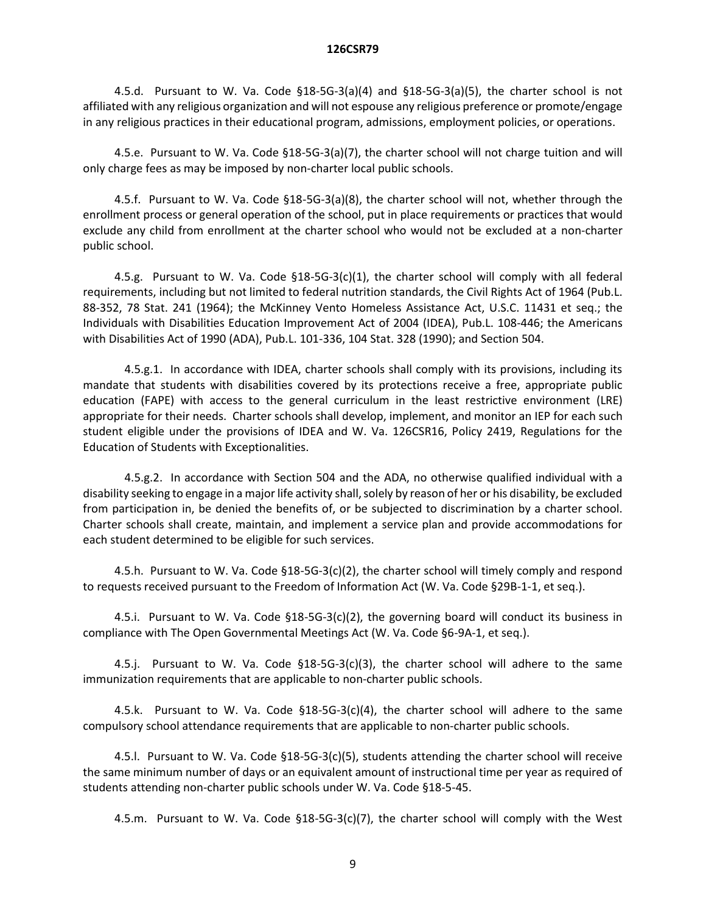4.5.d. Pursuant to W. Va. Code  $\S$ 18-5G-3(a)(4) and  $\S$ 18-5G-3(a)(5), the charter school is not affiliated with any religious organization and will not espouse any religious preference or promote/engage in any religious practices in their educational program, admissions, employment policies, or operations.

4.5.e. Pursuant to W. Va. Code §18-5G-3(a)(7), the charter school will not charge tuition and will only charge fees as may be imposed by non-charter local public schools.

4.5.f. Pursuant to W. Va. Code §18-5G-3(a)(8), the charter school will not, whether through the enrollment process or general operation of the school, put in place requirements or practices that would exclude any child from enrollment at the charter school who would not be excluded at a non-charter public school.

4.5.g. Pursuant to W. Va. Code  $\S$ 18-5G-3(c)(1), the charter school will comply with all federal requirements, including but not limited to federal nutrition standards, the Civil Rights Act of 1964 (Pub.L. 88-352, 78 Stat. 241 (1964); the McKinney Vento Homeless Assistance Act, U.S.C. 11431 et seq.; the Individuals with Disabilities Education Improvement Act of 2004 (IDEA), Pub.L. 108-446; the Americans with Disabilities Act of 1990 (ADA), Pub.L. 101-336, 104 Stat. 328 (1990); and Section 504.

4.5.g.1. In accordance with IDEA, charter schools shall comply with its provisions, including its mandate that students with disabilities covered by its protections receive a free, appropriate public education (FAPE) with access to the general curriculum in the least restrictive environment (LRE) appropriate for their needs. Charter schools shall develop, implement, and monitor an IEP for each such student eligible under the provisions of IDEA and W. Va. 126CSR16, Policy 2419, Regulations for the Education of Students with Exceptionalities.

4.5.g.2. In accordance with Section 504 and the ADA, no otherwise qualified individual with a disability seeking to engage in a major life activity shall, solely by reason of her or his disability, be excluded from participation in, be denied the benefits of, or be subjected to discrimination by a charter school. Charter schools shall create, maintain, and implement a service plan and provide accommodations for each student determined to be eligible for such services.

4.5.h. Pursuant to W. Va. Code §18-5G-3(c)(2), the charter school will timely comply and respond to requests received pursuant to the Freedom of Information Act (W. Va. Code §29B-1-1, et seq.).

4.5.i. Pursuant to W. Va. Code §18-5G-3(c)(2), the governing board will conduct its business in compliance with The Open Governmental Meetings Act (W. Va. Code §6-9A-1, et seq.).

4.5.j. Pursuant to W. Va. Code §18-5G-3(c)(3), the charter school will adhere to the same immunization requirements that are applicable to non-charter public schools.

4.5.k. Pursuant to W. Va. Code §18-5G-3(c)(4), the charter school will adhere to the same compulsory school attendance requirements that are applicable to non-charter public schools.

4.5.l. Pursuant to W. Va. Code §18-5G-3(c)(5), students attending the charter school will receive the same minimum number of days or an equivalent amount of instructional time per year as required of students attending non-charter public schools under W. Va. Code §18-5-45.

4.5.m. Pursuant to W. Va. Code §18-5G-3(c)(7), the charter school will comply with the West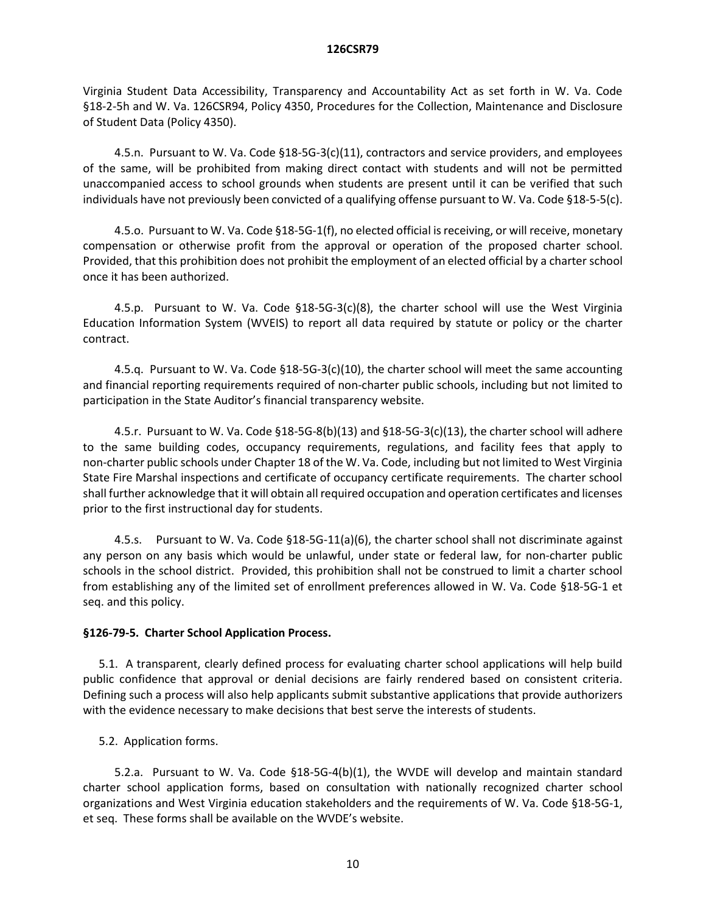Virginia Student Data Accessibility, Transparency and Accountability Act as set forth in W. Va. Code §18-2-5h and W. Va. 126CSR94, Policy 4350, Procedures for the Collection, Maintenance and Disclosure of Student Data (Policy 4350).

4.5.n. Pursuant to W. Va. Code §18-5G-3(c)(11), contractors and service providers, and employees of the same, will be prohibited from making direct contact with students and will not be permitted unaccompanied access to school grounds when students are present until it can be verified that such individuals have not previously been convicted of a qualifying offense pursuant to W. Va. Code §18-5-5(c).

4.5.o. Pursuant to W. Va. Code §18-5G-1(f), no elected official is receiving, or will receive, monetary compensation or otherwise profit from the approval or operation of the proposed charter school. Provided, that this prohibition does not prohibit the employment of an elected official by a charter school once it has been authorized.

4.5.p. Pursuant to W. Va. Code  $$18-5G-3(c)(8)$ , the charter school will use the West Virginia Education Information System (WVEIS) to report all data required by statute or policy or the charter contract.

4.5.q. Pursuant to W. Va. Code §18-5G-3(c)(10), the charter school will meet the same accounting and financial reporting requirements required of non-charter public schools, including but not limited to participation in the State Auditor's financial transparency website.

4.5.r. Pursuant to W. Va. Code §18-5G-8(b)(13) and §18-5G-3(c)(13), the charter school will adhere to the same building codes, occupancy requirements, regulations, and facility fees that apply to non-charter public schools under Chapter 18 of the W. Va. Code, including but not limited to West Virginia State Fire Marshal inspections and certificate of occupancy certificate requirements. The charter school shall further acknowledge that it will obtain all required occupation and operation certificates and licenses prior to the first instructional day for students.

4.5.s. Pursuant to W. Va. Code §18-5G-11(a)(6), the charter school shall not discriminate against any person on any basis which would be unlawful, under state or federal law, for non-charter public schools in the school district. Provided, this prohibition shall not be construed to limit a charter school from establishing any of the limited set of enrollment preferences allowed in W. Va. Code §18-5G-1 et seq. and this policy.

# **§126-79-5. Charter School Application Process.**

5.1. A transparent, clearly defined process for evaluating charter school applications will help build public confidence that approval or denial decisions are fairly rendered based on consistent criteria. Defining such a process will also help applicants submit substantive applications that provide authorizers with the evidence necessary to make decisions that best serve the interests of students.

5.2. Application forms.

5.2.a. Pursuant to W. Va. Code §18-5G-4(b)(1), the WVDE will develop and maintain standard charter school application forms, based on consultation with nationally recognized charter school organizations and West Virginia education stakeholders and the requirements of W. Va. Code §18-5G-1, et seq. These forms shall be available on the WVDE's website.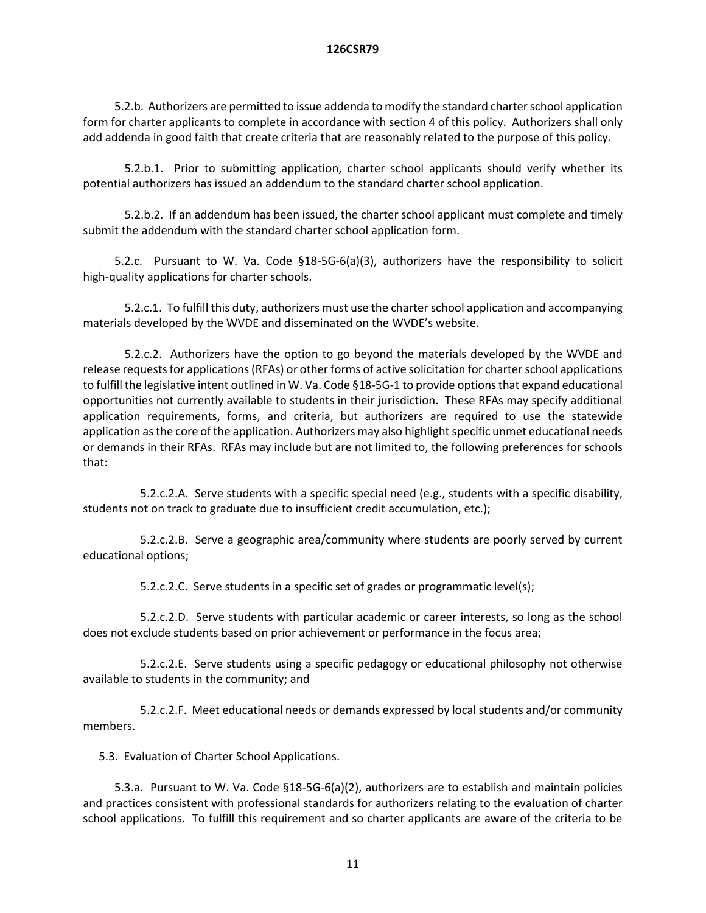5.2.b. Authorizers are permitted to issue addenda to modify the standard charter school application form for charter applicants to complete in accordance with section 4 of this policy. Authorizers shall only add addenda in good faith that create criteria that are reasonably related to the purpose of this policy.

5.2.b.1. Prior to submitting application, charter school applicants should verify whether its potential authorizers has issued an addendum to the standard charter school application.

5.2.b.2. If an addendum has been issued, the charter school applicant must complete and timely submit the addendum with the standard charter school application form.

5.2.c. Pursuant to W. Va. Code §18-5G-6(a)(3), authorizers have the responsibility to solicit high-quality applications for charter schools.

5.2.c.1. To fulfill this duty, authorizers must use the charter school application and accompanying materials developed by the WVDE and disseminated on the WVDE's website.

5.2.c.2. Authorizers have the option to go beyond the materials developed by the WVDE and release requests for applications (RFAs) or other forms of active solicitation for charter school applications to fulfill the legislative intent outlined in W. Va. Code §18-5G-1 to provide options that expand educational opportunities not currently available to students in their jurisdiction. These RFAs may specify additional application requirements, forms, and criteria, but authorizers are required to use the statewide application as the core of the application. Authorizers may also highlight specific unmet educational needs or demands in their RFAs. RFAs may include but are not limited to, the following preferences for schools that:

5.2.c.2.A. Serve students with a specific special need (e.g., students with a specific disability, students not on track to graduate due to insufficient credit accumulation, etc.);

5.2.c.2.B. Serve a geographic area/community where students are poorly served by current educational options;

5.2.c.2.C. Serve students in a specific set of grades or programmatic level(s);

5.2.c.2.D. Serve students with particular academic or career interests, so long as the school does not exclude students based on prior achievement or performance in the focus area;

5.2.c.2.E. Serve students using a specific pedagogy or educational philosophy not otherwise available to students in the community; and

5.2.c.2.F. Meet educational needs or demands expressed by local students and/or community members.

5.3. Evaluation of Charter School Applications.

5.3.a. Pursuant to W. Va. Code §18-5G-6(a)(2), authorizers are to establish and maintain policies and practices consistent with professional standards for authorizers relating to the evaluation of charter school applications. To fulfill this requirement and so charter applicants are aware of the criteria to be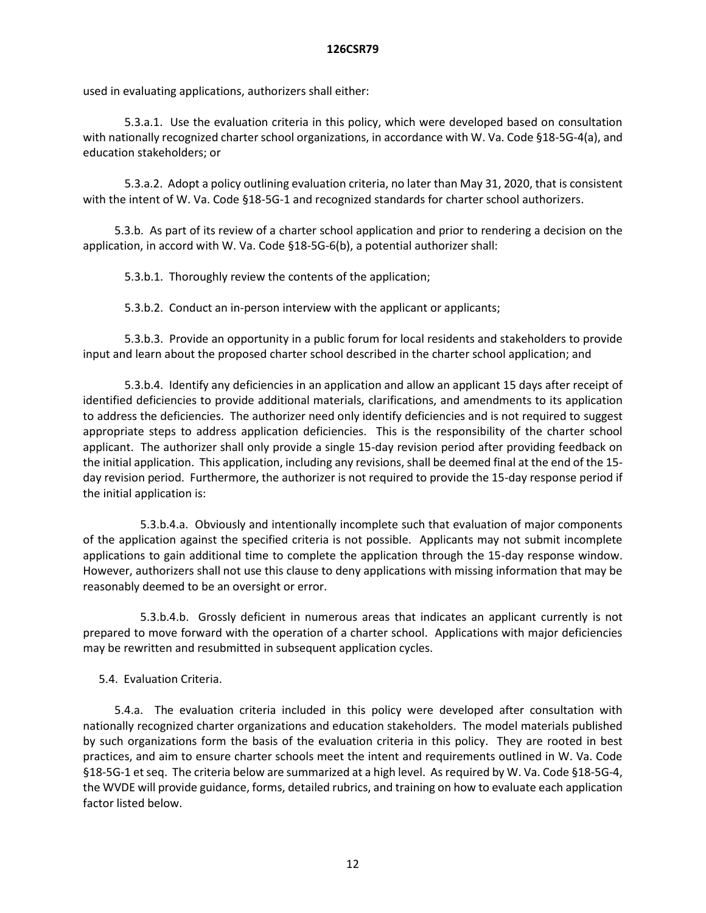used in evaluating applications, authorizers shall either:

5.3.a.1. Use the evaluation criteria in this policy, which were developed based on consultation with nationally recognized charter school organizations, in accordance with W. Va. Code §18-5G-4(a), and education stakeholders; or

5.3.a.2. Adopt a policy outlining evaluation criteria, no later than May 31, 2020, that is consistent with the intent of W. Va. Code §18-5G-1 and recognized standards for charter school authorizers.

5.3.b. As part of its review of a charter school application and prior to rendering a decision on the application, in accord with W. Va. Code §18-5G-6(b), a potential authorizer shall:

5.3.b.1. Thoroughly review the contents of the application;

5.3.b.2. Conduct an in-person interview with the applicant or applicants;

5.3.b.3. Provide an opportunity in a public forum for local residents and stakeholders to provide input and learn about the proposed charter school described in the charter school application; and

5.3.b.4. Identify any deficiencies in an application and allow an applicant 15 days after receipt of identified deficiencies to provide additional materials, clarifications, and amendments to its application to address the deficiencies. The authorizer need only identify deficiencies and is not required to suggest appropriate steps to address application deficiencies. This is the responsibility of the charter school applicant. The authorizer shall only provide a single 15-day revision period after providing feedback on the initial application. This application, including any revisions, shall be deemed final at the end of the 15 day revision period. Furthermore, the authorizer is not required to provide the 15-day response period if the initial application is:

5.3.b.4.a. Obviously and intentionally incomplete such that evaluation of major components of the application against the specified criteria is not possible. Applicants may not submit incomplete applications to gain additional time to complete the application through the 15-day response window. However, authorizers shall not use this clause to deny applications with missing information that may be reasonably deemed to be an oversight or error.

5.3.b.4.b. Grossly deficient in numerous areas that indicates an applicant currently is not prepared to move forward with the operation of a charter school. Applications with major deficiencies may be rewritten and resubmitted in subsequent application cycles.

5.4. Evaluation Criteria.

5.4.a. The evaluation criteria included in this policy were developed after consultation with nationally recognized charter organizations and education stakeholders. The model materials published by such organizations form the basis of the evaluation criteria in this policy. They are rooted in best practices, and aim to ensure charter schools meet the intent and requirements outlined in W. Va. Code §18-5G-1 et seq. The criteria below are summarized at a high level. As required by W. Va. Code §18-5G-4, the WVDE will provide guidance, forms, detailed rubrics, and training on how to evaluate each application factor listed below.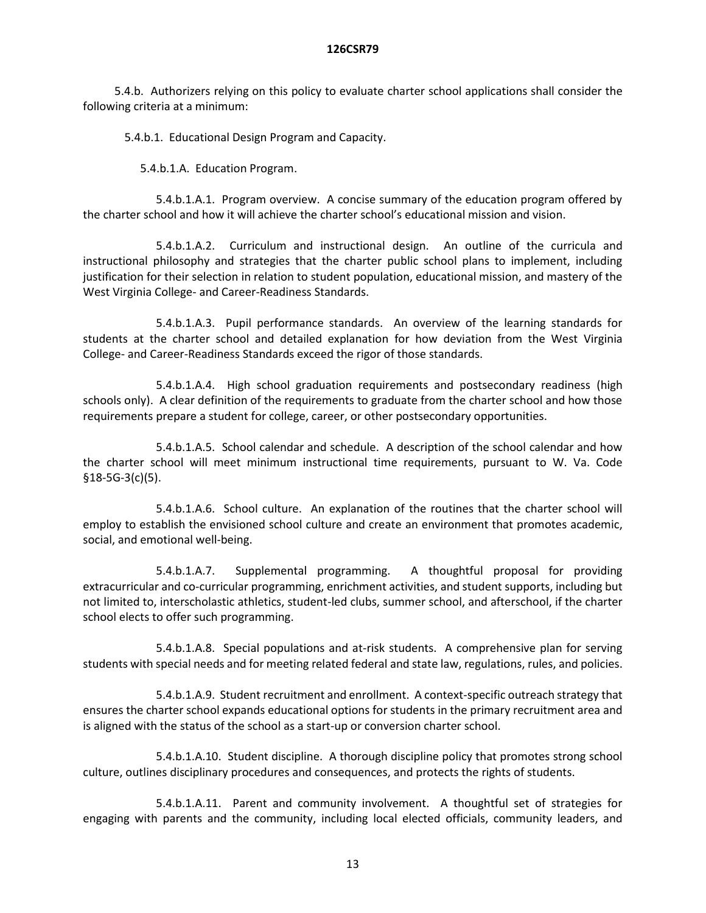5.4.b. Authorizers relying on this policy to evaluate charter school applications shall consider the following criteria at a minimum:

5.4.b.1. Educational Design Program and Capacity.

5.4.b.1.A. Education Program.

5.4.b.1.A.1. Program overview. A concise summary of the education program offered by the charter school and how it will achieve the charter school's educational mission and vision.

5.4.b.1.A.2. Curriculum and instructional design. An outline of the curricula and instructional philosophy and strategies that the charter public school plans to implement, including justification for their selection in relation to student population, educational mission, and mastery of the West Virginia College- and Career-Readiness Standards.

5.4.b.1.A.3. Pupil performance standards. An overview of the learning standards for students at the charter school and detailed explanation for how deviation from the West Virginia College- and Career-Readiness Standards exceed the rigor of those standards.

5.4.b.1.A.4. High school graduation requirements and postsecondary readiness (high schools only). A clear definition of the requirements to graduate from the charter school and how those requirements prepare a student for college, career, or other postsecondary opportunities.

5.4.b.1.A.5. School calendar and schedule. A description of the school calendar and how the charter school will meet minimum instructional time requirements, pursuant to W. Va. Code §18-5G-3(c)(5).

5.4.b.1.A.6. School culture. An explanation of the routines that the charter school will employ to establish the envisioned school culture and create an environment that promotes academic, social, and emotional well-being.

5.4.b.1.A.7. Supplemental programming. A thoughtful proposal for providing extracurricular and co-curricular programming, enrichment activities, and student supports, including but not limited to, interscholastic athletics, student-led clubs, summer school, and afterschool, if the charter school elects to offer such programming.

5.4.b.1.A.8. Special populations and at-risk students. A comprehensive plan for serving students with special needs and for meeting related federal and state law, regulations, rules, and policies.

5.4.b.1.A.9. Student recruitment and enrollment. A context-specific outreach strategy that ensures the charter school expands educational options for students in the primary recruitment area and is aligned with the status of the school as a start-up or conversion charter school.

5.4.b.1.A.10. Student discipline. A thorough discipline policy that promotes strong school culture, outlines disciplinary procedures and consequences, and protects the rights of students.

5.4.b.1.A.11. Parent and community involvement. A thoughtful set of strategies for engaging with parents and the community, including local elected officials, community leaders, and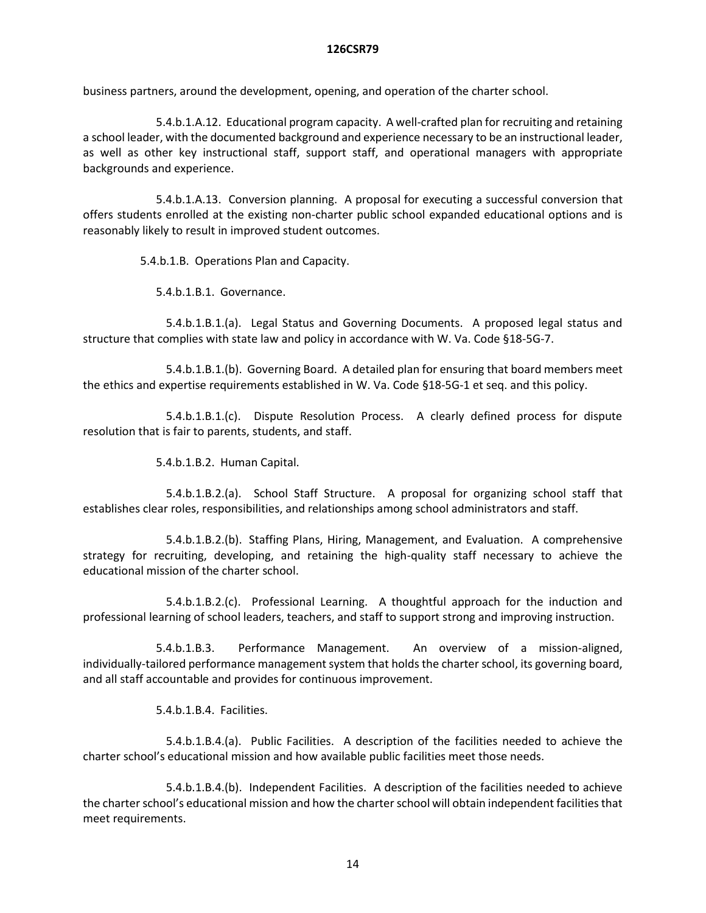business partners, around the development, opening, and operation of the charter school.

5.4.b.1.A.12. Educational program capacity. A well-crafted plan for recruiting and retaining a school leader, with the documented background and experience necessary to be an instructional leader, as well as other key instructional staff, support staff, and operational managers with appropriate backgrounds and experience.

5.4.b.1.A.13. Conversion planning. A proposal for executing a successful conversion that offers students enrolled at the existing non-charter public school expanded educational options and is reasonably likely to result in improved student outcomes.

5.4.b.1.B. Operations Plan and Capacity.

5.4.b.1.B.1. Governance.

5.4.b.1.B.1.(a). Legal Status and Governing Documents. A proposed legal status and structure that complies with state law and policy in accordance with W. Va. Code §18-5G-7.

5.4.b.1.B.1.(b). Governing Board. A detailed plan for ensuring that board members meet the ethics and expertise requirements established in W. Va. Code §18-5G-1 et seq. and this policy.

5.4.b.1.B.1.(c). Dispute Resolution Process. A clearly defined process for dispute resolution that is fair to parents, students, and staff.

5.4.b.1.B.2. Human Capital.

5.4.b.1.B.2.(a). School Staff Structure. A proposal for organizing school staff that establishes clear roles, responsibilities, and relationships among school administrators and staff.

5.4.b.1.B.2.(b). Staffing Plans, Hiring, Management, and Evaluation. A comprehensive strategy for recruiting, developing, and retaining the high-quality staff necessary to achieve the educational mission of the charter school.

5.4.b.1.B.2.(c). Professional Learning. A thoughtful approach for the induction and professional learning of school leaders, teachers, and staff to support strong and improving instruction.

5.4.b.1.B.3. Performance Management. An overview of a mission-aligned, individually-tailored performance management system that holds the charter school, its governing board, and all staff accountable and provides for continuous improvement.

5.4.b.1.B.4. Facilities.

5.4.b.1.B.4.(a). Public Facilities. A description of the facilities needed to achieve the charter school's educational mission and how available public facilities meet those needs.

5.4.b.1.B.4.(b). Independent Facilities. A description of the facilities needed to achieve the charter school's educational mission and how the charter school will obtain independent facilities that meet requirements.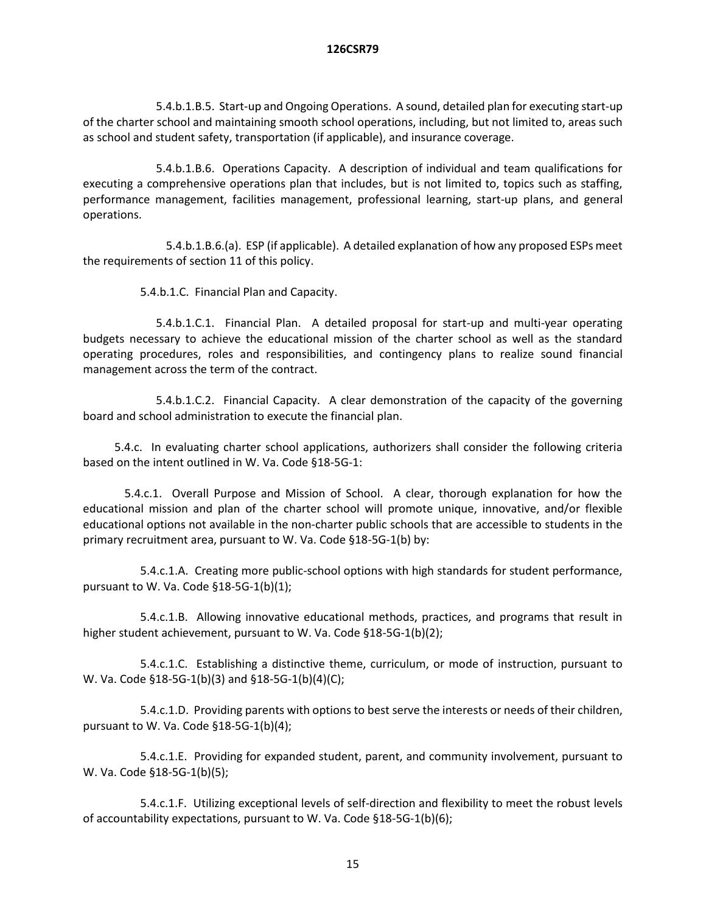5.4.b.1.B.5. Start-up and Ongoing Operations. A sound, detailed plan for executing start-up of the charter school and maintaining smooth school operations, including, but not limited to, areas such as school and student safety, transportation (if applicable), and insurance coverage.

5.4.b.1.B.6. Operations Capacity. A description of individual and team qualifications for executing a comprehensive operations plan that includes, but is not limited to, topics such as staffing, performance management, facilities management, professional learning, start-up plans, and general operations.

5.4.b.1.B.6.(a). ESP (if applicable). A detailed explanation of how any proposed ESPs meet the requirements of section 11 of this policy.

5.4.b.1.C. Financial Plan and Capacity.

5.4.b.1.C.1. Financial Plan. A detailed proposal for start-up and multi-year operating budgets necessary to achieve the educational mission of the charter school as well as the standard operating procedures, roles and responsibilities, and contingency plans to realize sound financial management across the term of the contract.

5.4.b.1.C.2. Financial Capacity. A clear demonstration of the capacity of the governing board and school administration to execute the financial plan.

5.4.c. In evaluating charter school applications, authorizers shall consider the following criteria based on the intent outlined in W. Va. Code §18-5G-1:

5.4.c.1. Overall Purpose and Mission of School. A clear, thorough explanation for how the educational mission and plan of the charter school will promote unique, innovative, and/or flexible educational options not available in the non-charter public schools that are accessible to students in the primary recruitment area, pursuant to W. Va. Code §18-5G-1(b) by:

5.4.c.1.A. Creating more public-school options with high standards for student performance, pursuant to W. Va. Code §18-5G-1(b)(1);

5.4.c.1.B. Allowing innovative educational methods, practices, and programs that result in higher student achievement, pursuant to W. Va. Code §18-5G-1(b)(2);

5.4.c.1.C. Establishing a distinctive theme, curriculum, or mode of instruction, pursuant to W. Va. Code §18-5G-1(b)(3) and §18-5G-1(b)(4)(C);

5.4.c.1.D. Providing parents with options to best serve the interests or needs of their children, pursuant to W. Va. Code §18-5G-1(b)(4);

5.4.c.1.E. Providing for expanded student, parent, and community involvement, pursuant to W. Va. Code §18-5G-1(b)(5);

5.4.c.1.F. Utilizing exceptional levels of self-direction and flexibility to meet the robust levels of accountability expectations, pursuant to W. Va. Code §18-5G-1(b)(6);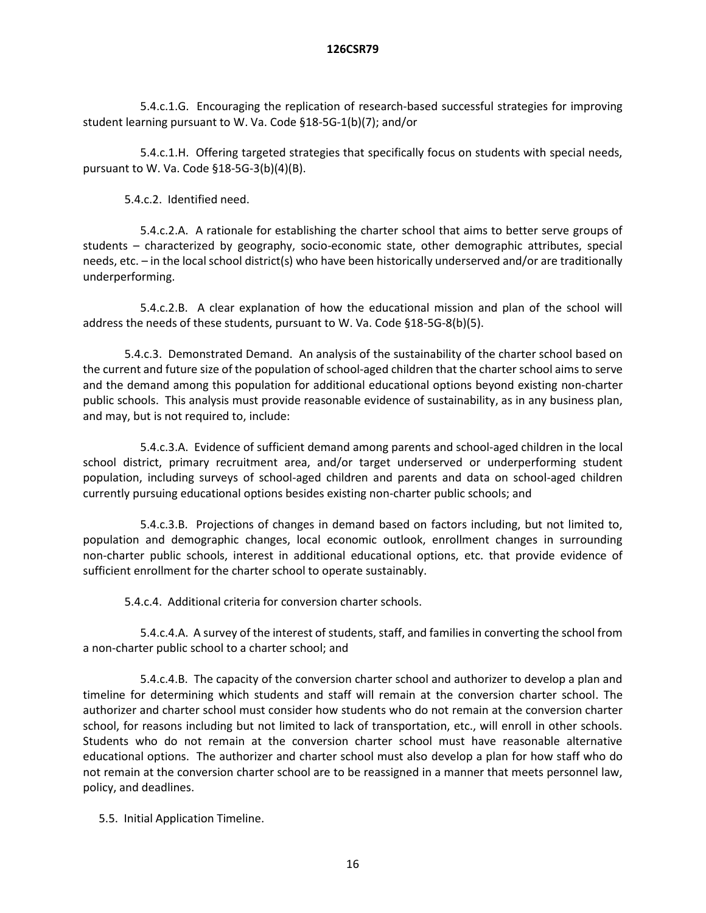5.4.c.1.G. Encouraging the replication of research-based successful strategies for improving student learning pursuant to W. Va. Code §18-5G-1(b)(7); and/or

5.4.c.1.H. Offering targeted strategies that specifically focus on students with special needs, pursuant to W. Va. Code §18-5G-3(b)(4)(B).

5.4.c.2. Identified need.

5.4.c.2.A. A rationale for establishing the charter school that aims to better serve groups of students – characterized by geography, socio-economic state, other demographic attributes, special needs, etc. – in the local school district(s) who have been historically underserved and/or are traditionally underperforming.

5.4.c.2.B. A clear explanation of how the educational mission and plan of the school will address the needs of these students, pursuant to W. Va. Code §18-5G-8(b)(5).

5.4.c.3. Demonstrated Demand. An analysis of the sustainability of the charter school based on the current and future size of the population of school-aged children that the charter school aims to serve and the demand among this population for additional educational options beyond existing non-charter public schools. This analysis must provide reasonable evidence of sustainability, as in any business plan, and may, but is not required to, include:

5.4.c.3.A. Evidence of sufficient demand among parents and school-aged children in the local school district, primary recruitment area, and/or target underserved or underperforming student population, including surveys of school-aged children and parents and data on school-aged children currently pursuing educational options besides existing non-charter public schools; and

5.4.c.3.B. Projections of changes in demand based on factors including, but not limited to, population and demographic changes, local economic outlook, enrollment changes in surrounding non-charter public schools, interest in additional educational options, etc. that provide evidence of sufficient enrollment for the charter school to operate sustainably.

5.4.c.4. Additional criteria for conversion charter schools.

5.4.c.4.A. A survey of the interest of students, staff, and families in converting the school from a non-charter public school to a charter school; and

5.4.c.4.B. The capacity of the conversion charter school and authorizer to develop a plan and timeline for determining which students and staff will remain at the conversion charter school. The authorizer and charter school must consider how students who do not remain at the conversion charter school, for reasons including but not limited to lack of transportation, etc., will enroll in other schools. Students who do not remain at the conversion charter school must have reasonable alternative educational options. The authorizer and charter school must also develop a plan for how staff who do not remain at the conversion charter school are to be reassigned in a manner that meets personnel law, policy, and deadlines.

5.5. Initial Application Timeline.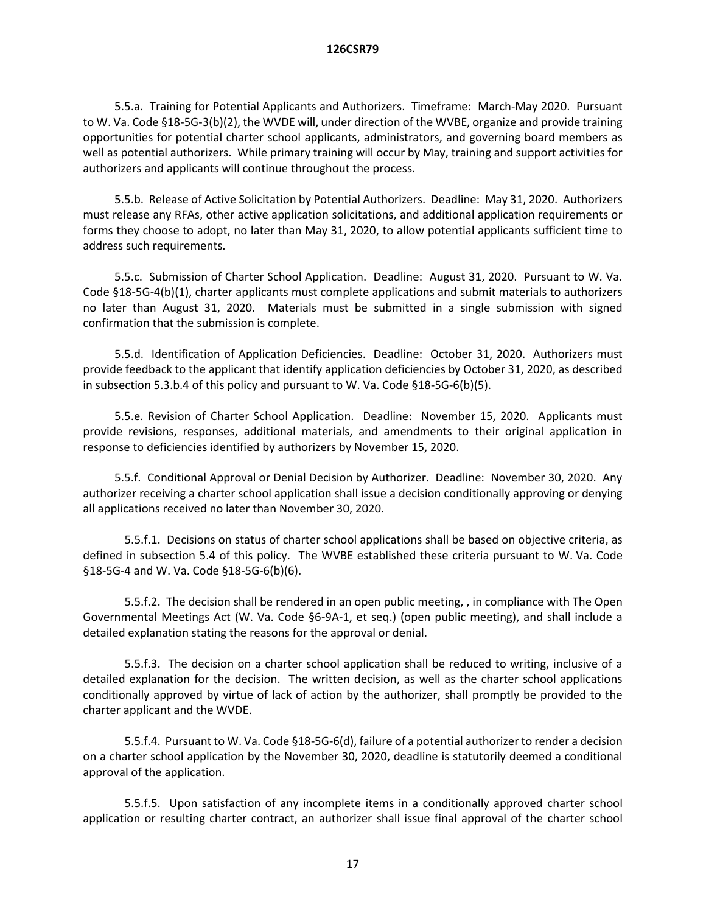5.5.a. Training for Potential Applicants and Authorizers. Timeframe: March-May 2020. Pursuant to W. Va. Code §18-5G-3(b)(2), the WVDE will, under direction of the WVBE, organize and provide training opportunities for potential charter school applicants, administrators, and governing board members as well as potential authorizers. While primary training will occur by May, training and support activities for authorizers and applicants will continue throughout the process.

5.5.b. Release of Active Solicitation by Potential Authorizers. Deadline: May 31, 2020. Authorizers must release any RFAs, other active application solicitations, and additional application requirements or forms they choose to adopt, no later than May 31, 2020, to allow potential applicants sufficient time to address such requirements.

5.5.c. Submission of Charter School Application. Deadline: August 31, 2020. Pursuant to W. Va. Code §18-5G-4(b)(1), charter applicants must complete applications and submit materials to authorizers no later than August 31, 2020. Materials must be submitted in a single submission with signed confirmation that the submission is complete.

5.5.d. Identification of Application Deficiencies. Deadline: October 31, 2020. Authorizers must provide feedback to the applicant that identify application deficiencies by October 31, 2020, as described in subsection 5.3.b.4 of this policy and pursuant to W. Va. Code §18-5G-6(b)(5).

5.5.e. Revision of Charter School Application. Deadline: November 15, 2020. Applicants must provide revisions, responses, additional materials, and amendments to their original application in response to deficiencies identified by authorizers by November 15, 2020.

5.5.f. Conditional Approval or Denial Decision by Authorizer. Deadline: November 30, 2020. Any authorizer receiving a charter school application shall issue a decision conditionally approving or denying all applications received no later than November 30, 2020.

5.5.f.1. Decisions on status of charter school applications shall be based on objective criteria, as defined in subsection 5.4 of this policy. The WVBE established these criteria pursuant to W. Va. Code §18-5G-4 and W. Va. Code §18-5G-6(b)(6).

5.5.f.2. The decision shall be rendered in an open public meeting, , in compliance with The Open Governmental Meetings Act (W. Va. Code §6-9A-1, et seq.) (open public meeting), and shall include a detailed explanation stating the reasons for the approval or denial.

5.5.f.3. The decision on a charter school application shall be reduced to writing, inclusive of a detailed explanation for the decision. The written decision, as well as the charter school applications conditionally approved by virtue of lack of action by the authorizer, shall promptly be provided to the charter applicant and the WVDE.

5.5.f.4. Pursuant to W. Va. Code §18-5G-6(d), failure of a potential authorizer to render a decision on a charter school application by the November 30, 2020, deadline is statutorily deemed a conditional approval of the application.

5.5.f.5. Upon satisfaction of any incomplete items in a conditionally approved charter school application or resulting charter contract, an authorizer shall issue final approval of the charter school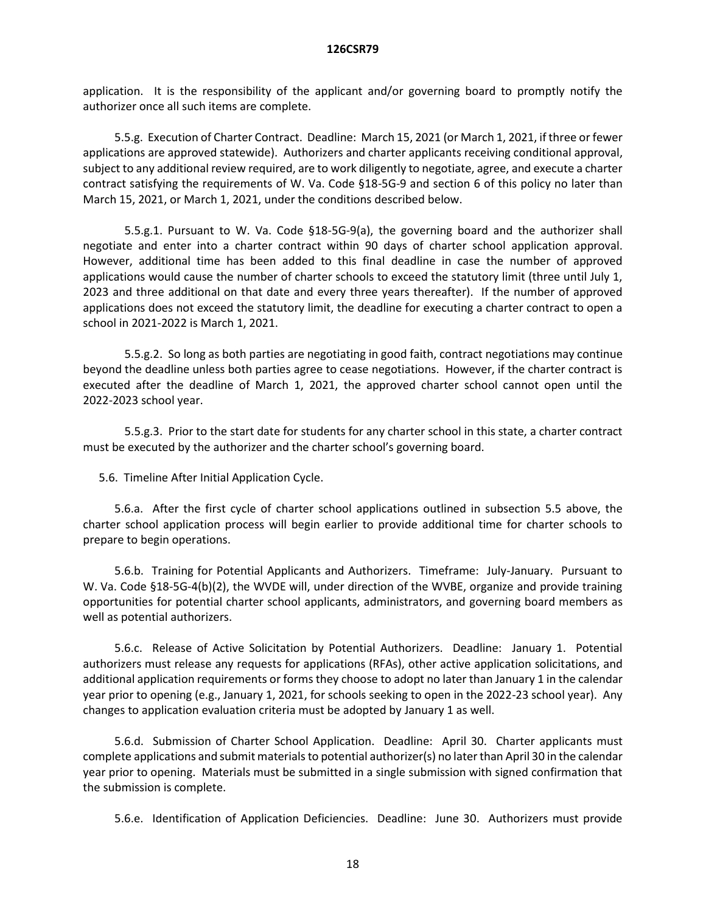application. It is the responsibility of the applicant and/or governing board to promptly notify the authorizer once all such items are complete.

5.5.g. Execution of Charter Contract. Deadline: March 15, 2021 (or March 1, 2021, if three or fewer applications are approved statewide). Authorizers and charter applicants receiving conditional approval, subject to any additional review required, are to work diligently to negotiate, agree, and execute a charter contract satisfying the requirements of W. Va. Code §18-5G-9 and section 6 of this policy no later than March 15, 2021, or March 1, 2021, under the conditions described below.

5.5.g.1. Pursuant to W. Va. Code §18-5G-9(a), the governing board and the authorizer shall negotiate and enter into a charter contract within 90 days of charter school application approval. However, additional time has been added to this final deadline in case the number of approved applications would cause the number of charter schools to exceed the statutory limit (three until July 1, 2023 and three additional on that date and every three years thereafter). If the number of approved applications does not exceed the statutory limit, the deadline for executing a charter contract to open a school in 2021-2022 is March 1, 2021.

5.5.g.2. So long as both parties are negotiating in good faith, contract negotiations may continue beyond the deadline unless both parties agree to cease negotiations. However, if the charter contract is executed after the deadline of March 1, 2021, the approved charter school cannot open until the 2022-2023 school year.

5.5.g.3. Prior to the start date for students for any charter school in this state, a charter contract must be executed by the authorizer and the charter school's governing board.

5.6. Timeline After Initial Application Cycle.

5.6.a. After the first cycle of charter school applications outlined in subsection 5.5 above, the charter school application process will begin earlier to provide additional time for charter schools to prepare to begin operations.

5.6.b. Training for Potential Applicants and Authorizers. Timeframe: July-January. Pursuant to W. Va. Code §18-5G-4(b)(2), the WVDE will, under direction of the WVBE, organize and provide training opportunities for potential charter school applicants, administrators, and governing board members as well as potential authorizers.

5.6.c. Release of Active Solicitation by Potential Authorizers. Deadline: January 1. Potential authorizers must release any requests for applications (RFAs), other active application solicitations, and additional application requirements or forms they choose to adopt no later than January 1 in the calendar year prior to opening (e.g., January 1, 2021, for schools seeking to open in the 2022-23 school year). Any changes to application evaluation criteria must be adopted by January 1 as well.

5.6.d. Submission of Charter School Application. Deadline: April 30. Charter applicants must complete applications and submit materials to potential authorizer(s) no later than April 30 in the calendar year prior to opening. Materials must be submitted in a single submission with signed confirmation that the submission is complete.

5.6.e. Identification of Application Deficiencies. Deadline: June 30. Authorizers must provide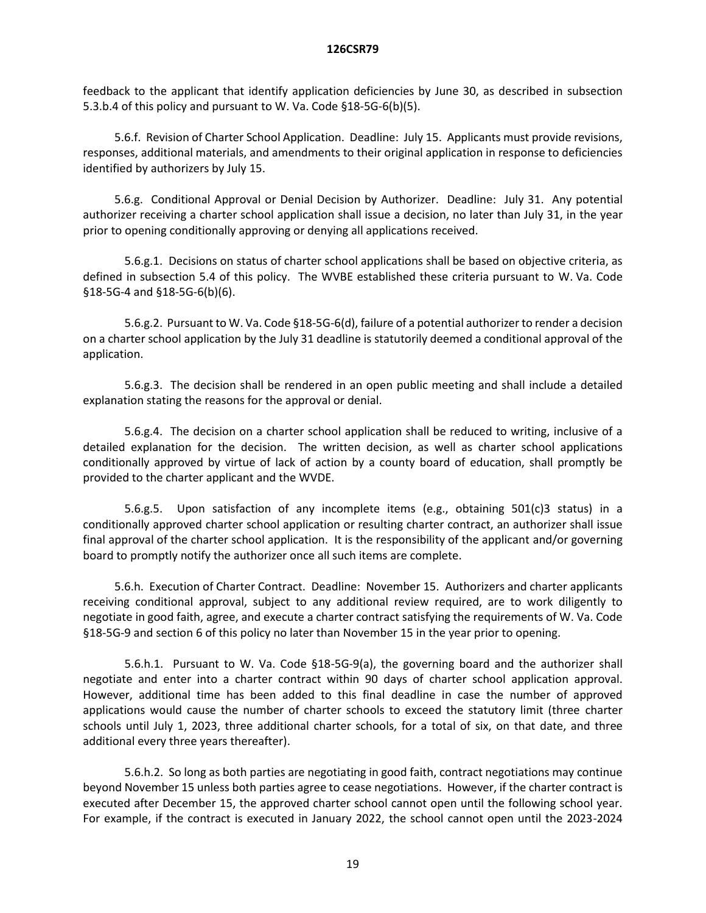feedback to the applicant that identify application deficiencies by June 30, as described in subsection 5.3.b.4 of this policy and pursuant to W. Va. Code §18-5G-6(b)(5).

5.6.f. Revision of Charter School Application. Deadline: July 15. Applicants must provide revisions, responses, additional materials, and amendments to their original application in response to deficiencies identified by authorizers by July 15.

5.6.g. Conditional Approval or Denial Decision by Authorizer. Deadline: July 31. Any potential authorizer receiving a charter school application shall issue a decision, no later than July 31, in the year prior to opening conditionally approving or denying all applications received.

5.6.g.1. Decisions on status of charter school applications shall be based on objective criteria, as defined in subsection 5.4 of this policy. The WVBE established these criteria pursuant to W. Va. Code §18-5G-4 and §18-5G-6(b)(6).

5.6.g.2. Pursuant to W. Va. Code §18-5G-6(d), failure of a potential authorizer to render a decision on a charter school application by the July 31 deadline is statutorily deemed a conditional approval of the application.

5.6.g.3. The decision shall be rendered in an open public meeting and shall include a detailed explanation stating the reasons for the approval or denial.

5.6.g.4. The decision on a charter school application shall be reduced to writing, inclusive of a detailed explanation for the decision. The written decision, as well as charter school applications conditionally approved by virtue of lack of action by a county board of education, shall promptly be provided to the charter applicant and the WVDE.

5.6.g.5. Upon satisfaction of any incomplete items (e.g., obtaining 501(c)3 status) in a conditionally approved charter school application or resulting charter contract, an authorizer shall issue final approval of the charter school application. It is the responsibility of the applicant and/or governing board to promptly notify the authorizer once all such items are complete.

5.6.h. Execution of Charter Contract. Deadline: November 15. Authorizers and charter applicants receiving conditional approval, subject to any additional review required, are to work diligently to negotiate in good faith, agree, and execute a charter contract satisfying the requirements of W. Va. Code §18-5G-9 and section 6 of this policy no later than November 15 in the year prior to opening.

5.6.h.1. Pursuant to W. Va. Code §18-5G-9(a), the governing board and the authorizer shall negotiate and enter into a charter contract within 90 days of charter school application approval. However, additional time has been added to this final deadline in case the number of approved applications would cause the number of charter schools to exceed the statutory limit (three charter schools until July 1, 2023, three additional charter schools, for a total of six, on that date, and three additional every three years thereafter).

5.6.h.2. So long as both parties are negotiating in good faith, contract negotiations may continue beyond November 15 unless both parties agree to cease negotiations. However, if the charter contract is executed after December 15, the approved charter school cannot open until the following school year. For example, if the contract is executed in January 2022, the school cannot open until the 2023-2024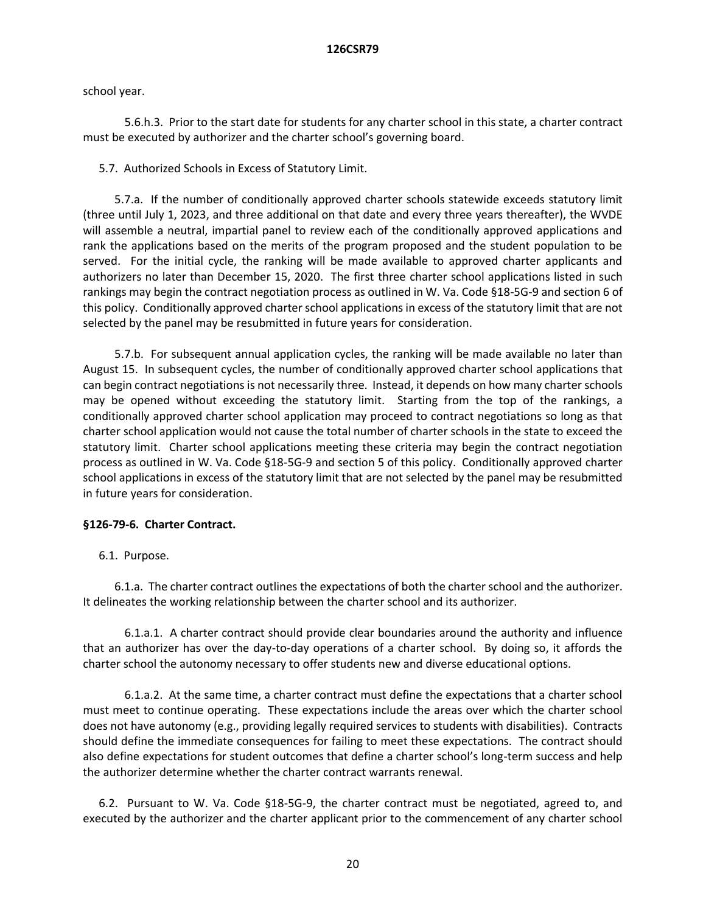school year.

5.6.h.3. Prior to the start date for students for any charter school in this state, a charter contract must be executed by authorizer and the charter school's governing board.

5.7. Authorized Schools in Excess of Statutory Limit.

5.7.a. If the number of conditionally approved charter schools statewide exceeds statutory limit (three until July 1, 2023, and three additional on that date and every three years thereafter), the WVDE will assemble a neutral, impartial panel to review each of the conditionally approved applications and rank the applications based on the merits of the program proposed and the student population to be served. For the initial cycle, the ranking will be made available to approved charter applicants and authorizers no later than December 15, 2020. The first three charter school applications listed in such rankings may begin the contract negotiation process as outlined in W. Va. Code §18-5G-9 and section 6 of this policy. Conditionally approved charter school applications in excess of the statutory limit that are not selected by the panel may be resubmitted in future years for consideration.

5.7.b. For subsequent annual application cycles, the ranking will be made available no later than August 15. In subsequent cycles, the number of conditionally approved charter school applications that can begin contract negotiations is not necessarily three. Instead, it depends on how many charter schools may be opened without exceeding the statutory limit. Starting from the top of the rankings, a conditionally approved charter school application may proceed to contract negotiations so long as that charter school application would not cause the total number of charter schools in the state to exceed the statutory limit. Charter school applications meeting these criteria may begin the contract negotiation process as outlined in W. Va. Code §18-5G-9 and section 5 of this policy. Conditionally approved charter school applications in excess of the statutory limit that are not selected by the panel may be resubmitted in future years for consideration.

# **§126-79-6. Charter Contract.**

6.1. Purpose.

6.1.a. The charter contract outlines the expectations of both the charter school and the authorizer. It delineates the working relationship between the charter school and its authorizer.

6.1.a.1. A charter contract should provide clear boundaries around the authority and influence that an authorizer has over the day-to-day operations of a charter school. By doing so, it affords the charter school the autonomy necessary to offer students new and diverse educational options.

6.1.a.2. At the same time, a charter contract must define the expectations that a charter school must meet to continue operating. These expectations include the areas over which the charter school does not have autonomy (e.g., providing legally required services to students with disabilities). Contracts should define the immediate consequences for failing to meet these expectations. The contract should also define expectations for student outcomes that define a charter school's long-term success and help the authorizer determine whether the charter contract warrants renewal.

6.2. Pursuant to W. Va. Code §18-5G-9, the charter contract must be negotiated, agreed to, and executed by the authorizer and the charter applicant prior to the commencement of any charter school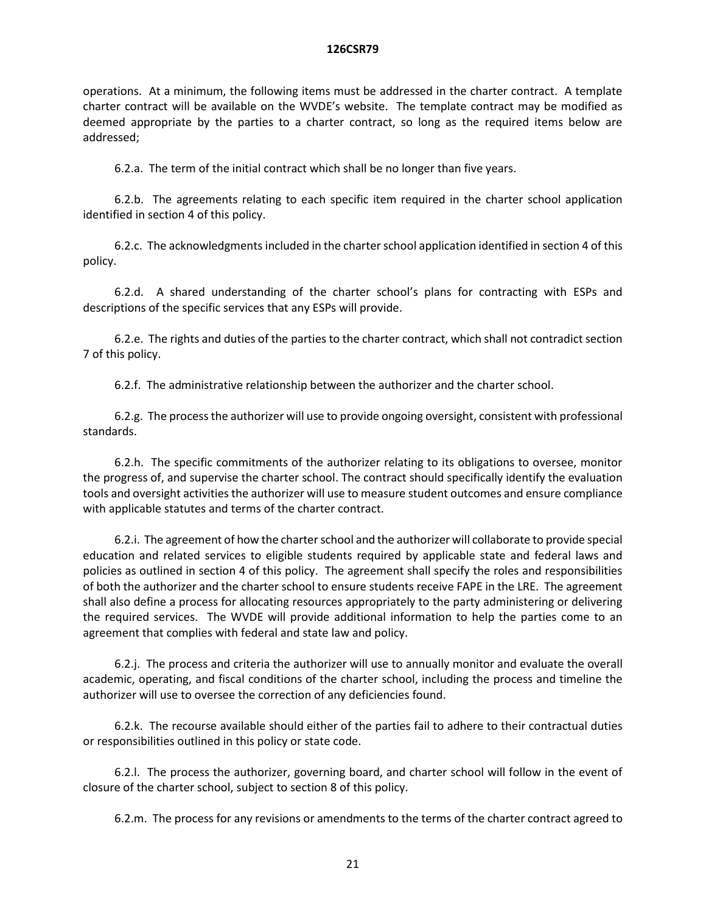operations. At a minimum, the following items must be addressed in the charter contract. A template charter contract will be available on the WVDE's website. The template contract may be modified as deemed appropriate by the parties to a charter contract, so long as the required items below are addressed;

6.2.a. The term of the initial contract which shall be no longer than five years.

6.2.b. The agreements relating to each specific item required in the charter school application identified in section 4 of this policy.

6.2.c. The acknowledgments included in the charter school application identified in section 4 of this policy.

6.2.d. A shared understanding of the charter school's plans for contracting with ESPs and descriptions of the specific services that any ESPs will provide.

6.2.e. The rights and duties of the parties to the charter contract, which shall not contradict section 7 of this policy.

6.2.f. The administrative relationship between the authorizer and the charter school.

6.2.g. The process the authorizer will use to provide ongoing oversight, consistent with professional standards.

6.2.h. The specific commitments of the authorizer relating to its obligations to oversee, monitor the progress of, and supervise the charter school. The contract should specifically identify the evaluation tools and oversight activities the authorizer will use to measure student outcomes and ensure compliance with applicable statutes and terms of the charter contract.

6.2.i. The agreement of how the charter school and the authorizer will collaborate to provide special education and related services to eligible students required by applicable state and federal laws and policies as outlined in section 4 of this policy. The agreement shall specify the roles and responsibilities of both the authorizer and the charter school to ensure students receive FAPE in the LRE. The agreement shall also define a process for allocating resources appropriately to the party administering or delivering the required services. The WVDE will provide additional information to help the parties come to an agreement that complies with federal and state law and policy.

6.2.j. The process and criteria the authorizer will use to annually monitor and evaluate the overall academic, operating, and fiscal conditions of the charter school, including the process and timeline the authorizer will use to oversee the correction of any deficiencies found.

6.2.k. The recourse available should either of the parties fail to adhere to their contractual duties or responsibilities outlined in this policy or state code.

6.2.l. The process the authorizer, governing board, and charter school will follow in the event of closure of the charter school, subject to section 8 of this policy.

6.2.m. The process for any revisions or amendments to the terms of the charter contract agreed to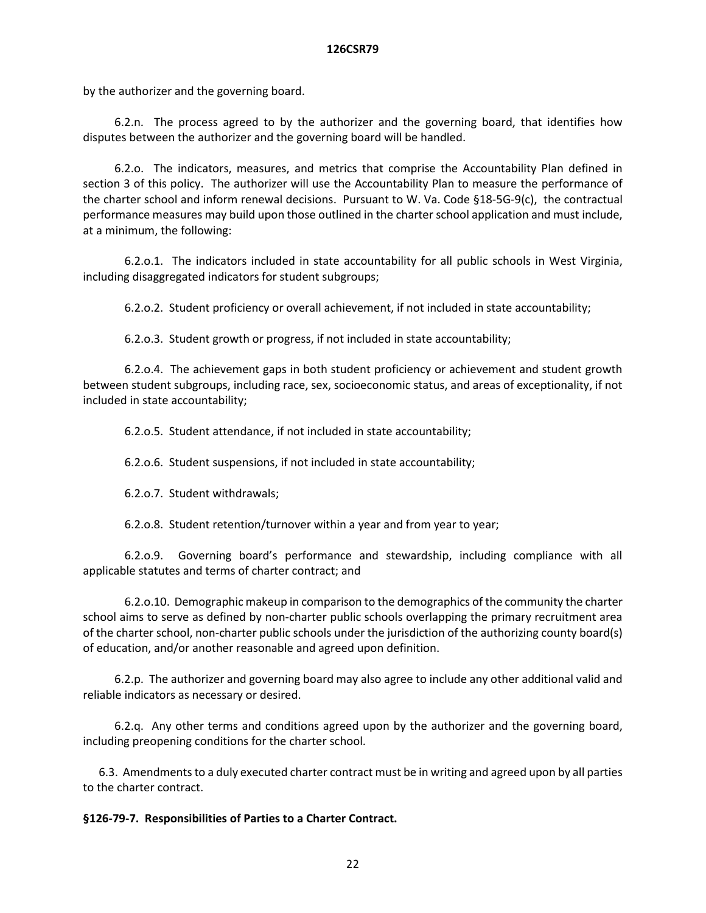by the authorizer and the governing board.

6.2.n. The process agreed to by the authorizer and the governing board, that identifies how disputes between the authorizer and the governing board will be handled.

6.2.o. The indicators, measures, and metrics that comprise the Accountability Plan defined in section 3 of this policy. The authorizer will use the Accountability Plan to measure the performance of the charter school and inform renewal decisions. Pursuant to W. Va. Code §18-5G-9(c), the contractual performance measures may build upon those outlined in the charter school application and must include, at a minimum, the following:

6.2.o.1. The indicators included in state accountability for all public schools in West Virginia, including disaggregated indicators for student subgroups;

6.2.o.2. Student proficiency or overall achievement, if not included in state accountability;

6.2.o.3. Student growth or progress, if not included in state accountability;

6.2.o.4. The achievement gaps in both student proficiency or achievement and student growth between student subgroups, including race, sex, socioeconomic status, and areas of exceptionality, if not included in state accountability;

6.2.o.5. Student attendance, if not included in state accountability;

6.2.o.6. Student suspensions, if not included in state accountability;

6.2.o.7. Student withdrawals;

6.2.o.8. Student retention/turnover within a year and from year to year;

6.2.o.9. Governing board's performance and stewardship, including compliance with all applicable statutes and terms of charter contract; and

6.2.o.10. Demographic makeup in comparison to the demographics of the community the charter school aims to serve as defined by non-charter public schools overlapping the primary recruitment area of the charter school, non-charter public schools under the jurisdiction of the authorizing county board(s) of education, and/or another reasonable and agreed upon definition.

6.2.p. The authorizer and governing board may also agree to include any other additional valid and reliable indicators as necessary or desired.

6.2.q. Any other terms and conditions agreed upon by the authorizer and the governing board, including preopening conditions for the charter school.

6.3. Amendments to a duly executed charter contract must be in writing and agreed upon by all parties to the charter contract.

# **§126-79-7. Responsibilities of Parties to a Charter Contract.**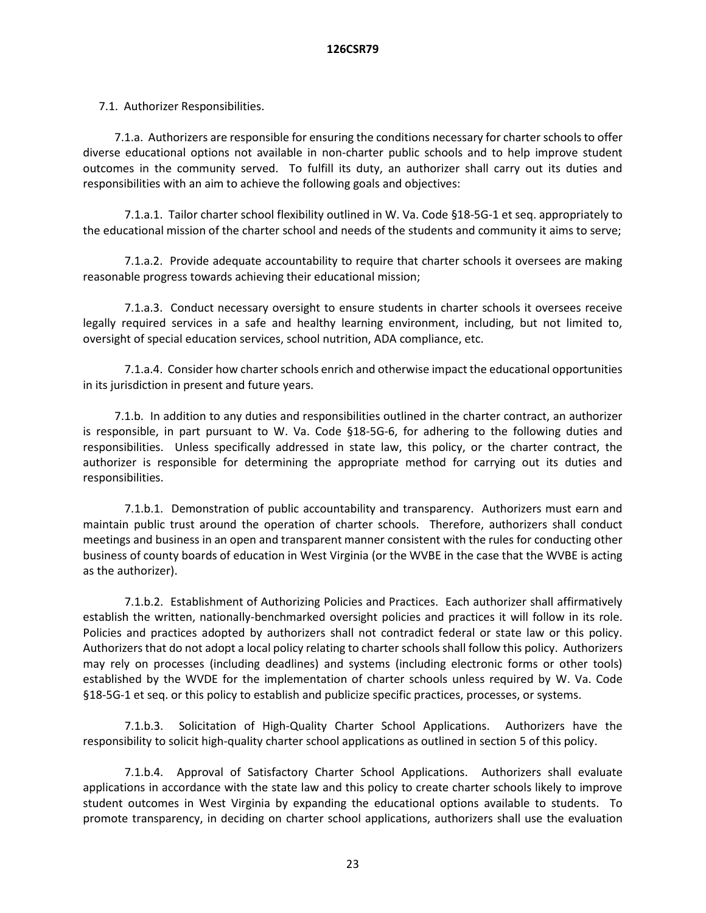7.1. Authorizer Responsibilities.

7.1.a. Authorizers are responsible for ensuring the conditions necessary for charter schools to offer diverse educational options not available in non-charter public schools and to help improve student outcomes in the community served. To fulfill its duty, an authorizer shall carry out its duties and responsibilities with an aim to achieve the following goals and objectives:

7.1.a.1. Tailor charter school flexibility outlined in W. Va. Code §18-5G-1 et seq. appropriately to the educational mission of the charter school and needs of the students and community it aims to serve;

7.1.a.2. Provide adequate accountability to require that charter schools it oversees are making reasonable progress towards achieving their educational mission;

7.1.a.3. Conduct necessary oversight to ensure students in charter schools it oversees receive legally required services in a safe and healthy learning environment, including, but not limited to, oversight of special education services, school nutrition, ADA compliance, etc.

7.1.a.4. Consider how charter schools enrich and otherwise impact the educational opportunities in its jurisdiction in present and future years.

7.1.b. In addition to any duties and responsibilities outlined in the charter contract, an authorizer is responsible, in part pursuant to W. Va. Code §18-5G-6, for adhering to the following duties and responsibilities. Unless specifically addressed in state law, this policy, or the charter contract, the authorizer is responsible for determining the appropriate method for carrying out its duties and responsibilities.

7.1.b.1. Demonstration of public accountability and transparency. Authorizers must earn and maintain public trust around the operation of charter schools. Therefore, authorizers shall conduct meetings and business in an open and transparent manner consistent with the rules for conducting other business of county boards of education in West Virginia (or the WVBE in the case that the WVBE is acting as the authorizer).

7.1.b.2. Establishment of Authorizing Policies and Practices. Each authorizer shall affirmatively establish the written, nationally-benchmarked oversight policies and practices it will follow in its role. Policies and practices adopted by authorizers shall not contradict federal or state law or this policy. Authorizers that do not adopt a local policy relating to charter schools shall follow this policy. Authorizers may rely on processes (including deadlines) and systems (including electronic forms or other tools) established by the WVDE for the implementation of charter schools unless required by W. Va. Code §18-5G-1 et seq. or this policy to establish and publicize specific practices, processes, or systems.

7.1.b.3. Solicitation of High-Quality Charter School Applications. Authorizers have the responsibility to solicit high-quality charter school applications as outlined in section 5 of this policy.

7.1.b.4. Approval of Satisfactory Charter School Applications. Authorizers shall evaluate applications in accordance with the state law and this policy to create charter schools likely to improve student outcomes in West Virginia by expanding the educational options available to students. To promote transparency, in deciding on charter school applications, authorizers shall use the evaluation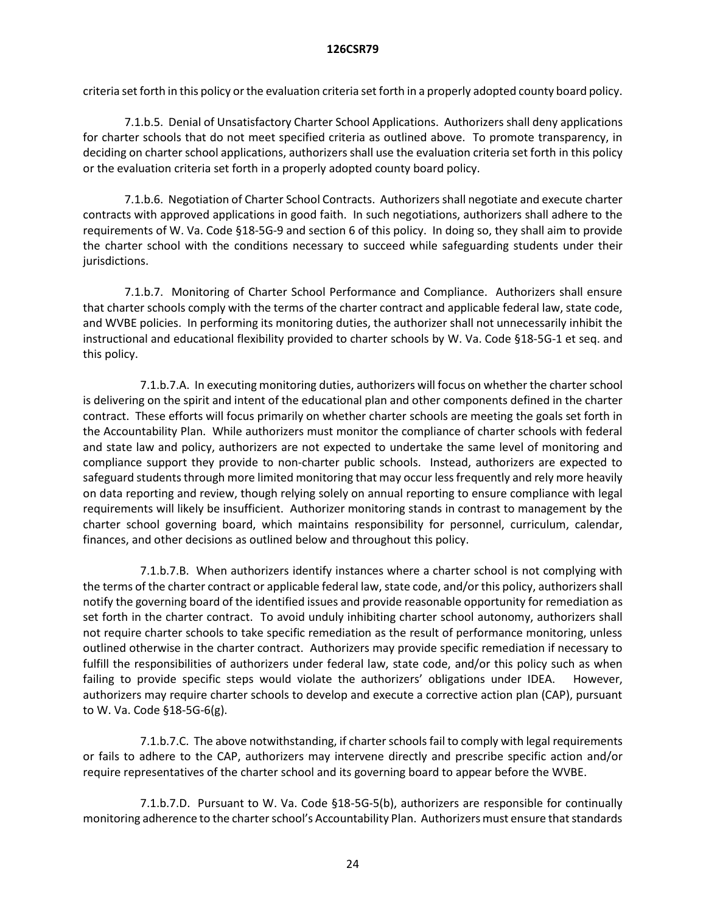criteria set forth in this policy or the evaluation criteria set forth in a properly adopted county board policy.

7.1.b.5. Denial of Unsatisfactory Charter School Applications. Authorizers shall deny applications for charter schools that do not meet specified criteria as outlined above. To promote transparency, in deciding on charter school applications, authorizers shall use the evaluation criteria set forth in this policy or the evaluation criteria set forth in a properly adopted county board policy.

7.1.b.6. Negotiation of Charter School Contracts. Authorizers shall negotiate and execute charter contracts with approved applications in good faith. In such negotiations, authorizers shall adhere to the requirements of W. Va. Code §18-5G-9 and section 6 of this policy. In doing so, they shall aim to provide the charter school with the conditions necessary to succeed while safeguarding students under their jurisdictions.

7.1.b.7. Monitoring of Charter School Performance and Compliance. Authorizers shall ensure that charter schools comply with the terms of the charter contract and applicable federal law, state code, and WVBE policies. In performing its monitoring duties, the authorizer shall not unnecessarily inhibit the instructional and educational flexibility provided to charter schools by W. Va. Code §18-5G-1 et seq. and this policy.

7.1.b.7.A. In executing monitoring duties, authorizers will focus on whether the charter school is delivering on the spirit and intent of the educational plan and other components defined in the charter contract. These efforts will focus primarily on whether charter schools are meeting the goals set forth in the Accountability Plan. While authorizers must monitor the compliance of charter schools with federal and state law and policy, authorizers are not expected to undertake the same level of monitoring and compliance support they provide to non-charter public schools. Instead, authorizers are expected to safeguard students through more limited monitoring that may occur less frequently and rely more heavily on data reporting and review, though relying solely on annual reporting to ensure compliance with legal requirements will likely be insufficient. Authorizer monitoring stands in contrast to management by the charter school governing board, which maintains responsibility for personnel, curriculum, calendar, finances, and other decisions as outlined below and throughout this policy.

7.1.b.7.B. When authorizers identify instances where a charter school is not complying with the terms of the charter contract or applicable federal law, state code, and/or this policy, authorizers shall notify the governing board of the identified issues and provide reasonable opportunity for remediation as set forth in the charter contract. To avoid unduly inhibiting charter school autonomy, authorizers shall not require charter schools to take specific remediation as the result of performance monitoring, unless outlined otherwise in the charter contract. Authorizers may provide specific remediation if necessary to fulfill the responsibilities of authorizers under federal law, state code, and/or this policy such as when failing to provide specific steps would violate the authorizers' obligations under IDEA. However, authorizers may require charter schools to develop and execute a corrective action plan (CAP), pursuant to W. Va. Code §18-5G-6(g).

7.1.b.7.C. The above notwithstanding, if charter schools fail to comply with legal requirements or fails to adhere to the CAP, authorizers may intervene directly and prescribe specific action and/or require representatives of the charter school and its governing board to appear before the WVBE.

7.1.b.7.D. Pursuant to W. Va. Code §18-5G-5(b), authorizers are responsible for continually monitoring adherence to the charter school's Accountability Plan. Authorizers must ensure that standards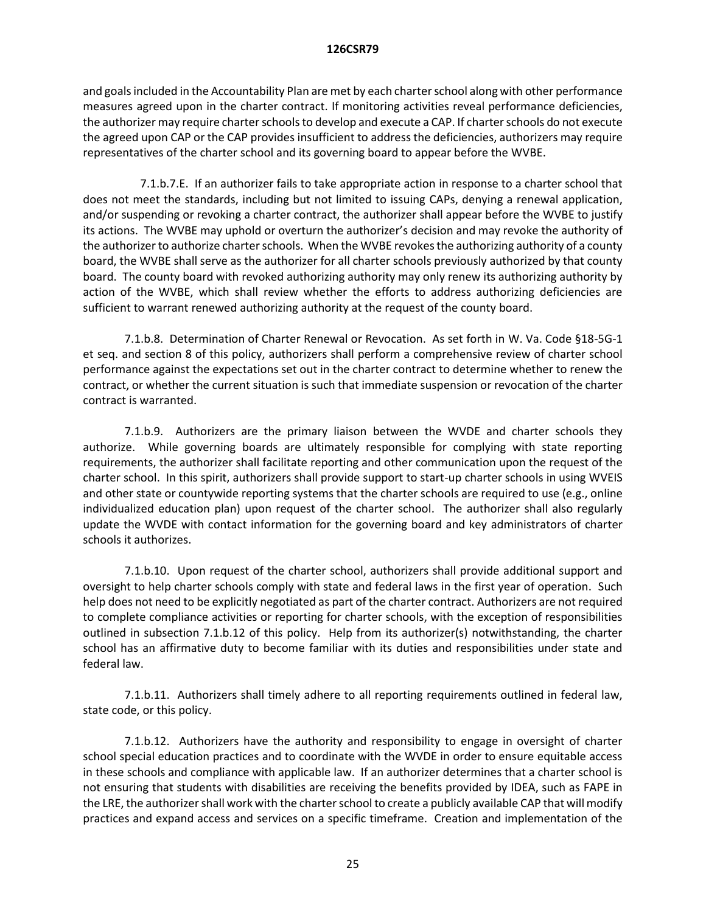and goals included in the Accountability Plan are met by each charter school along with other performance measures agreed upon in the charter contract. If monitoring activities reveal performance deficiencies, the authorizer may require charter schools to develop and execute a CAP. If charter schools do not execute the agreed upon CAP or the CAP provides insufficient to address the deficiencies, authorizers may require representatives of the charter school and its governing board to appear before the WVBE.

7.1.b.7.E. If an authorizer fails to take appropriate action in response to a charter school that does not meet the standards, including but not limited to issuing CAPs, denying a renewal application, and/or suspending or revoking a charter contract, the authorizer shall appear before the WVBE to justify its actions. The WVBE may uphold or overturn the authorizer's decision and may revoke the authority of the authorizer to authorize charter schools. When the WVBE revokes the authorizing authority of a county board, the WVBE shall serve as the authorizer for all charter schools previously authorized by that county board. The county board with revoked authorizing authority may only renew its authorizing authority by action of the WVBE, which shall review whether the efforts to address authorizing deficiencies are sufficient to warrant renewed authorizing authority at the request of the county board.

7.1.b.8. Determination of Charter Renewal or Revocation. As set forth in W. Va. Code §18-5G-1 et seq. and section 8 of this policy, authorizers shall perform a comprehensive review of charter school performance against the expectations set out in the charter contract to determine whether to renew the contract, or whether the current situation is such that immediate suspension or revocation of the charter contract is warranted.

7.1.b.9. Authorizers are the primary liaison between the WVDE and charter schools they authorize. While governing boards are ultimately responsible for complying with state reporting requirements, the authorizer shall facilitate reporting and other communication upon the request of the charter school. In this spirit, authorizers shall provide support to start-up charter schools in using WVEIS and other state or countywide reporting systems that the charter schools are required to use (e.g., online individualized education plan) upon request of the charter school. The authorizer shall also regularly update the WVDE with contact information for the governing board and key administrators of charter schools it authorizes.

7.1.b.10. Upon request of the charter school, authorizers shall provide additional support and oversight to help charter schools comply with state and federal laws in the first year of operation. Such help does not need to be explicitly negotiated as part of the charter contract. Authorizers are not required to complete compliance activities or reporting for charter schools, with the exception of responsibilities outlined in subsection 7.1.b.12 of this policy. Help from its authorizer(s) notwithstanding, the charter school has an affirmative duty to become familiar with its duties and responsibilities under state and federal law.

7.1.b.11. Authorizers shall timely adhere to all reporting requirements outlined in federal law, state code, or this policy.

7.1.b.12. Authorizers have the authority and responsibility to engage in oversight of charter school special education practices and to coordinate with the WVDE in order to ensure equitable access in these schools and compliance with applicable law. If an authorizer determines that a charter school is not ensuring that students with disabilities are receiving the benefits provided by IDEA, such as FAPE in the LRE, the authorizer shall work with the charter school to create a publicly available CAP that will modify practices and expand access and services on a specific timeframe. Creation and implementation of the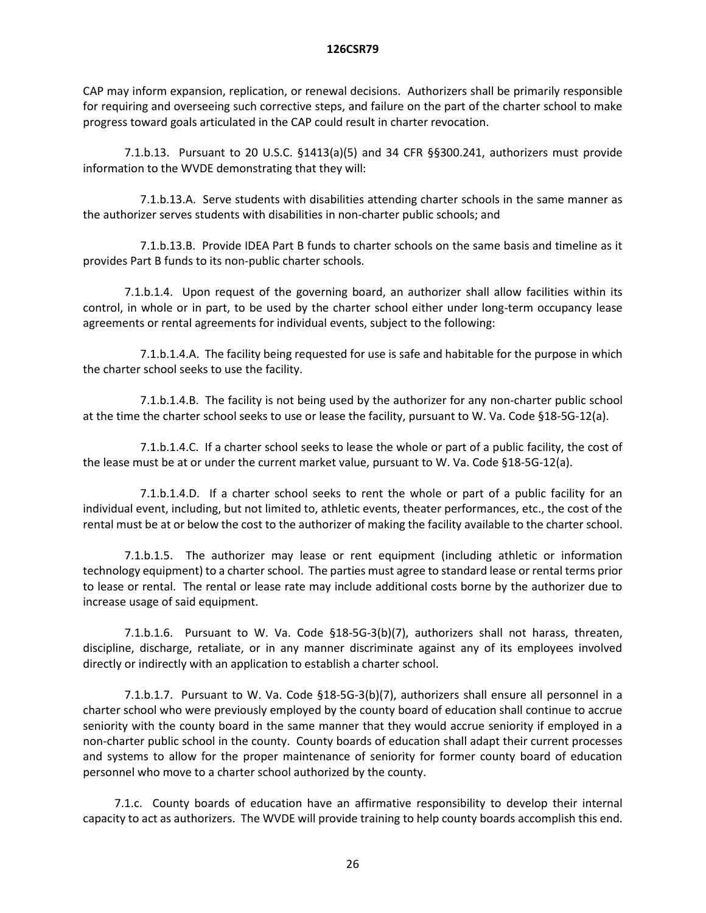CAP may inform expansion, replication, or renewal decisions. Authorizers shall be primarily responsible for requiring and overseeing such corrective steps, and failure on the part of the charter school to make progress toward goals articulated in the CAP could result in charter revocation.

7.1.b.13. Pursuant to 20 U.S.C. §1413(a)(5) and 34 CFR §§300.241, authorizers must provide information to the WVDE demonstrating that they will:

7.1.b.13.A. Serve students with disabilities attending charter schools in the same manner as the authorizer serves students with disabilities in non-charter public schools; and

7.1.b.13.B. Provide IDEA Part B funds to charter schools on the same basis and timeline as it provides Part B funds to its non-public charter schools.

7.1.b.1.4. Upon request of the governing board, an authorizer shall allow facilities within its control, in whole or in part, to be used by the charter school either under long-term occupancy lease agreements or rental agreements for individual events, subject to the following:

7.1.b.1.4.A. The facility being requested for use is safe and habitable for the purpose in which the charter school seeks to use the facility.

7.1.b.1.4.B. The facility is not being used by the authorizer for any non-charter public school at the time the charter school seeks to use or lease the facility, pursuant to W. Va. Code §18-5G-12(a).

7.1.b.1.4.C. If a charter school seeks to lease the whole or part of a public facility, the cost of the lease must be at or under the current market value, pursuant to W. Va. Code §18-5G-12(a).

7.1.b.1.4.D. If a charter school seeks to rent the whole or part of a public facility for an individual event, including, but not limited to, athletic events, theater performances, etc., the cost of the rental must be at or below the cost to the authorizer of making the facility available to the charter school.

7.1.b.1.5. The authorizer may lease or rent equipment (including athletic or information technology equipment) to a charter school. The parties must agree to standard lease or rental terms prior to lease or rental. The rental or lease rate may include additional costs borne by the authorizer due to increase usage of said equipment.

7.1.b.1.6. Pursuant to W. Va. Code §18-5G-3(b)(7), authorizers shall not harass, threaten, discipline, discharge, retaliate, or in any manner discriminate against any of its employees involved directly or indirectly with an application to establish a charter school.

7.1.b.1.7. Pursuant to W. Va. Code §18-5G-3(b)(7), authorizers shall ensure all personnel in a charter school who were previously employed by the county board of education shall continue to accrue seniority with the county board in the same manner that they would accrue seniority if employed in a non-charter public school in the county. County boards of education shall adapt their current processes and systems to allow for the proper maintenance of seniority for former county board of education personnel who move to a charter school authorized by the county.

7.1.c. County boards of education have an affirmative responsibility to develop their internal capacity to act as authorizers. The WVDE will provide training to help county boards accomplish this end.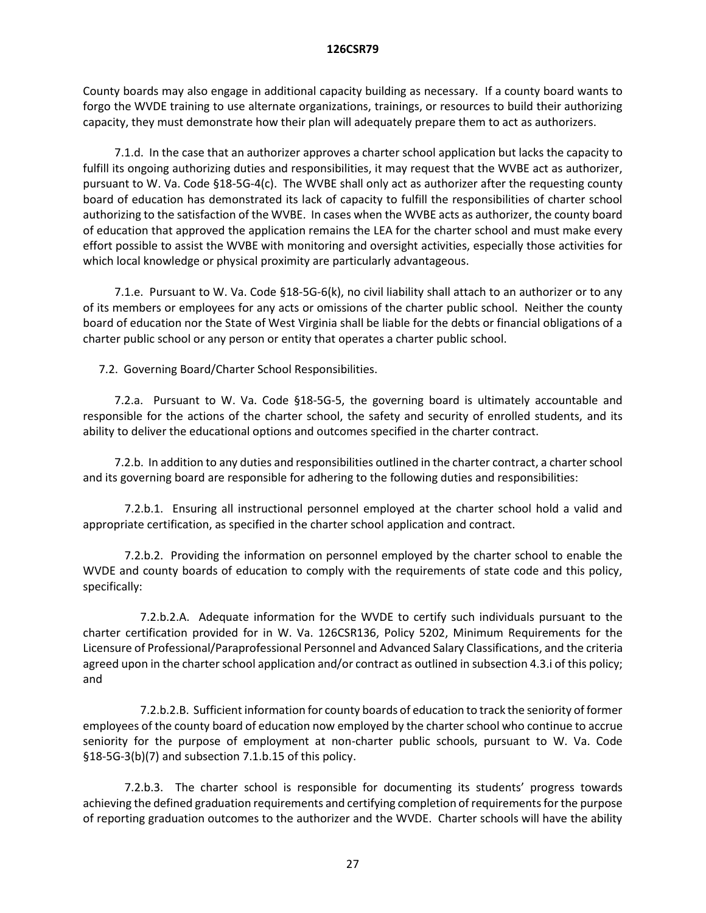County boards may also engage in additional capacity building as necessary. If a county board wants to forgo the WVDE training to use alternate organizations, trainings, or resources to build their authorizing capacity, they must demonstrate how their plan will adequately prepare them to act as authorizers.

7.1.d. In the case that an authorizer approves a charter school application but lacks the capacity to fulfill its ongoing authorizing duties and responsibilities, it may request that the WVBE act as authorizer, pursuant to W. Va. Code §18-5G-4(c). The WVBE shall only act as authorizer after the requesting county board of education has demonstrated its lack of capacity to fulfill the responsibilities of charter school authorizing to the satisfaction of the WVBE. In cases when the WVBE acts as authorizer, the county board of education that approved the application remains the LEA for the charter school and must make every effort possible to assist the WVBE with monitoring and oversight activities, especially those activities for which local knowledge or physical proximity are particularly advantageous.

7.1.e. Pursuant to W. Va. Code §18-5G-6(k), no civil liability shall attach to an authorizer or to any of its members or employees for any acts or omissions of the charter public school. Neither the county board of education nor the State of West Virginia shall be liable for the debts or financial obligations of a charter public school or any person or entity that operates a charter public school.

7.2. Governing Board/Charter School Responsibilities.

7.2.a. Pursuant to W. Va. Code §18-5G-5, the governing board is ultimately accountable and responsible for the actions of the charter school, the safety and security of enrolled students, and its ability to deliver the educational options and outcomes specified in the charter contract.

7.2.b. In addition to any duties and responsibilities outlined in the charter contract, a charter school and its governing board are responsible for adhering to the following duties and responsibilities:

7.2.b.1. Ensuring all instructional personnel employed at the charter school hold a valid and appropriate certification, as specified in the charter school application and contract.

7.2.b.2. Providing the information on personnel employed by the charter school to enable the WVDE and county boards of education to comply with the requirements of state code and this policy, specifically:

7.2.b.2.A. Adequate information for the WVDE to certify such individuals pursuant to the charter certification provided for in W. Va. 126CSR136, Policy 5202, Minimum Requirements for the Licensure of Professional/Paraprofessional Personnel and Advanced Salary Classifications, and the criteria agreed upon in the charter school application and/or contract as outlined in subsection 4.3.i of this policy; and

7.2.b.2.B. Sufficient information for county boards of education to track the seniority of former employees of the county board of education now employed by the charter school who continue to accrue seniority for the purpose of employment at non-charter public schools, pursuant to W. Va. Code §18-5G-3(b)(7) and subsection 7.1.b.15 of this policy.

7.2.b.3. The charter school is responsible for documenting its students' progress towards achieving the defined graduation requirements and certifying completion of requirements for the purpose of reporting graduation outcomes to the authorizer and the WVDE. Charter schools will have the ability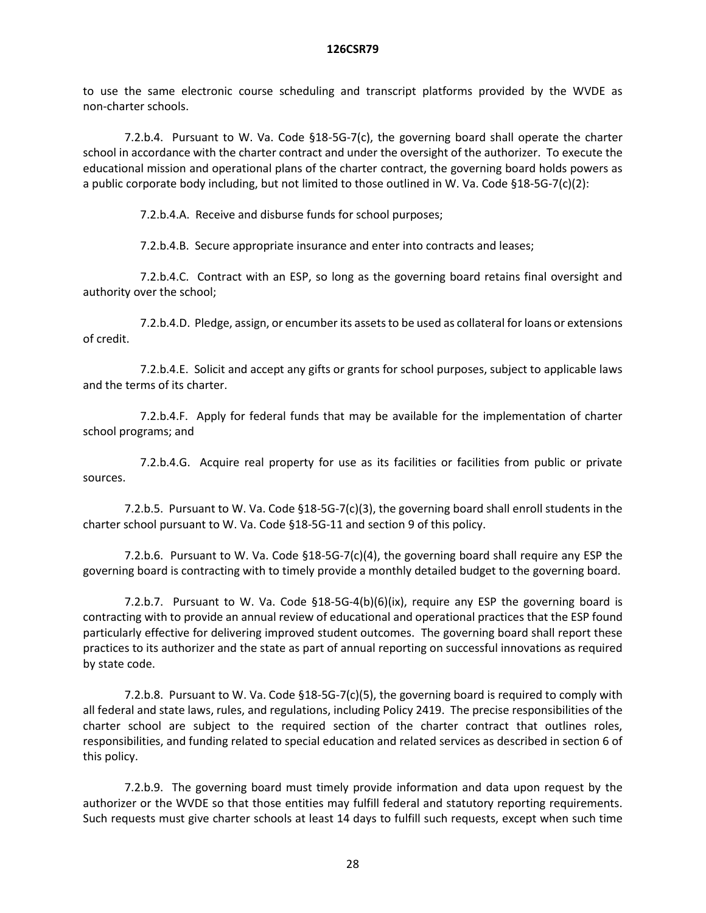to use the same electronic course scheduling and transcript platforms provided by the WVDE as non-charter schools.

7.2.b.4. Pursuant to W. Va. Code §18-5G-7(c), the governing board shall operate the charter school in accordance with the charter contract and under the oversight of the authorizer. To execute the educational mission and operational plans of the charter contract, the governing board holds powers as a public corporate body including, but not limited to those outlined in W. Va. Code §18-5G-7(c)(2):

7.2.b.4.A. Receive and disburse funds for school purposes;

7.2.b.4.B. Secure appropriate insurance and enter into contracts and leases;

7.2.b.4.C. Contract with an ESP, so long as the governing board retains final oversight and authority over the school;

7.2.b.4.D. Pledge, assign, or encumber its assets to be used as collateral for loans or extensions of credit.

7.2.b.4.E. Solicit and accept any gifts or grants for school purposes, subject to applicable laws and the terms of its charter.

7.2.b.4.F. Apply for federal funds that may be available for the implementation of charter school programs; and

7.2.b.4.G. Acquire real property for use as its facilities or facilities from public or private sources.

7.2.b.5. Pursuant to W. Va. Code §18-5G-7(c)(3), the governing board shall enroll students in the charter school pursuant to W. Va. Code §18-5G-11 and section 9 of this policy.

7.2.b.6. Pursuant to W. Va. Code §18-5G-7(c)(4), the governing board shall require any ESP the governing board is contracting with to timely provide a monthly detailed budget to the governing board.

7.2.b.7. Pursuant to W. Va. Code  $$18-5G-4(b)(6)(ix)$ , require any ESP the governing board is contracting with to provide an annual review of educational and operational practices that the ESP found particularly effective for delivering improved student outcomes. The governing board shall report these practices to its authorizer and the state as part of annual reporting on successful innovations as required by state code.

7.2.b.8. Pursuant to W. Va. Code §18-5G-7(c)(5), the governing board is required to comply with all federal and state laws, rules, and regulations, including Policy 2419. The precise responsibilities of the charter school are subject to the required section of the charter contract that outlines roles, responsibilities, and funding related to special education and related services as described in section 6 of this policy.

7.2.b.9. The governing board must timely provide information and data upon request by the authorizer or the WVDE so that those entities may fulfill federal and statutory reporting requirements. Such requests must give charter schools at least 14 days to fulfill such requests, except when such time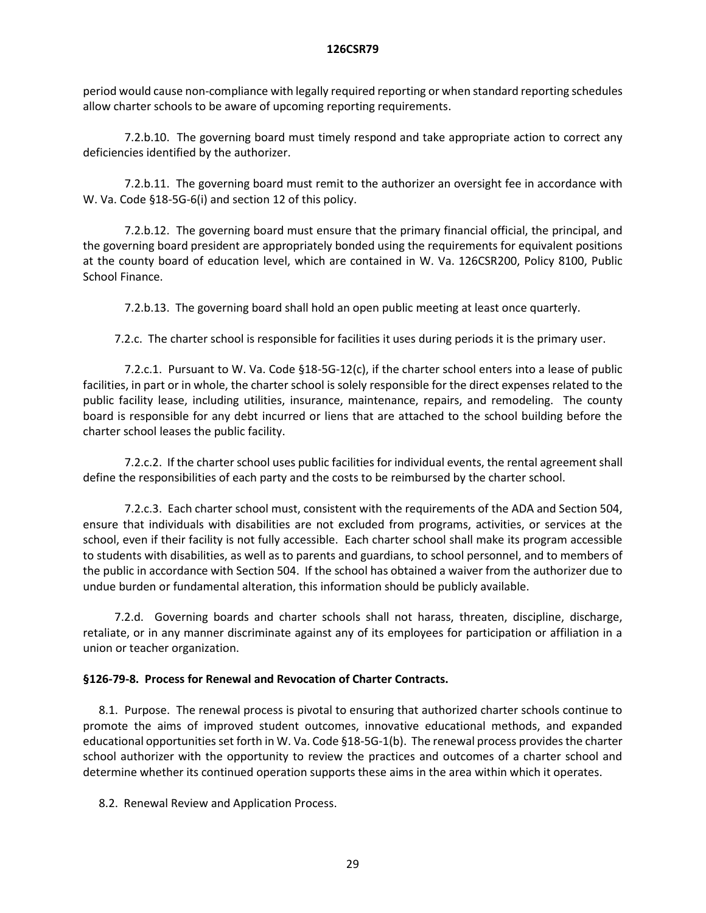period would cause non-compliance with legally required reporting or when standard reporting schedules allow charter schools to be aware of upcoming reporting requirements.

7.2.b.10. The governing board must timely respond and take appropriate action to correct any deficiencies identified by the authorizer.

7.2.b.11. The governing board must remit to the authorizer an oversight fee in accordance with W. Va. Code §18-5G-6(i) and section 12 of this policy.

7.2.b.12. The governing board must ensure that the primary financial official, the principal, and the governing board president are appropriately bonded using the requirements for equivalent positions at the county board of education level, which are contained in W. Va. 126CSR200, Policy 8100, Public School Finance.

7.2.b.13. The governing board shall hold an open public meeting at least once quarterly.

7.2.c. The charter school is responsible for facilities it uses during periods it is the primary user.

7.2.c.1. Pursuant to W. Va. Code §18-5G-12(c), if the charter school enters into a lease of public facilities, in part or in whole, the charter school is solely responsible for the direct expenses related to the public facility lease, including utilities, insurance, maintenance, repairs, and remodeling. The county board is responsible for any debt incurred or liens that are attached to the school building before the charter school leases the public facility.

7.2.c.2. If the charter school uses public facilities for individual events, the rental agreement shall define the responsibilities of each party and the costs to be reimbursed by the charter school.

7.2.c.3. Each charter school must, consistent with the requirements of the ADA and Section 504, ensure that individuals with disabilities are not excluded from programs, activities, or services at the school, even if their facility is not fully accessible. Each charter school shall make its program accessible to students with disabilities, as well as to parents and guardians, to school personnel, and to members of the public in accordance with Section 504. If the school has obtained a waiver from the authorizer due to undue burden or fundamental alteration, this information should be publicly available.

7.2.d. Governing boards and charter schools shall not harass, threaten, discipline, discharge, retaliate, or in any manner discriminate against any of its employees for participation or affiliation in a union or teacher organization.

# **§126-79-8. Process for Renewal and Revocation of Charter Contracts.**

8.1. Purpose. The renewal process is pivotal to ensuring that authorized charter schools continue to promote the aims of improved student outcomes, innovative educational methods, and expanded educational opportunities set forth in W. Va. Code §18-5G-1(b). The renewal process provides the charter school authorizer with the opportunity to review the practices and outcomes of a charter school and determine whether its continued operation supports these aims in the area within which it operates.

8.2. Renewal Review and Application Process.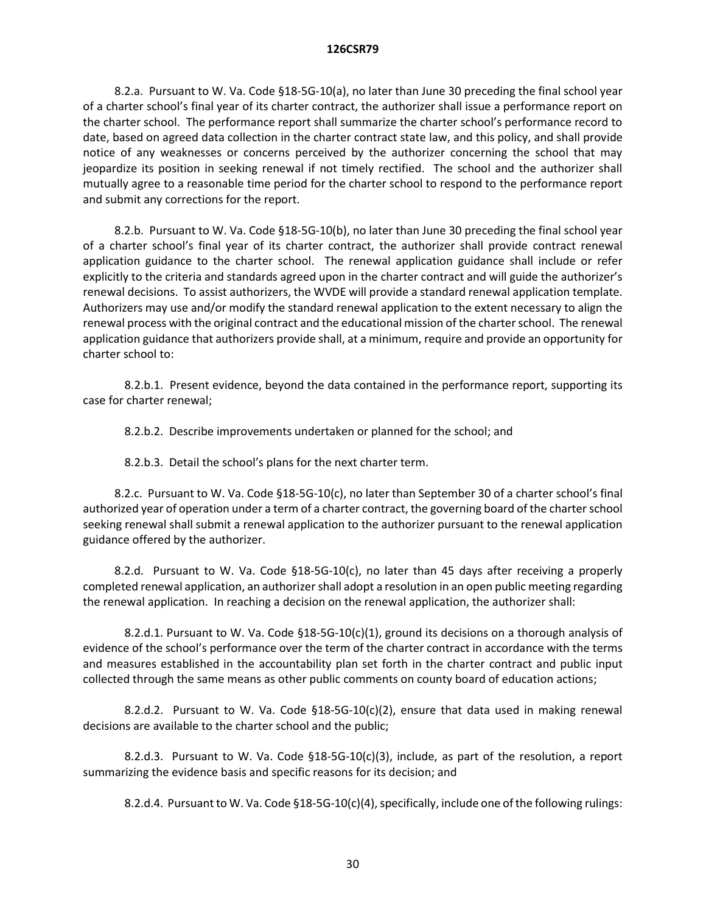8.2.a. Pursuant to W. Va. Code §18-5G-10(a), no later than June 30 preceding the final school year of a charter school's final year of its charter contract, the authorizer shall issue a performance report on the charter school. The performance report shall summarize the charter school's performance record to date, based on agreed data collection in the charter contract state law, and this policy, and shall provide notice of any weaknesses or concerns perceived by the authorizer concerning the school that may jeopardize its position in seeking renewal if not timely rectified. The school and the authorizer shall mutually agree to a reasonable time period for the charter school to respond to the performance report and submit any corrections for the report.

8.2.b. Pursuant to W. Va. Code §18-5G-10(b), no later than June 30 preceding the final school year of a charter school's final year of its charter contract, the authorizer shall provide contract renewal application guidance to the charter school. The renewal application guidance shall include or refer explicitly to the criteria and standards agreed upon in the charter contract and will guide the authorizer's renewal decisions. To assist authorizers, the WVDE will provide a standard renewal application template. Authorizers may use and/or modify the standard renewal application to the extent necessary to align the renewal process with the original contract and the educational mission of the charter school. The renewal application guidance that authorizers provide shall, at a minimum, require and provide an opportunity for charter school to:

8.2.b.1. Present evidence, beyond the data contained in the performance report, supporting its case for charter renewal;

8.2.b.2. Describe improvements undertaken or planned for the school; and

8.2.b.3. Detail the school's plans for the next charter term.

8.2.c. Pursuant to W. Va. Code §18-5G-10(c), no later than September 30 of a charter school's final authorized year of operation under a term of a charter contract, the governing board of the charter school seeking renewal shall submit a renewal application to the authorizer pursuant to the renewal application guidance offered by the authorizer.

8.2.d. Pursuant to W. Va. Code §18-5G-10(c), no later than 45 days after receiving a properly completed renewal application, an authorizer shall adopt a resolution in an open public meeting regarding the renewal application. In reaching a decision on the renewal application, the authorizer shall:

8.2.d.1. Pursuant to W. Va. Code §18-5G-10(c)(1), ground its decisions on a thorough analysis of evidence of the school's performance over the term of the charter contract in accordance with the terms and measures established in the accountability plan set forth in the charter contract and public input collected through the same means as other public comments on county board of education actions;

8.2.d.2. Pursuant to W. Va. Code  $$18-5G-10(c)(2)$ , ensure that data used in making renewal decisions are available to the charter school and the public;

8.2.d.3. Pursuant to W. Va. Code §18-5G-10(c)(3), include, as part of the resolution, a report summarizing the evidence basis and specific reasons for its decision; and

8.2.d.4. Pursuant to W. Va. Code §18-5G-10(c)(4), specifically, include one of the following rulings: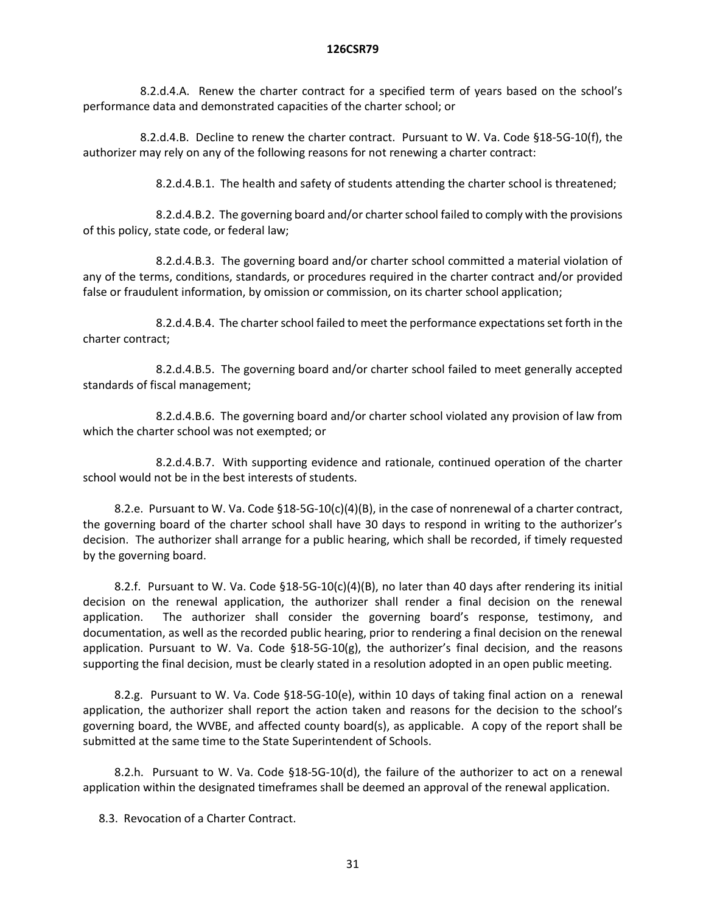8.2.d.4.A. Renew the charter contract for a specified term of years based on the school's performance data and demonstrated capacities of the charter school; or

8.2.d.4.B. Decline to renew the charter contract. Pursuant to W. Va. Code §18-5G-10(f), the authorizer may rely on any of the following reasons for not renewing a charter contract:

8.2.d.4.B.1. The health and safety of students attending the charter school is threatened;

8.2.d.4.B.2. The governing board and/or charter school failed to comply with the provisions of this policy, state code, or federal law;

8.2.d.4.B.3. The governing board and/or charter school committed a material violation of any of the terms, conditions, standards, or procedures required in the charter contract and/or provided false or fraudulent information, by omission or commission, on its charter school application;

8.2.d.4.B.4. The charter school failed to meet the performance expectations set forth in the charter contract;

8.2.d.4.B.5. The governing board and/or charter school failed to meet generally accepted standards of fiscal management;

8.2.d.4.B.6. The governing board and/or charter school violated any provision of law from which the charter school was not exempted; or

8.2.d.4.B.7. With supporting evidence and rationale, continued operation of the charter school would not be in the best interests of students.

8.2.e. Pursuant to W. Va. Code §18-5G-10(c)(4)(B), in the case of nonrenewal of a charter contract, the governing board of the charter school shall have 30 days to respond in writing to the authorizer's decision. The authorizer shall arrange for a public hearing, which shall be recorded, if timely requested by the governing board.

8.2.f. Pursuant to W. Va. Code §18-5G-10(c)(4)(B), no later than 40 days after rendering its initial decision on the renewal application, the authorizer shall render a final decision on the renewal application. The authorizer shall consider the governing board's response, testimony, and documentation, as well as the recorded public hearing, prior to rendering a final decision on the renewal application. Pursuant to W. Va. Code §18-5G-10(g), the authorizer's final decision, and the reasons supporting the final decision, must be clearly stated in a resolution adopted in an open public meeting.

8.2.g. Pursuant to W. Va. Code §18-5G-10(e), within 10 days of taking final action on a renewal application, the authorizer shall report the action taken and reasons for the decision to the school's governing board, the WVBE, and affected county board(s), as applicable. A copy of the report shall be submitted at the same time to the State Superintendent of Schools.

8.2.h. Pursuant to W. Va. Code §18-5G-10(d), the failure of the authorizer to act on a renewal application within the designated timeframes shall be deemed an approval of the renewal application.

8.3. Revocation of a Charter Contract.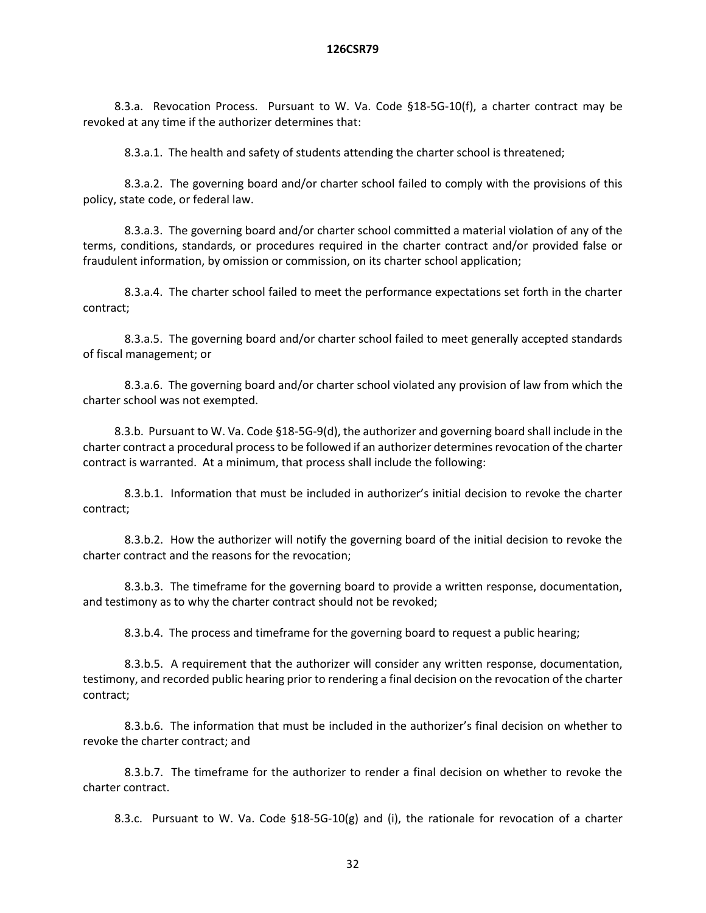8.3.a. Revocation Process. Pursuant to W. Va. Code §18-5G-10(f), a charter contract may be revoked at any time if the authorizer determines that:

8.3.a.1. The health and safety of students attending the charter school is threatened;

8.3.a.2. The governing board and/or charter school failed to comply with the provisions of this policy, state code, or federal law.

8.3.a.3. The governing board and/or charter school committed a material violation of any of the terms, conditions, standards, or procedures required in the charter contract and/or provided false or fraudulent information, by omission or commission, on its charter school application;

8.3.a.4. The charter school failed to meet the performance expectations set forth in the charter contract;

8.3.a.5. The governing board and/or charter school failed to meet generally accepted standards of fiscal management; or

8.3.a.6. The governing board and/or charter school violated any provision of law from which the charter school was not exempted.

8.3.b. Pursuant to W. Va. Code §18-5G-9(d), the authorizer and governing board shall include in the charter contract a procedural process to be followed if an authorizer determines revocation of the charter contract is warranted. At a minimum, that process shall include the following:

8.3.b.1. Information that must be included in authorizer's initial decision to revoke the charter contract;

8.3.b.2. How the authorizer will notify the governing board of the initial decision to revoke the charter contract and the reasons for the revocation;

8.3.b.3. The timeframe for the governing board to provide a written response, documentation, and testimony as to why the charter contract should not be revoked;

8.3.b.4. The process and timeframe for the governing board to request a public hearing;

8.3.b.5. A requirement that the authorizer will consider any written response, documentation, testimony, and recorded public hearing prior to rendering a final decision on the revocation of the charter contract;

8.3.b.6. The information that must be included in the authorizer's final decision on whether to revoke the charter contract; and

8.3.b.7. The timeframe for the authorizer to render a final decision on whether to revoke the charter contract.

8.3.c. Pursuant to W. Va. Code  $$18-5G-10(g)$  and (i), the rationale for revocation of a charter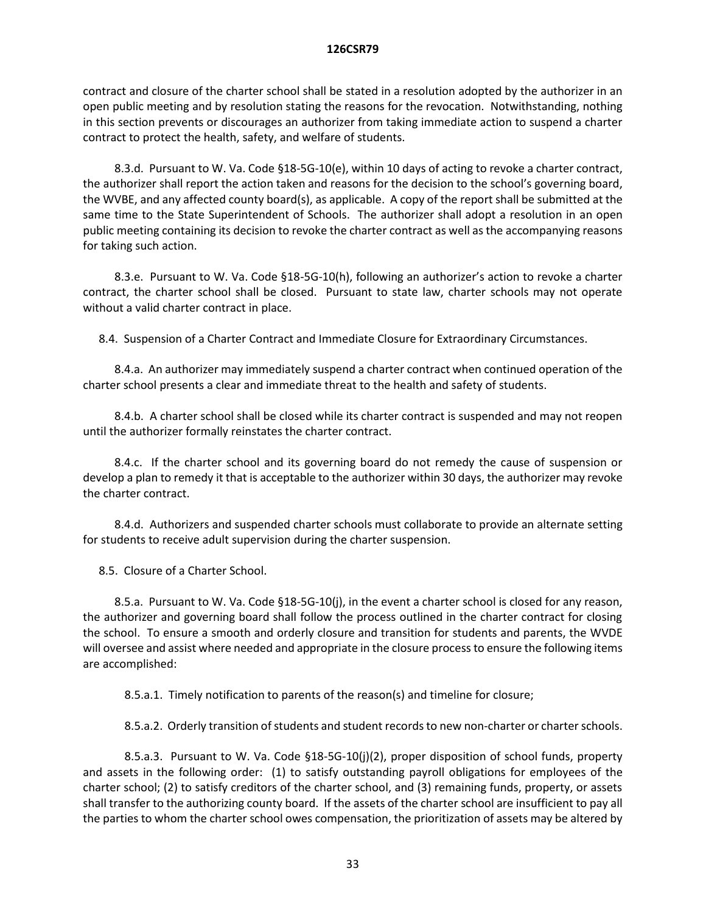contract and closure of the charter school shall be stated in a resolution adopted by the authorizer in an open public meeting and by resolution stating the reasons for the revocation. Notwithstanding, nothing in this section prevents or discourages an authorizer from taking immediate action to suspend a charter contract to protect the health, safety, and welfare of students.

8.3.d. Pursuant to W. Va. Code §18-5G-10(e), within 10 days of acting to revoke a charter contract, the authorizer shall report the action taken and reasons for the decision to the school's governing board, the WVBE, and any affected county board(s), as applicable. A copy of the report shall be submitted at the same time to the State Superintendent of Schools. The authorizer shall adopt a resolution in an open public meeting containing its decision to revoke the charter contract as well as the accompanying reasons for taking such action.

8.3.e. Pursuant to W. Va. Code §18-5G-10(h), following an authorizer's action to revoke a charter contract, the charter school shall be closed. Pursuant to state law, charter schools may not operate without a valid charter contract in place.

8.4. Suspension of a Charter Contract and Immediate Closure for Extraordinary Circumstances.

8.4.a. An authorizer may immediately suspend a charter contract when continued operation of the charter school presents a clear and immediate threat to the health and safety of students.

8.4.b. A charter school shall be closed while its charter contract is suspended and may not reopen until the authorizer formally reinstates the charter contract.

8.4.c. If the charter school and its governing board do not remedy the cause of suspension or develop a plan to remedy it that is acceptable to the authorizer within 30 days, the authorizer may revoke the charter contract.

8.4.d. Authorizers and suspended charter schools must collaborate to provide an alternate setting for students to receive adult supervision during the charter suspension.

8.5. Closure of a Charter School.

8.5.a. Pursuant to W. Va. Code §18-5G-10(j), in the event a charter school is closed for any reason, the authorizer and governing board shall follow the process outlined in the charter contract for closing the school. To ensure a smooth and orderly closure and transition for students and parents, the WVDE will oversee and assist where needed and appropriate in the closure process to ensure the following items are accomplished:

8.5.a.1. Timely notification to parents of the reason(s) and timeline for closure;

8.5.a.2. Orderly transition of students and student records to new non-charter or charter schools.

8.5.a.3. Pursuant to W. Va. Code §18-5G-10(j)(2), proper disposition of school funds, property and assets in the following order: (1) to satisfy outstanding payroll obligations for employees of the charter school; (2) to satisfy creditors of the charter school, and (3) remaining funds, property, or assets shall transfer to the authorizing county board. If the assets of the charter school are insufficient to pay all the parties to whom the charter school owes compensation, the prioritization of assets may be altered by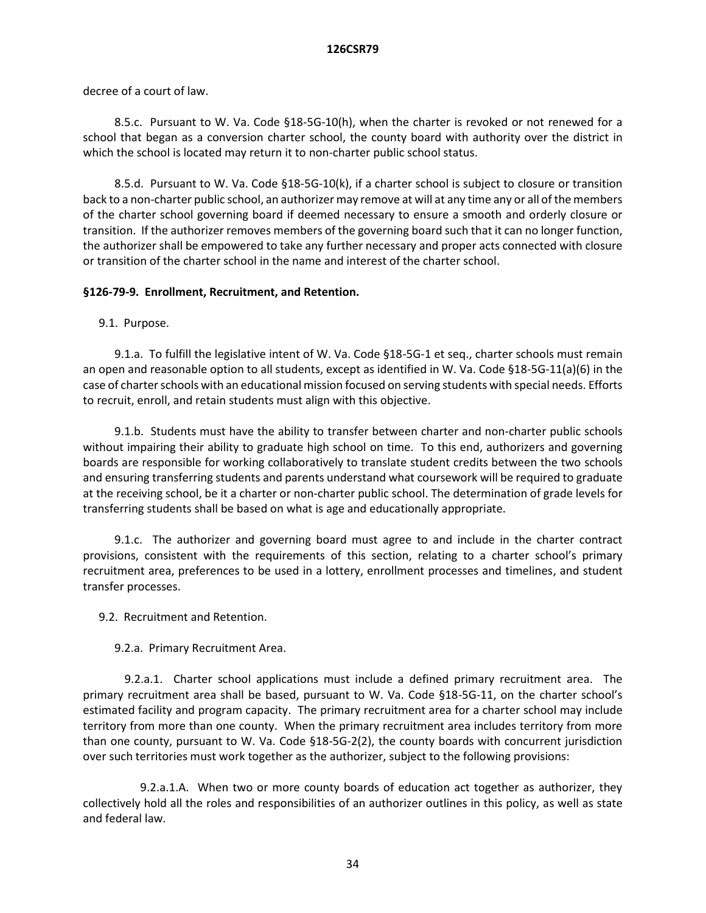decree of a court of law.

8.5.c. Pursuant to W. Va. Code §18-5G-10(h), when the charter is revoked or not renewed for a school that began as a conversion charter school, the county board with authority over the district in which the school is located may return it to non-charter public school status.

8.5.d. Pursuant to W. Va. Code §18-5G-10(k), if a charter school is subject to closure or transition back to a non-charter public school, an authorizer may remove at will at any time any or all of the members of the charter school governing board if deemed necessary to ensure a smooth and orderly closure or transition. If the authorizer removes members of the governing board such that it can no longer function, the authorizer shall be empowered to take any further necessary and proper acts connected with closure or transition of the charter school in the name and interest of the charter school.

# **§126-79-9. Enrollment, Recruitment, and Retention.**

9.1. Purpose.

9.1.a. To fulfill the legislative intent of W. Va. Code §18-5G-1 et seq., charter schools must remain an open and reasonable option to all students, except as identified in W. Va. Code §18-5G-11(a)(6) in the case of charter schools with an educational mission focused on serving students with special needs. Efforts to recruit, enroll, and retain students must align with this objective.

9.1.b. Students must have the ability to transfer between charter and non-charter public schools without impairing their ability to graduate high school on time. To this end, authorizers and governing boards are responsible for working collaboratively to translate student credits between the two schools and ensuring transferring students and parents understand what coursework will be required to graduate at the receiving school, be it a charter or non-charter public school. The determination of grade levels for transferring students shall be based on what is age and educationally appropriate.

9.1.c. The authorizer and governing board must agree to and include in the charter contract provisions, consistent with the requirements of this section, relating to a charter school's primary recruitment area, preferences to be used in a lottery, enrollment processes and timelines, and student transfer processes.

9.2. Recruitment and Retention.

9.2.a. Primary Recruitment Area.

9.2.a.1. Charter school applications must include a defined primary recruitment area. The primary recruitment area shall be based, pursuant to W. Va. Code §18-5G-11, on the charter school's estimated facility and program capacity. The primary recruitment area for a charter school may include territory from more than one county. When the primary recruitment area includes territory from more than one county, pursuant to W. Va. Code §18-5G-2(2), the county boards with concurrent jurisdiction over such territories must work together as the authorizer, subject to the following provisions:

9.2.a.1.A. When two or more county boards of education act together as authorizer, they collectively hold all the roles and responsibilities of an authorizer outlines in this policy, as well as state and federal law.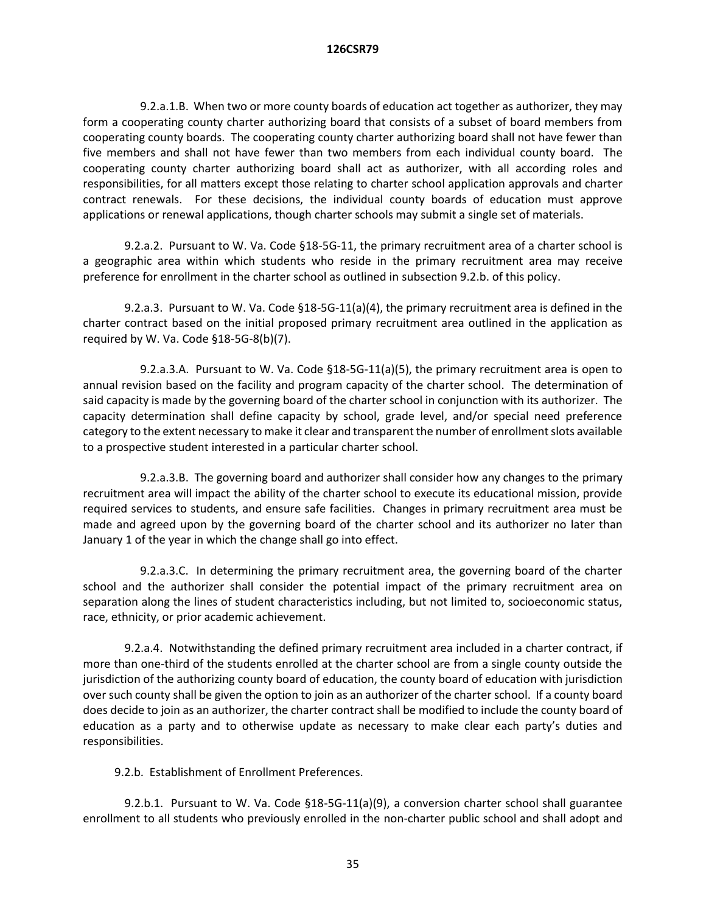9.2.a.1.B. When two or more county boards of education act together as authorizer, they may form a cooperating county charter authorizing board that consists of a subset of board members from cooperating county boards. The cooperating county charter authorizing board shall not have fewer than five members and shall not have fewer than two members from each individual county board. The cooperating county charter authorizing board shall act as authorizer, with all according roles and responsibilities, for all matters except those relating to charter school application approvals and charter contract renewals. For these decisions, the individual county boards of education must approve applications or renewal applications, though charter schools may submit a single set of materials.

9.2.a.2. Pursuant to W. Va. Code §18-5G-11, the primary recruitment area of a charter school is a geographic area within which students who reside in the primary recruitment area may receive preference for enrollment in the charter school as outlined in subsection 9.2.b. of this policy.

9.2.a.3. Pursuant to W. Va. Code §18-5G-11(a)(4), the primary recruitment area is defined in the charter contract based on the initial proposed primary recruitment area outlined in the application as required by W. Va. Code §18-5G-8(b)(7).

9.2.a.3.A. Pursuant to W. Va. Code §18-5G-11(a)(5), the primary recruitment area is open to annual revision based on the facility and program capacity of the charter school. The determination of said capacity is made by the governing board of the charter school in conjunction with its authorizer. The capacity determination shall define capacity by school, grade level, and/or special need preference category to the extent necessary to make it clear and transparent the number of enrollment slots available to a prospective student interested in a particular charter school.

9.2.a.3.B. The governing board and authorizer shall consider how any changes to the primary recruitment area will impact the ability of the charter school to execute its educational mission, provide required services to students, and ensure safe facilities. Changes in primary recruitment area must be made and agreed upon by the governing board of the charter school and its authorizer no later than January 1 of the year in which the change shall go into effect.

9.2.a.3.C. In determining the primary recruitment area, the governing board of the charter school and the authorizer shall consider the potential impact of the primary recruitment area on separation along the lines of student characteristics including, but not limited to, socioeconomic status, race, ethnicity, or prior academic achievement.

9.2.a.4. Notwithstanding the defined primary recruitment area included in a charter contract, if more than one-third of the students enrolled at the charter school are from a single county outside the jurisdiction of the authorizing county board of education, the county board of education with jurisdiction over such county shall be given the option to join as an authorizer of the charter school. If a county board does decide to join as an authorizer, the charter contract shall be modified to include the county board of education as a party and to otherwise update as necessary to make clear each party's duties and responsibilities.

9.2.b. Establishment of Enrollment Preferences.

9.2.b.1. Pursuant to W. Va. Code §18-5G-11(a)(9), a conversion charter school shall guarantee enrollment to all students who previously enrolled in the non-charter public school and shall adopt and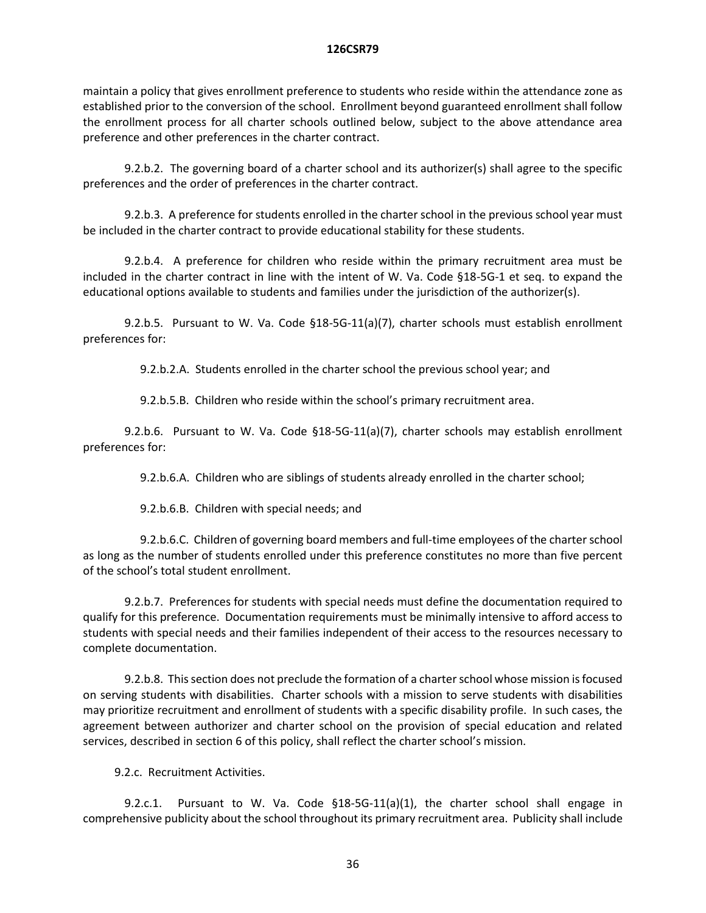maintain a policy that gives enrollment preference to students who reside within the attendance zone as established prior to the conversion of the school. Enrollment beyond guaranteed enrollment shall follow the enrollment process for all charter schools outlined below, subject to the above attendance area preference and other preferences in the charter contract.

9.2.b.2. The governing board of a charter school and its authorizer(s) shall agree to the specific preferences and the order of preferences in the charter contract.

9.2.b.3. A preference for students enrolled in the charter school in the previous school year must be included in the charter contract to provide educational stability for these students.

9.2.b.4. A preference for children who reside within the primary recruitment area must be included in the charter contract in line with the intent of W. Va. Code §18-5G-1 et seq. to expand the educational options available to students and families under the jurisdiction of the authorizer(s).

9.2.b.5. Pursuant to W. Va. Code §18-5G-11(a)(7), charter schools must establish enrollment preferences for:

9.2.b.2.A. Students enrolled in the charter school the previous school year; and

9.2.b.5.B. Children who reside within the school's primary recruitment area.

9.2.b.6. Pursuant to W. Va. Code §18-5G-11(a)(7), charter schools may establish enrollment preferences for:

9.2.b.6.A. Children who are siblings of students already enrolled in the charter school;

9.2.b.6.B. Children with special needs; and

9.2.b.6.C. Children of governing board members and full-time employees of the charter school as long as the number of students enrolled under this preference constitutes no more than five percent of the school's total student enrollment.

9.2.b.7. Preferences for students with special needs must define the documentation required to qualify for this preference. Documentation requirements must be minimally intensive to afford access to students with special needs and their families independent of their access to the resources necessary to complete documentation.

9.2.b.8. This section does not preclude the formation of a charter school whose mission is focused on serving students with disabilities. Charter schools with a mission to serve students with disabilities may prioritize recruitment and enrollment of students with a specific disability profile. In such cases, the agreement between authorizer and charter school on the provision of special education and related services, described in section 6 of this policy, shall reflect the charter school's mission.

9.2.c. Recruitment Activities.

9.2.c.1. Pursuant to W. Va. Code §18-5G-11(a)(1), the charter school shall engage in comprehensive publicity about the school throughout its primary recruitment area. Publicity shall include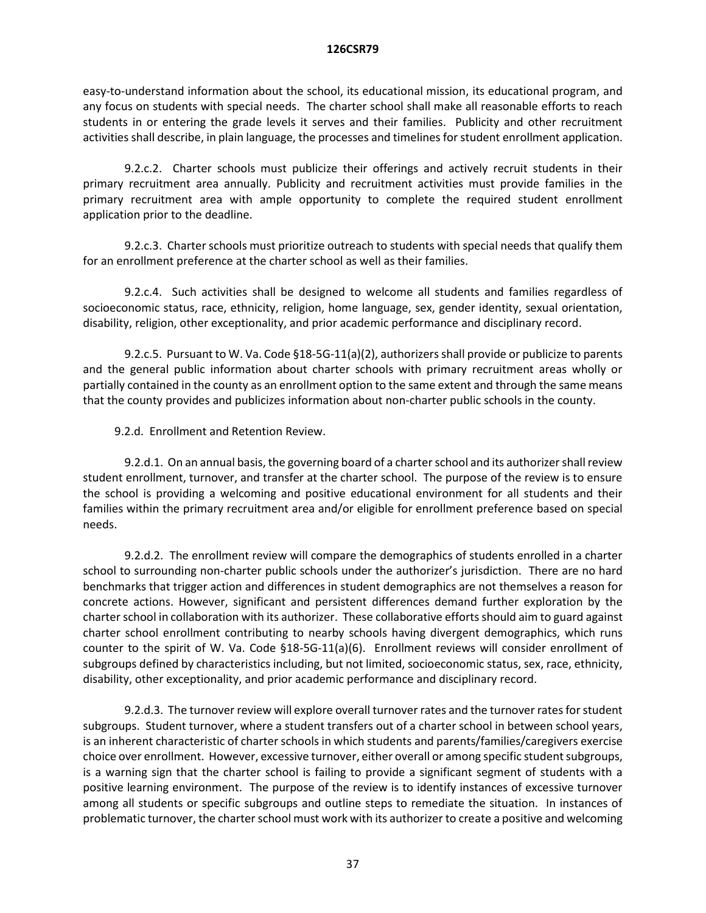easy-to-understand information about the school, its educational mission, its educational program, and any focus on students with special needs. The charter school shall make all reasonable efforts to reach students in or entering the grade levels it serves and their families. Publicity and other recruitment activities shall describe, in plain language, the processes and timelines for student enrollment application.

9.2.c.2. Charter schools must publicize their offerings and actively recruit students in their primary recruitment area annually. Publicity and recruitment activities must provide families in the primary recruitment area with ample opportunity to complete the required student enrollment application prior to the deadline.

9.2.c.3. Charter schools must prioritize outreach to students with special needs that qualify them for an enrollment preference at the charter school as well as their families.

9.2.c.4. Such activities shall be designed to welcome all students and families regardless of socioeconomic status, race, ethnicity, religion, home language, sex, gender identity, sexual orientation, disability, religion, other exceptionality, and prior academic performance and disciplinary record.

9.2.c.5. Pursuant to W. Va. Code §18-5G-11(a)(2), authorizers shall provide or publicize to parents and the general public information about charter schools with primary recruitment areas wholly or partially contained in the county as an enrollment option to the same extent and through the same means that the county provides and publicizes information about non-charter public schools in the county.

9.2.d. Enrollment and Retention Review.

9.2.d.1. On an annual basis, the governing board of a charter school and its authorizer shall review student enrollment, turnover, and transfer at the charter school. The purpose of the review is to ensure the school is providing a welcoming and positive educational environment for all students and their families within the primary recruitment area and/or eligible for enrollment preference based on special needs.

9.2.d.2. The enrollment review will compare the demographics of students enrolled in a charter school to surrounding non-charter public schools under the authorizer's jurisdiction. There are no hard benchmarks that trigger action and differences in student demographics are not themselves a reason for concrete actions. However, significant and persistent differences demand further exploration by the charter school in collaboration with its authorizer. These collaborative efforts should aim to guard against charter school enrollment contributing to nearby schools having divergent demographics, which runs counter to the spirit of W. Va. Code §18-5G-11(a)(6). Enrollment reviews will consider enrollment of subgroups defined by characteristics including, but not limited, socioeconomic status, sex, race, ethnicity, disability, other exceptionality, and prior academic performance and disciplinary record.

9.2.d.3. The turnover review will explore overall turnover rates and the turnover rates for student subgroups. Student turnover, where a student transfers out of a charter school in between school years, is an inherent characteristic of charter schools in which students and parents/families/caregivers exercise choice over enrollment. However, excessive turnover, either overall or among specific student subgroups, is a warning sign that the charter school is failing to provide a significant segment of students with a positive learning environment. The purpose of the review is to identify instances of excessive turnover among all students or specific subgroups and outline steps to remediate the situation. In instances of problematic turnover, the charter school must work with its authorizer to create a positive and welcoming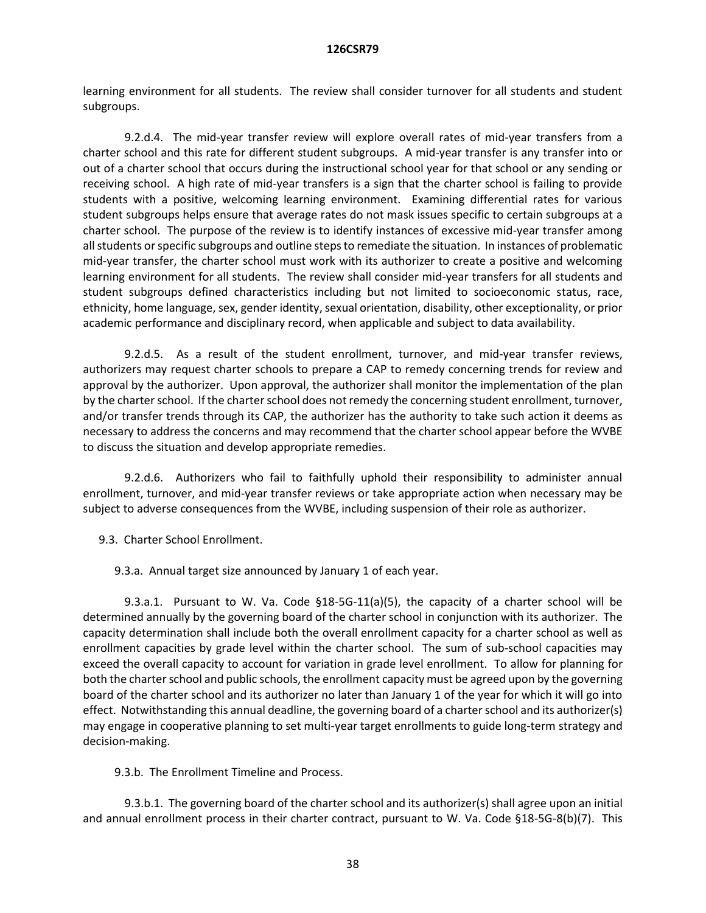learning environment for all students. The review shall consider turnover for all students and student subgroups.

9.2.d.4. The mid-year transfer review will explore overall rates of mid-year transfers from a charter school and this rate for different student subgroups. A mid-year transfer is any transfer into or out of a charter school that occurs during the instructional school year for that school or any sending or receiving school. A high rate of mid-year transfers is a sign that the charter school is failing to provide students with a positive, welcoming learning environment. Examining differential rates for various student subgroups helps ensure that average rates do not mask issues specific to certain subgroups at a charter school. The purpose of the review is to identify instances of excessive mid-year transfer among all students or specific subgroups and outline steps to remediate the situation. In instances of problematic mid-year transfer, the charter school must work with its authorizer to create a positive and welcoming learning environment for all students. The review shall consider mid-year transfers for all students and student subgroups defined characteristics including but not limited to socioeconomic status, race, ethnicity, home language, sex, gender identity, sexual orientation, disability, other exceptionality, or prior academic performance and disciplinary record, when applicable and subject to data availability.

9.2.d.5. As a result of the student enrollment, turnover, and mid-year transfer reviews, authorizers may request charter schools to prepare a CAP to remedy concerning trends for review and approval by the authorizer. Upon approval, the authorizer shall monitor the implementation of the plan by the charter school. If the charter school does not remedy the concerning student enrollment, turnover, and/or transfer trends through its CAP, the authorizer has the authority to take such action it deems as necessary to address the concerns and may recommend that the charter school appear before the WVBE to discuss the situation and develop appropriate remedies.

9.2.d.6. Authorizers who fail to faithfully uphold their responsibility to administer annual enrollment, turnover, and mid-year transfer reviews or take appropriate action when necessary may be subject to adverse consequences from the WVBE, including suspension of their role as authorizer.

9.3. Charter School Enrollment.

9.3.a. Annual target size announced by January 1 of each year.

9.3.a.1. Pursuant to W. Va. Code §18-5G-11(a)(5), the capacity of a charter school will be determined annually by the governing board of the charter school in conjunction with its authorizer. The capacity determination shall include both the overall enrollment capacity for a charter school as well as enrollment capacities by grade level within the charter school. The sum of sub-school capacities may exceed the overall capacity to account for variation in grade level enrollment. To allow for planning for both the charter school and public schools, the enrollment capacity must be agreed upon by the governing board of the charter school and its authorizer no later than January 1 of the year for which it will go into effect. Notwithstanding this annual deadline, the governing board of a charter school and its authorizer(s) may engage in cooperative planning to set multi-year target enrollments to guide long-term strategy and decision-making.

9.3.b. The Enrollment Timeline and Process.

9.3.b.1. The governing board of the charter school and its authorizer(s) shall agree upon an initial and annual enrollment process in their charter contract, pursuant to W. Va. Code §18-5G-8(b)(7). This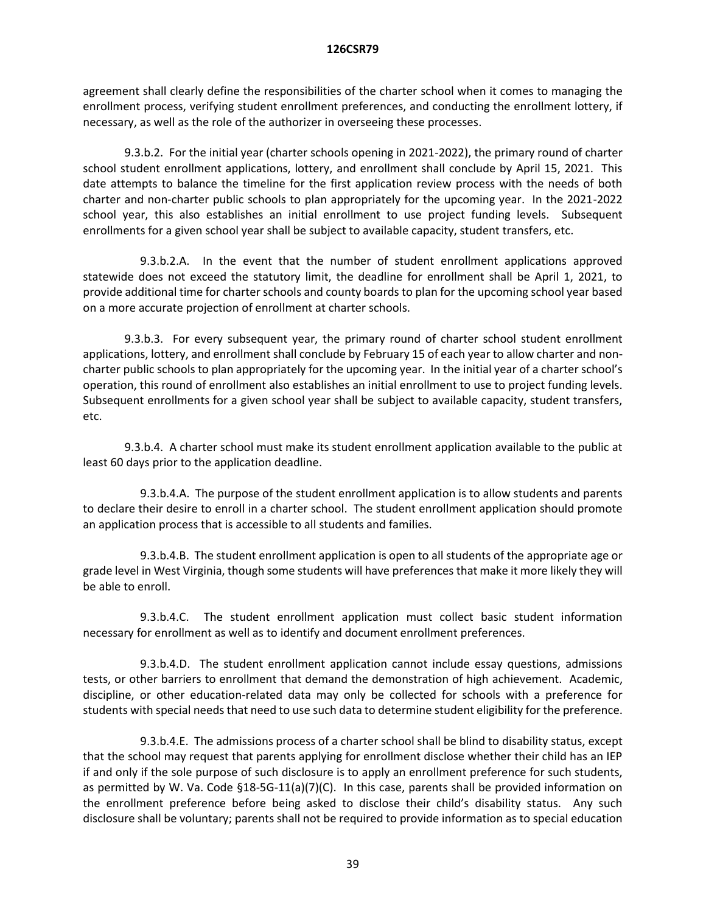agreement shall clearly define the responsibilities of the charter school when it comes to managing the enrollment process, verifying student enrollment preferences, and conducting the enrollment lottery, if necessary, as well as the role of the authorizer in overseeing these processes.

9.3.b.2. For the initial year (charter schools opening in 2021-2022), the primary round of charter school student enrollment applications, lottery, and enrollment shall conclude by April 15, 2021. This date attempts to balance the timeline for the first application review process with the needs of both charter and non-charter public schools to plan appropriately for the upcoming year. In the 2021-2022 school year, this also establishes an initial enrollment to use project funding levels. Subsequent enrollments for a given school year shall be subject to available capacity, student transfers, etc.

9.3.b.2.A. In the event that the number of student enrollment applications approved statewide does not exceed the statutory limit, the deadline for enrollment shall be April 1, 2021, to provide additional time for charter schools and county boards to plan for the upcoming school year based on a more accurate projection of enrollment at charter schools.

9.3.b.3. For every subsequent year, the primary round of charter school student enrollment applications, lottery, and enrollment shall conclude by February 15 of each year to allow charter and noncharter public schools to plan appropriately for the upcoming year. In the initial year of a charter school's operation, this round of enrollment also establishes an initial enrollment to use to project funding levels. Subsequent enrollments for a given school year shall be subject to available capacity, student transfers, etc.

9.3.b.4. A charter school must make its student enrollment application available to the public at least 60 days prior to the application deadline.

9.3.b.4.A. The purpose of the student enrollment application is to allow students and parents to declare their desire to enroll in a charter school. The student enrollment application should promote an application process that is accessible to all students and families.

9.3.b.4.B. The student enrollment application is open to all students of the appropriate age or grade level in West Virginia, though some students will have preferences that make it more likely they will be able to enroll.

9.3.b.4.C. The student enrollment application must collect basic student information necessary for enrollment as well as to identify and document enrollment preferences.

9.3.b.4.D. The student enrollment application cannot include essay questions, admissions tests, or other barriers to enrollment that demand the demonstration of high achievement. Academic, discipline, or other education-related data may only be collected for schools with a preference for students with special needs that need to use such data to determine student eligibility for the preference.

9.3.b.4.E. The admissions process of a charter school shall be blind to disability status, except that the school may request that parents applying for enrollment disclose whether their child has an IEP if and only if the sole purpose of such disclosure is to apply an enrollment preference for such students, as permitted by W. Va. Code §18-5G-11(a)(7)(C). In this case, parents shall be provided information on the enrollment preference before being asked to disclose their child's disability status. Any such disclosure shall be voluntary; parents shall not be required to provide information as to special education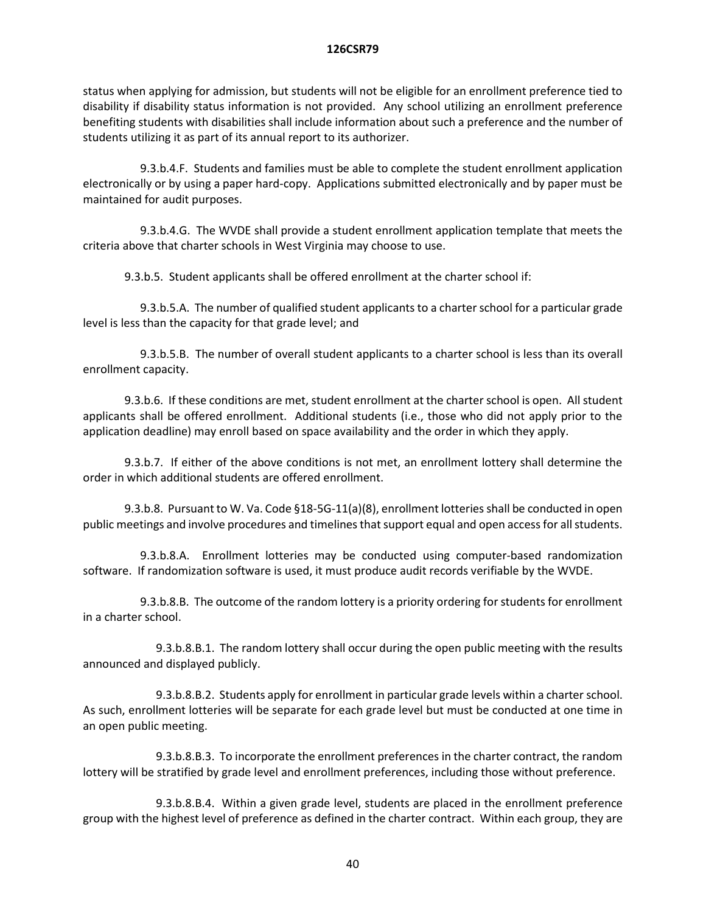status when applying for admission, but students will not be eligible for an enrollment preference tied to disability if disability status information is not provided. Any school utilizing an enrollment preference benefiting students with disabilities shall include information about such a preference and the number of students utilizing it as part of its annual report to its authorizer.

9.3.b.4.F. Students and families must be able to complete the student enrollment application electronically or by using a paper hard-copy. Applications submitted electronically and by paper must be maintained for audit purposes.

9.3.b.4.G. The WVDE shall provide a student enrollment application template that meets the criteria above that charter schools in West Virginia may choose to use.

9.3.b.5. Student applicants shall be offered enrollment at the charter school if:

9.3.b.5.A. The number of qualified student applicants to a charter school for a particular grade level is less than the capacity for that grade level; and

9.3.b.5.B. The number of overall student applicants to a charter school is less than its overall enrollment capacity.

9.3.b.6. If these conditions are met, student enrollment at the charter school is open. All student applicants shall be offered enrollment. Additional students (i.e., those who did not apply prior to the application deadline) may enroll based on space availability and the order in which they apply.

9.3.b.7. If either of the above conditions is not met, an enrollment lottery shall determine the order in which additional students are offered enrollment.

9.3.b.8. Pursuant to W. Va. Code §18-5G-11(a)(8), enrollment lotteries shall be conducted in open public meetings and involve procedures and timelines that support equal and open access for all students.

9.3.b.8.A. Enrollment lotteries may be conducted using computer-based randomization software. If randomization software is used, it must produce audit records verifiable by the WVDE.

9.3.b.8.B. The outcome of the random lottery is a priority ordering for students for enrollment in a charter school.

9.3.b.8.B.1. The random lottery shall occur during the open public meeting with the results announced and displayed publicly.

9.3.b.8.B.2. Students apply for enrollment in particular grade levels within a charter school. As such, enrollment lotteries will be separate for each grade level but must be conducted at one time in an open public meeting.

9.3.b.8.B.3. To incorporate the enrollment preferences in the charter contract, the random lottery will be stratified by grade level and enrollment preferences, including those without preference.

9.3.b.8.B.4. Within a given grade level, students are placed in the enrollment preference group with the highest level of preference as defined in the charter contract. Within each group, they are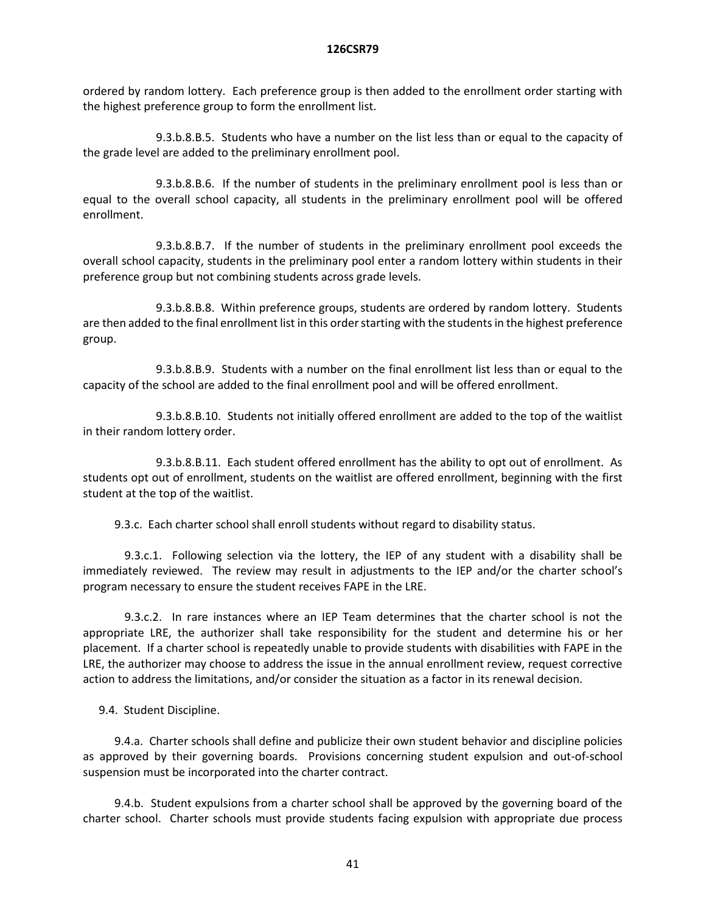ordered by random lottery. Each preference group is then added to the enrollment order starting with the highest preference group to form the enrollment list.

9.3.b.8.B.5. Students who have a number on the list less than or equal to the capacity of the grade level are added to the preliminary enrollment pool.

9.3.b.8.B.6. If the number of students in the preliminary enrollment pool is less than or equal to the overall school capacity, all students in the preliminary enrollment pool will be offered enrollment.

9.3.b.8.B.7. If the number of students in the preliminary enrollment pool exceeds the overall school capacity, students in the preliminary pool enter a random lottery within students in their preference group but not combining students across grade levels.

9.3.b.8.B.8. Within preference groups, students are ordered by random lottery. Students are then added to the final enrollment list in this order starting with the students in the highest preference group.

9.3.b.8.B.9. Students with a number on the final enrollment list less than or equal to the capacity of the school are added to the final enrollment pool and will be offered enrollment.

9.3.b.8.B.10. Students not initially offered enrollment are added to the top of the waitlist in their random lottery order.

9.3.b.8.B.11. Each student offered enrollment has the ability to opt out of enrollment. As students opt out of enrollment, students on the waitlist are offered enrollment, beginning with the first student at the top of the waitlist.

9.3.c. Each charter school shall enroll students without regard to disability status.

9.3.c.1. Following selection via the lottery, the IEP of any student with a disability shall be immediately reviewed. The review may result in adjustments to the IEP and/or the charter school's program necessary to ensure the student receives FAPE in the LRE.

9.3.c.2. In rare instances where an IEP Team determines that the charter school is not the appropriate LRE, the authorizer shall take responsibility for the student and determine his or her placement. If a charter school is repeatedly unable to provide students with disabilities with FAPE in the LRE, the authorizer may choose to address the issue in the annual enrollment review, request corrective action to address the limitations, and/or consider the situation as a factor in its renewal decision.

9.4. Student Discipline.

9.4.a. Charter schools shall define and publicize their own student behavior and discipline policies as approved by their governing boards. Provisions concerning student expulsion and out-of-school suspension must be incorporated into the charter contract.

9.4.b. Student expulsions from a charter school shall be approved by the governing board of the charter school. Charter schools must provide students facing expulsion with appropriate due process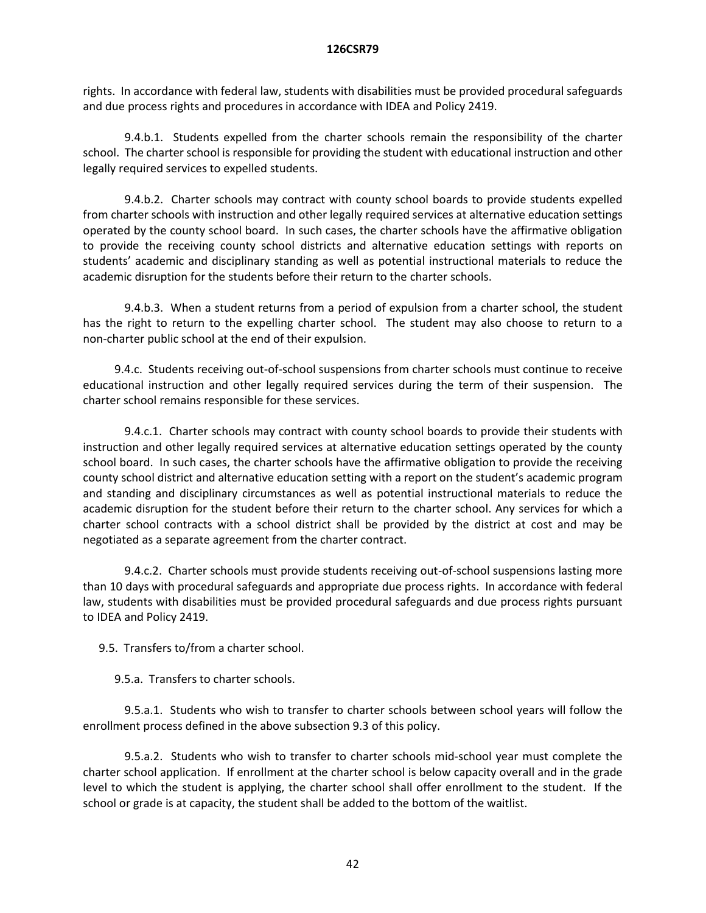rights. In accordance with federal law, students with disabilities must be provided procedural safeguards and due process rights and procedures in accordance with IDEA and Policy 2419.

9.4.b.1. Students expelled from the charter schools remain the responsibility of the charter school. The charter school is responsible for providing the student with educational instruction and other legally required services to expelled students.

9.4.b.2. Charter schools may contract with county school boards to provide students expelled from charter schools with instruction and other legally required services at alternative education settings operated by the county school board. In such cases, the charter schools have the affirmative obligation to provide the receiving county school districts and alternative education settings with reports on students' academic and disciplinary standing as well as potential instructional materials to reduce the academic disruption for the students before their return to the charter schools.

9.4.b.3. When a student returns from a period of expulsion from a charter school, the student has the right to return to the expelling charter school. The student may also choose to return to a non-charter public school at the end of their expulsion.

9.4.c. Students receiving out-of-school suspensions from charter schools must continue to receive educational instruction and other legally required services during the term of their suspension. The charter school remains responsible for these services.

9.4.c.1. Charter schools may contract with county school boards to provide their students with instruction and other legally required services at alternative education settings operated by the county school board. In such cases, the charter schools have the affirmative obligation to provide the receiving county school district and alternative education setting with a report on the student's academic program and standing and disciplinary circumstances as well as potential instructional materials to reduce the academic disruption for the student before their return to the charter school. Any services for which a charter school contracts with a school district shall be provided by the district at cost and may be negotiated as a separate agreement from the charter contract.

9.4.c.2. Charter schools must provide students receiving out-of-school suspensions lasting more than 10 days with procedural safeguards and appropriate due process rights. In accordance with federal law, students with disabilities must be provided procedural safeguards and due process rights pursuant to IDEA and Policy 2419.

9.5. Transfers to/from a charter school.

9.5.a. Transfers to charter schools.

9.5.a.1. Students who wish to transfer to charter schools between school years will follow the enrollment process defined in the above subsection 9.3 of this policy.

9.5.a.2. Students who wish to transfer to charter schools mid-school year must complete the charter school application. If enrollment at the charter school is below capacity overall and in the grade level to which the student is applying, the charter school shall offer enrollment to the student. If the school or grade is at capacity, the student shall be added to the bottom of the waitlist.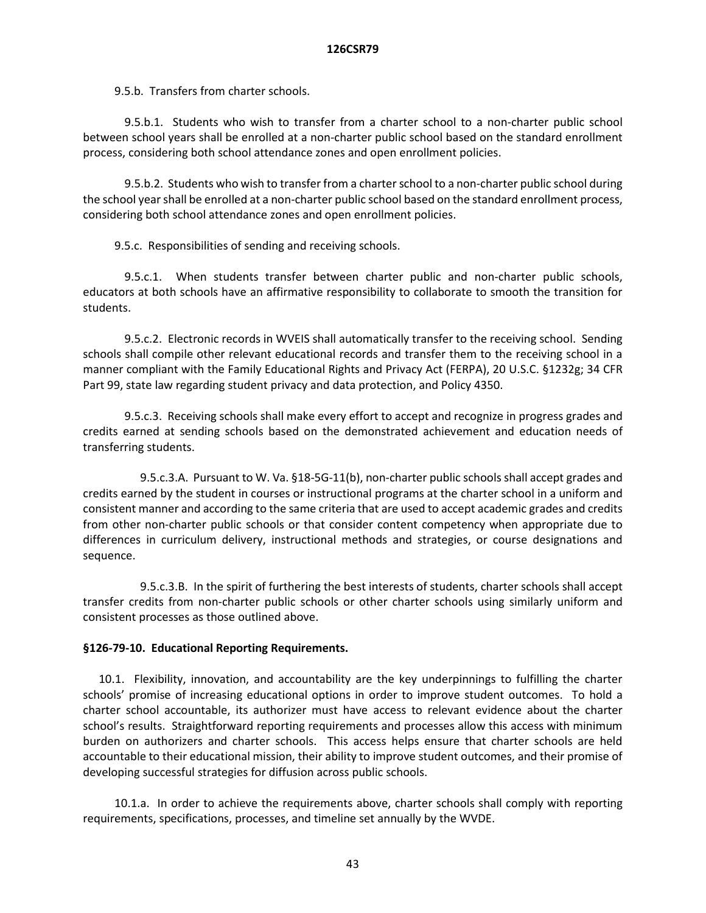9.5.b. Transfers from charter schools.

9.5.b.1. Students who wish to transfer from a charter school to a non-charter public school between school years shall be enrolled at a non-charter public school based on the standard enrollment process, considering both school attendance zones and open enrollment policies.

9.5.b.2. Students who wish to transfer from a charter school to a non-charter public school during the school year shall be enrolled at a non-charter public school based on the standard enrollment process, considering both school attendance zones and open enrollment policies.

9.5.c. Responsibilities of sending and receiving schools.

9.5.c.1. When students transfer between charter public and non-charter public schools, educators at both schools have an affirmative responsibility to collaborate to smooth the transition for students.

9.5.c.2. Electronic records in WVEIS shall automatically transfer to the receiving school. Sending schools shall compile other relevant educational records and transfer them to the receiving school in a manner compliant with the Family Educational Rights and Privacy Act (FERPA), 20 U.S.C. §1232g; 34 CFR Part 99, state law regarding student privacy and data protection, and Policy 4350.

9.5.c.3. Receiving schools shall make every effort to accept and recognize in progress grades and credits earned at sending schools based on the demonstrated achievement and education needs of transferring students.

9.5.c.3.A. Pursuant to W. Va. §18-5G-11(b), non-charter public schools shall accept grades and credits earned by the student in courses or instructional programs at the charter school in a uniform and consistent manner and according to the same criteria that are used to accept academic grades and credits from other non-charter public schools or that consider content competency when appropriate due to differences in curriculum delivery, instructional methods and strategies, or course designations and sequence.

9.5.c.3.B. In the spirit of furthering the best interests of students, charter schools shall accept transfer credits from non-charter public schools or other charter schools using similarly uniform and consistent processes as those outlined above.

# **§126-79-10. Educational Reporting Requirements.**

10.1. Flexibility, innovation, and accountability are the key underpinnings to fulfilling the charter schools' promise of increasing educational options in order to improve student outcomes. To hold a charter school accountable, its authorizer must have access to relevant evidence about the charter school's results. Straightforward reporting requirements and processes allow this access with minimum burden on authorizers and charter schools. This access helps ensure that charter schools are held accountable to their educational mission, their ability to improve student outcomes, and their promise of developing successful strategies for diffusion across public schools.

10.1.a. In order to achieve the requirements above, charter schools shall comply with reporting requirements, specifications, processes, and timeline set annually by the WVDE.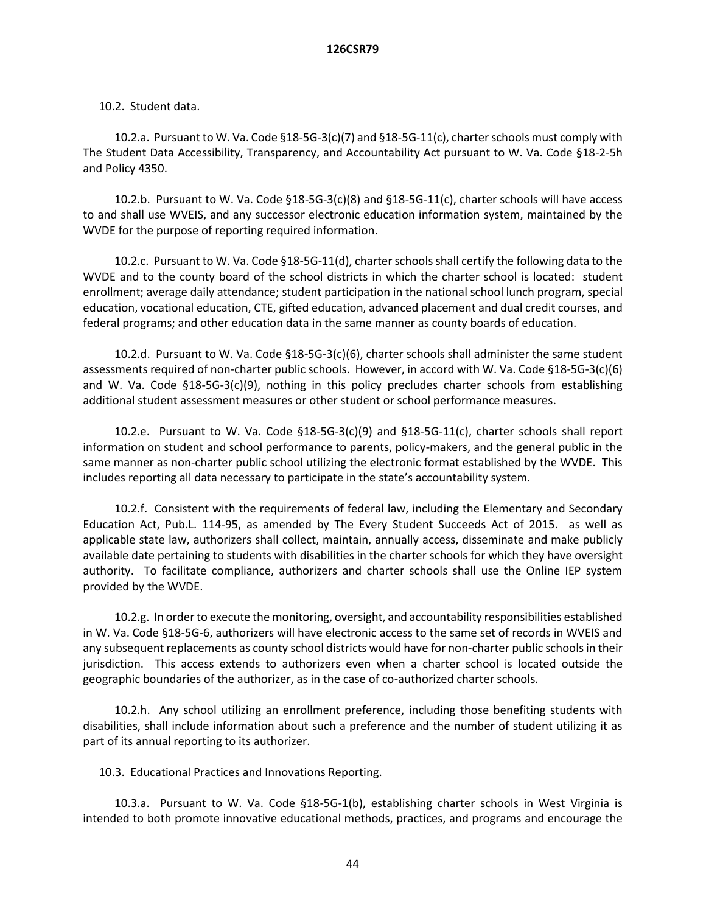### 10.2. Student data.

10.2.a. Pursuant to W. Va. Code §18-5G-3(c)(7) and §18-5G-11(c), charter schools must comply with The Student Data Accessibility, Transparency, and Accountability Act pursuant to W. Va. Code §18-2-5h and Policy 4350.

10.2.b. Pursuant to W. Va. Code §18-5G-3(c)(8) and §18-5G-11(c), charter schools will have access to and shall use WVEIS, and any successor electronic education information system, maintained by the WVDE for the purpose of reporting required information.

10.2.c. Pursuant to W. Va. Code §18-5G-11(d), charter schools shall certify the following data to the WVDE and to the county board of the school districts in which the charter school is located: student enrollment; average daily attendance; student participation in the national school lunch program, special education, vocational education, CTE, gifted education, advanced placement and dual credit courses, and federal programs; and other education data in the same manner as county boards of education.

10.2.d. Pursuant to W. Va. Code §18-5G-3(c)(6), charter schools shall administer the same student assessments required of non-charter public schools. However, in accord with W. Va. Code §18-5G-3(c)(6) and W. Va. Code  $\S18-5G-3(c)(9)$ , nothing in this policy precludes charter schools from establishing additional student assessment measures or other student or school performance measures.

10.2.e. Pursuant to W. Va. Code §18-5G-3(c)(9) and §18-5G-11(c), charter schools shall report information on student and school performance to parents, policy-makers, and the general public in the same manner as non-charter public school utilizing the electronic format established by the WVDE. This includes reporting all data necessary to participate in the state's accountability system.

10.2.f. Consistent with the requirements of federal law, including the Elementary and Secondary Education Act, Pub.L. 114-95, as amended by The Every Student Succeeds Act of 2015. as well as applicable state law, authorizers shall collect, maintain, annually access, disseminate and make publicly available date pertaining to students with disabilities in the charter schools for which they have oversight authority. To facilitate compliance, authorizers and charter schools shall use the Online IEP system provided by the WVDE.

10.2.g. In order to execute the monitoring, oversight, and accountability responsibilities established in W. Va. Code §18-5G-6, authorizers will have electronic access to the same set of records in WVEIS and any subsequent replacements as county school districts would have for non-charter public schools in their jurisdiction. This access extends to authorizers even when a charter school is located outside the geographic boundaries of the authorizer, as in the case of co-authorized charter schools.

10.2.h. Any school utilizing an enrollment preference, including those benefiting students with disabilities, shall include information about such a preference and the number of student utilizing it as part of its annual reporting to its authorizer.

10.3. Educational Practices and Innovations Reporting.

10.3.a. Pursuant to W. Va. Code §18-5G-1(b), establishing charter schools in West Virginia is intended to both promote innovative educational methods, practices, and programs and encourage the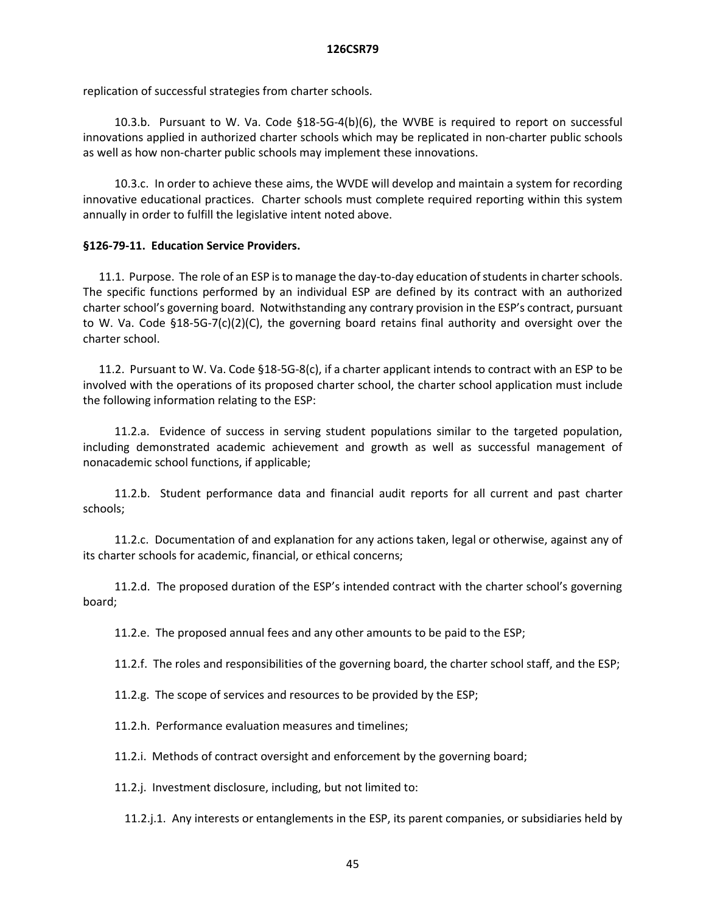replication of successful strategies from charter schools.

10.3.b. Pursuant to W. Va. Code §18-5G-4(b)(6), the WVBE is required to report on successful innovations applied in authorized charter schools which may be replicated in non-charter public schools as well as how non-charter public schools may implement these innovations.

10.3.c. In order to achieve these aims, the WVDE will develop and maintain a system for recording innovative educational practices. Charter schools must complete required reporting within this system annually in order to fulfill the legislative intent noted above.

### **§126-79-11. Education Service Providers.**

11.1. Purpose. The role of an ESP is to manage the day-to-day education of students in charter schools. The specific functions performed by an individual ESP are defined by its contract with an authorized charter school's governing board. Notwithstanding any contrary provision in the ESP's contract, pursuant to W. Va. Code §18-5G-7(c)(2)(C), the governing board retains final authority and oversight over the charter school.

11.2. Pursuant to W. Va. Code §18-5G-8(c), if a charter applicant intends to contract with an ESP to be involved with the operations of its proposed charter school, the charter school application must include the following information relating to the ESP:

11.2.a. Evidence of success in serving student populations similar to the targeted population, including demonstrated academic achievement and growth as well as successful management of nonacademic school functions, if applicable;

11.2.b. Student performance data and financial audit reports for all current and past charter schools;

11.2.c. Documentation of and explanation for any actions taken, legal or otherwise, against any of its charter schools for academic, financial, or ethical concerns;

11.2.d. The proposed duration of the ESP's intended contract with the charter school's governing board;

11.2.e. The proposed annual fees and any other amounts to be paid to the ESP;

11.2.f. The roles and responsibilities of the governing board, the charter school staff, and the ESP;

11.2.g. The scope of services and resources to be provided by the ESP;

11.2.h. Performance evaluation measures and timelines;

11.2.i. Methods of contract oversight and enforcement by the governing board;

11.2.j. Investment disclosure, including, but not limited to:

11.2.j.1. Any interests or entanglements in the ESP, its parent companies, or subsidiaries held by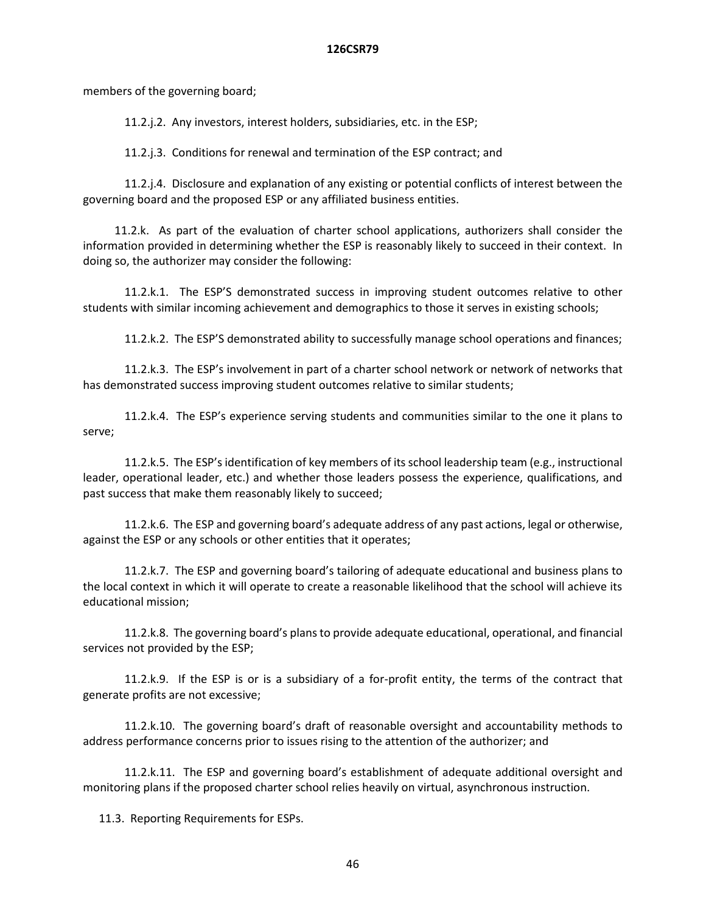members of the governing board;

11.2.j.2. Any investors, interest holders, subsidiaries, etc. in the ESP;

11.2.j.3. Conditions for renewal and termination of the ESP contract; and

11.2.j.4. Disclosure and explanation of any existing or potential conflicts of interest between the governing board and the proposed ESP or any affiliated business entities.

11.2.k. As part of the evaluation of charter school applications, authorizers shall consider the information provided in determining whether the ESP is reasonably likely to succeed in their context. In doing so, the authorizer may consider the following:

11.2.k.1. The ESP'S demonstrated success in improving student outcomes relative to other students with similar incoming achievement and demographics to those it serves in existing schools;

11.2.k.2. The ESP'S demonstrated ability to successfully manage school operations and finances;

11.2.k.3. The ESP's involvement in part of a charter school network or network of networks that has demonstrated success improving student outcomes relative to similar students;

11.2.k.4. The ESP's experience serving students and communities similar to the one it plans to serve;

11.2.k.5. The ESP's identification of key members of its school leadership team (e.g., instructional leader, operational leader, etc.) and whether those leaders possess the experience, qualifications, and past success that make them reasonably likely to succeed;

11.2.k.6. The ESP and governing board's adequate address of any past actions, legal or otherwise, against the ESP or any schools or other entities that it operates;

11.2.k.7. The ESP and governing board's tailoring of adequate educational and business plans to the local context in which it will operate to create a reasonable likelihood that the school will achieve its educational mission;

11.2.k.8. The governing board's plans to provide adequate educational, operational, and financial services not provided by the ESP;

11.2.k.9. If the ESP is or is a subsidiary of a for-profit entity, the terms of the contract that generate profits are not excessive;

11.2.k.10. The governing board's draft of reasonable oversight and accountability methods to address performance concerns prior to issues rising to the attention of the authorizer; and

11.2.k.11. The ESP and governing board's establishment of adequate additional oversight and monitoring plans if the proposed charter school relies heavily on virtual, asynchronous instruction.

11.3. Reporting Requirements for ESPs.

46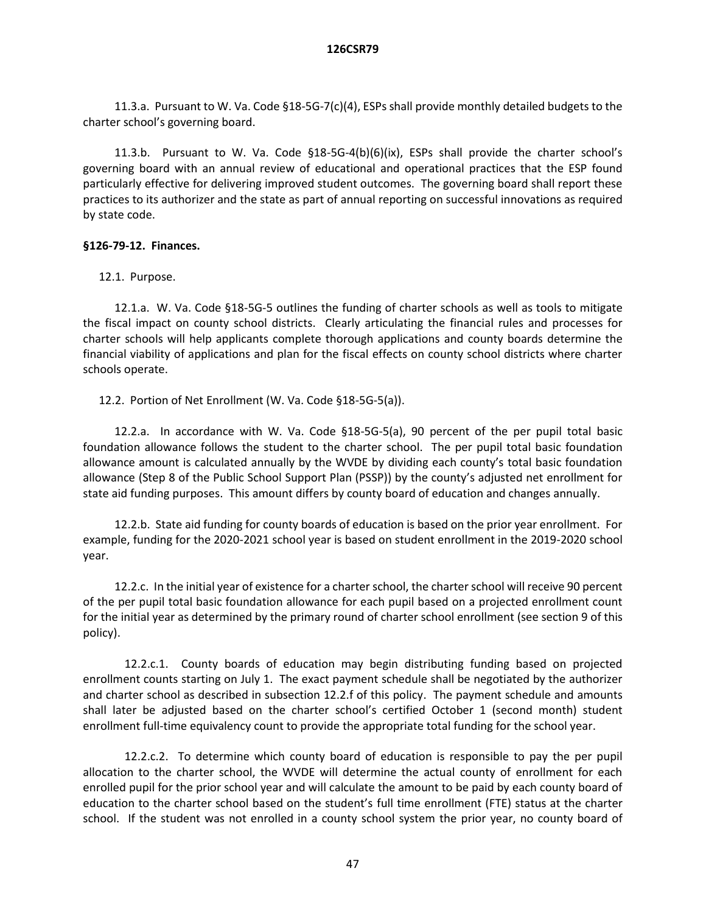11.3.a. Pursuant to W. Va. Code §18-5G-7(c)(4), ESPs shall provide monthly detailed budgets to the charter school's governing board.

11.3.b. Pursuant to W. Va. Code §18-5G-4(b)(6)(ix), ESPs shall provide the charter school's governing board with an annual review of educational and operational practices that the ESP found particularly effective for delivering improved student outcomes. The governing board shall report these practices to its authorizer and the state as part of annual reporting on successful innovations as required by state code.

# **§126-79-12. Finances.**

12.1. Purpose.

12.1.a. W. Va. Code §18-5G-5 outlines the funding of charter schools as well as tools to mitigate the fiscal impact on county school districts. Clearly articulating the financial rules and processes for charter schools will help applicants complete thorough applications and county boards determine the financial viability of applications and plan for the fiscal effects on county school districts where charter schools operate.

12.2. Portion of Net Enrollment (W. Va. Code §18-5G-5(a)).

12.2.a. In accordance with W. Va. Code §18-5G-5(a), 90 percent of the per pupil total basic foundation allowance follows the student to the charter school. The per pupil total basic foundation allowance amount is calculated annually by the WVDE by dividing each county's total basic foundation allowance (Step 8 of the Public School Support Plan (PSSP)) by the county's adjusted net enrollment for state aid funding purposes. This amount differs by county board of education and changes annually.

12.2.b. State aid funding for county boards of education is based on the prior year enrollment. For example, funding for the 2020-2021 school year is based on student enrollment in the 2019-2020 school year.

12.2.c. In the initial year of existence for a charter school, the charter school will receive 90 percent of the per pupil total basic foundation allowance for each pupil based on a projected enrollment count for the initial year as determined by the primary round of charter school enrollment (see section 9 of this policy).

12.2.c.1. County boards of education may begin distributing funding based on projected enrollment counts starting on July 1. The exact payment schedule shall be negotiated by the authorizer and charter school as described in subsection 12.2.f of this policy. The payment schedule and amounts shall later be adjusted based on the charter school's certified October 1 (second month) student enrollment full-time equivalency count to provide the appropriate total funding for the school year.

12.2.c.2. To determine which county board of education is responsible to pay the per pupil allocation to the charter school, the WVDE will determine the actual county of enrollment for each enrolled pupil for the prior school year and will calculate the amount to be paid by each county board of education to the charter school based on the student's full time enrollment (FTE) status at the charter school. If the student was not enrolled in a county school system the prior year, no county board of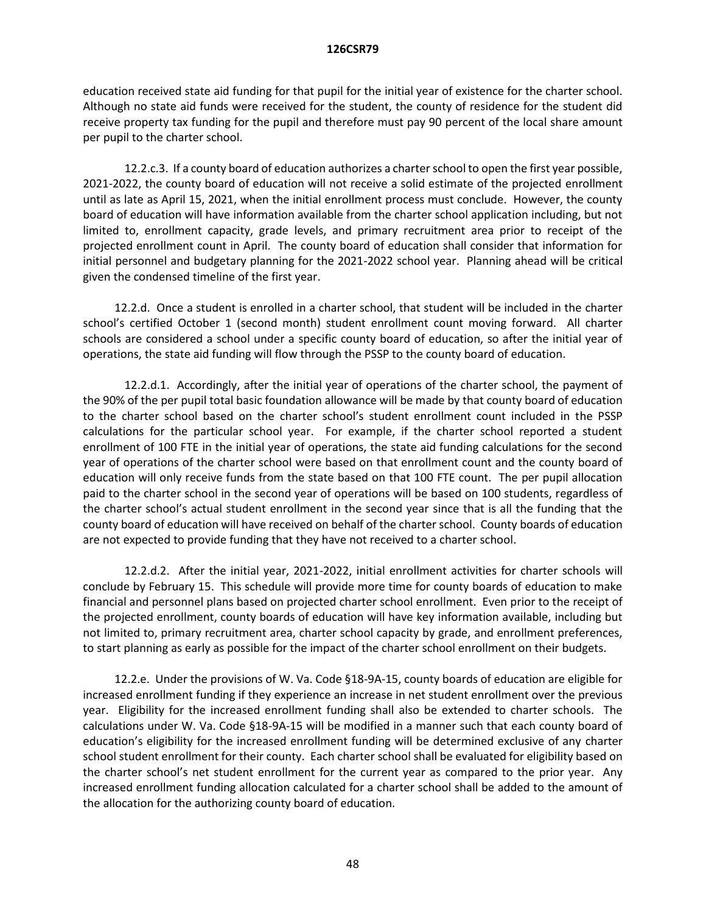education received state aid funding for that pupil for the initial year of existence for the charter school. Although no state aid funds were received for the student, the county of residence for the student did receive property tax funding for the pupil and therefore must pay 90 percent of the local share amount per pupil to the charter school.

12.2.c.3. If a county board of education authorizes a charter school to open the first year possible, 2021-2022, the county board of education will not receive a solid estimate of the projected enrollment until as late as April 15, 2021, when the initial enrollment process must conclude. However, the county board of education will have information available from the charter school application including, but not limited to, enrollment capacity, grade levels, and primary recruitment area prior to receipt of the projected enrollment count in April. The county board of education shall consider that information for initial personnel and budgetary planning for the 2021-2022 school year. Planning ahead will be critical given the condensed timeline of the first year.

12.2.d. Once a student is enrolled in a charter school, that student will be included in the charter school's certified October 1 (second month) student enrollment count moving forward. All charter schools are considered a school under a specific county board of education, so after the initial year of operations, the state aid funding will flow through the PSSP to the county board of education.

12.2.d.1. Accordingly, after the initial year of operations of the charter school, the payment of the 90% of the per pupil total basic foundation allowance will be made by that county board of education to the charter school based on the charter school's student enrollment count included in the PSSP calculations for the particular school year. For example, if the charter school reported a student enrollment of 100 FTE in the initial year of operations, the state aid funding calculations for the second year of operations of the charter school were based on that enrollment count and the county board of education will only receive funds from the state based on that 100 FTE count. The per pupil allocation paid to the charter school in the second year of operations will be based on 100 students, regardless of the charter school's actual student enrollment in the second year since that is all the funding that the county board of education will have received on behalf of the charter school. County boards of education are not expected to provide funding that they have not received to a charter school.

12.2.d.2. After the initial year, 2021-2022, initial enrollment activities for charter schools will conclude by February 15. This schedule will provide more time for county boards of education to make financial and personnel plans based on projected charter school enrollment. Even prior to the receipt of the projected enrollment, county boards of education will have key information available, including but not limited to, primary recruitment area, charter school capacity by grade, and enrollment preferences, to start planning as early as possible for the impact of the charter school enrollment on their budgets.

12.2.e. Under the provisions of W. Va. Code §18-9A-15, county boards of education are eligible for increased enrollment funding if they experience an increase in net student enrollment over the previous year. Eligibility for the increased enrollment funding shall also be extended to charter schools. The calculations under W. Va. Code §18-9A-15 will be modified in a manner such that each county board of education's eligibility for the increased enrollment funding will be determined exclusive of any charter school student enrollment for their county. Each charter school shall be evaluated for eligibility based on the charter school's net student enrollment for the current year as compared to the prior year. Any increased enrollment funding allocation calculated for a charter school shall be added to the amount of the allocation for the authorizing county board of education.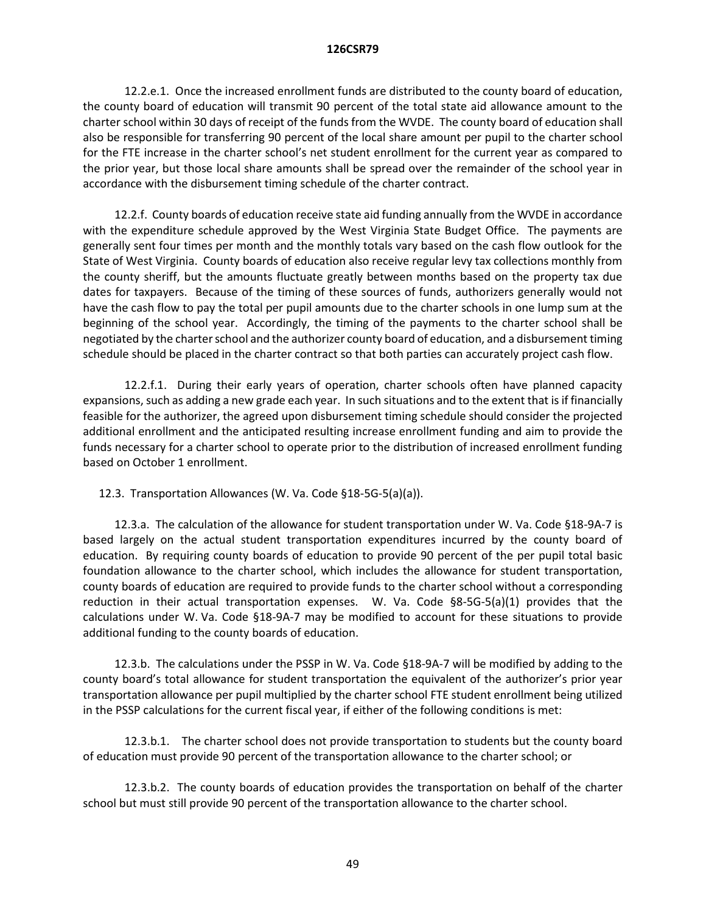12.2.e.1. Once the increased enrollment funds are distributed to the county board of education, the county board of education will transmit 90 percent of the total state aid allowance amount to the charter school within 30 days of receipt of the funds from the WVDE. The county board of education shall also be responsible for transferring 90 percent of the local share amount per pupil to the charter school for the FTE increase in the charter school's net student enrollment for the current year as compared to the prior year, but those local share amounts shall be spread over the remainder of the school year in accordance with the disbursement timing schedule of the charter contract.

12.2.f. County boards of education receive state aid funding annually from the WVDE in accordance with the expenditure schedule approved by the West Virginia State Budget Office. The payments are generally sent four times per month and the monthly totals vary based on the cash flow outlook for the State of West Virginia. County boards of education also receive regular levy tax collections monthly from the county sheriff, but the amounts fluctuate greatly between months based on the property tax due dates for taxpayers. Because of the timing of these sources of funds, authorizers generally would not have the cash flow to pay the total per pupil amounts due to the charter schools in one lump sum at the beginning of the school year. Accordingly, the timing of the payments to the charter school shall be negotiated by the charter school and the authorizer county board of education, and a disbursement timing schedule should be placed in the charter contract so that both parties can accurately project cash flow.

12.2.f.1. During their early years of operation, charter schools often have planned capacity expansions, such as adding a new grade each year. In such situations and to the extent that is if financially feasible for the authorizer, the agreed upon disbursement timing schedule should consider the projected additional enrollment and the anticipated resulting increase enrollment funding and aim to provide the funds necessary for a charter school to operate prior to the distribution of increased enrollment funding based on October 1 enrollment.

12.3. Transportation Allowances (W. Va. Code §18-5G-5(a)(a)).

12.3.a. The calculation of the allowance for student transportation under W. Va. Code §18-9A-7 is based largely on the actual student transportation expenditures incurred by the county board of education. By requiring county boards of education to provide 90 percent of the per pupil total basic foundation allowance to the charter school, which includes the allowance for student transportation, county boards of education are required to provide funds to the charter school without a corresponding reduction in their actual transportation expenses. W. Va. Code §8-5G-5(a)(1) provides that the calculations under W. Va. Code §18-9A-7 may be modified to account for these situations to provide additional funding to the county boards of education.

12.3.b. The calculations under the PSSP in W. Va. Code §18-9A-7 will be modified by adding to the county board's total allowance for student transportation the equivalent of the authorizer's prior year transportation allowance per pupil multiplied by the charter school FTE student enrollment being utilized in the PSSP calculations for the current fiscal year, if either of the following conditions is met:

12.3.b.1. The charter school does not provide transportation to students but the county board of education must provide 90 percent of the transportation allowance to the charter school; or

12.3.b.2. The county boards of education provides the transportation on behalf of the charter school but must still provide 90 percent of the transportation allowance to the charter school.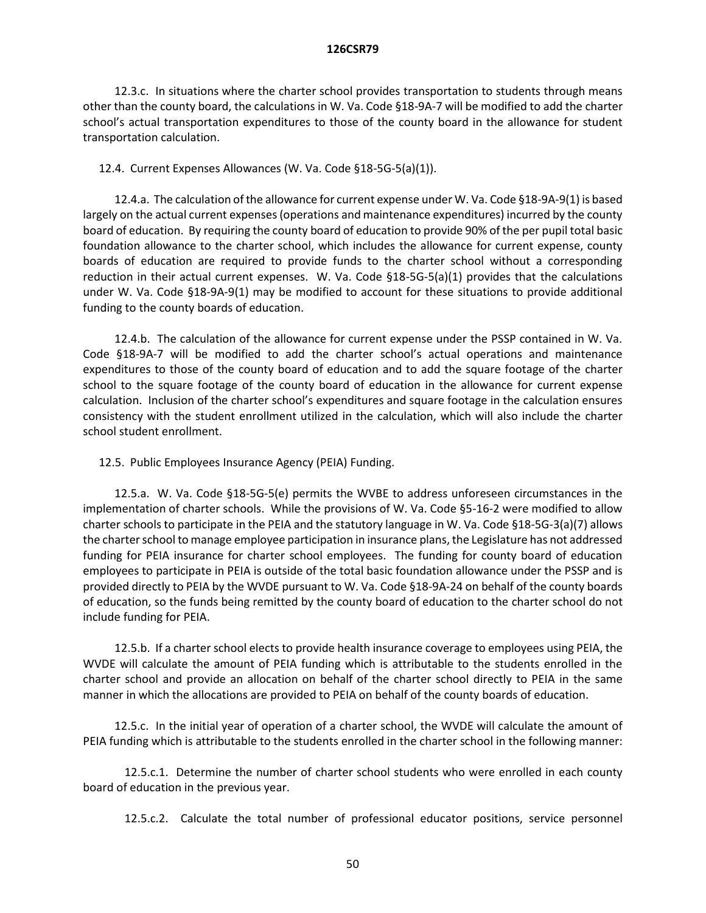12.3.c. In situations where the charter school provides transportation to students through means other than the county board, the calculations in W. Va. Code §18-9A-7 will be modified to add the charter school's actual transportation expenditures to those of the county board in the allowance for student transportation calculation.

### 12.4. Current Expenses Allowances (W. Va. Code §18-5G-5(a)(1)).

12.4.a. The calculation of the allowance for current expense under W. Va. Code §18-9A-9(1) is based largely on the actual current expenses (operations and maintenance expenditures) incurred by the county board of education. By requiring the county board of education to provide 90% of the per pupil total basic foundation allowance to the charter school, which includes the allowance for current expense, county boards of education are required to provide funds to the charter school without a corresponding reduction in their actual current expenses. W. Va. Code §18-5G-5(a)(1) provides that the calculations under W. Va. Code §18-9A-9(1) may be modified to account for these situations to provide additional funding to the county boards of education.

12.4.b. The calculation of the allowance for current expense under the PSSP contained in W. Va. Code §18-9A-7 will be modified to add the charter school's actual operations and maintenance expenditures to those of the county board of education and to add the square footage of the charter school to the square footage of the county board of education in the allowance for current expense calculation. Inclusion of the charter school's expenditures and square footage in the calculation ensures consistency with the student enrollment utilized in the calculation, which will also include the charter school student enrollment.

12.5. Public Employees Insurance Agency (PEIA) Funding.

12.5.a. W. Va. Code §18-5G-5(e) permits the WVBE to address unforeseen circumstances in the implementation of charter schools. While the provisions of W. Va. Code §5-16-2 were modified to allow charter schools to participate in the PEIA and the statutory language in W. Va. Code §18-5G-3(a)(7) allows the charter school to manage employee participation in insurance plans, the Legislature has not addressed funding for PEIA insurance for charter school employees. The funding for county board of education employees to participate in PEIA is outside of the total basic foundation allowance under the PSSP and is provided directly to PEIA by the WVDE pursuant to W. Va. Code §18-9A-24 on behalf of the county boards of education, so the funds being remitted by the county board of education to the charter school do not include funding for PEIA.

12.5.b. If a charter school elects to provide health insurance coverage to employees using PEIA, the WVDE will calculate the amount of PEIA funding which is attributable to the students enrolled in the charter school and provide an allocation on behalf of the charter school directly to PEIA in the same manner in which the allocations are provided to PEIA on behalf of the county boards of education.

12.5.c. In the initial year of operation of a charter school, the WVDE will calculate the amount of PEIA funding which is attributable to the students enrolled in the charter school in the following manner:

12.5.c.1. Determine the number of charter school students who were enrolled in each county board of education in the previous year.

12.5.c.2. Calculate the total number of professional educator positions, service personnel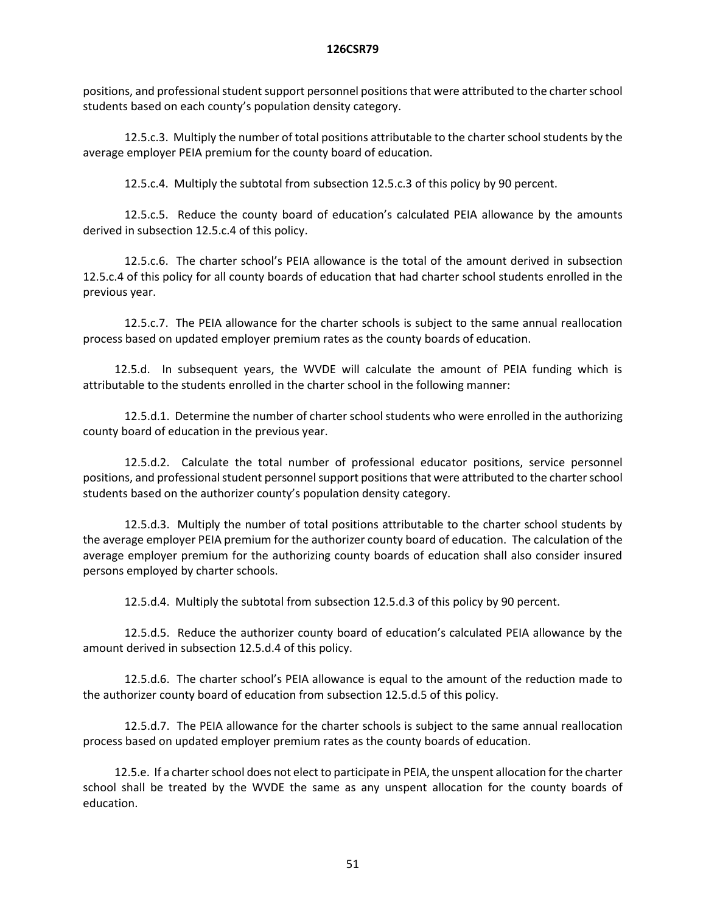positions, and professional student support personnel positions that were attributed to the charter school students based on each county's population density category.

12.5.c.3. Multiply the number of total positions attributable to the charter school students by the average employer PEIA premium for the county board of education.

12.5.c.4. Multiply the subtotal from subsection 12.5.c.3 of this policy by 90 percent.

12.5.c.5. Reduce the county board of education's calculated PEIA allowance by the amounts derived in subsection 12.5.c.4 of this policy.

12.5.c.6. The charter school's PEIA allowance is the total of the amount derived in subsection 12.5.c.4 of this policy for all county boards of education that had charter school students enrolled in the previous year.

12.5.c.7. The PEIA allowance for the charter schools is subject to the same annual reallocation process based on updated employer premium rates as the county boards of education.

12.5.d. In subsequent years, the WVDE will calculate the amount of PEIA funding which is attributable to the students enrolled in the charter school in the following manner:

12.5.d.1. Determine the number of charter school students who were enrolled in the authorizing county board of education in the previous year.

12.5.d.2. Calculate the total number of professional educator positions, service personnel positions, and professional student personnelsupport positions that were attributed to the charter school students based on the authorizer county's population density category.

12.5.d.3. Multiply the number of total positions attributable to the charter school students by the average employer PEIA premium for the authorizer county board of education. The calculation of the average employer premium for the authorizing county boards of education shall also consider insured persons employed by charter schools.

12.5.d.4. Multiply the subtotal from subsection 12.5.d.3 of this policy by 90 percent.

12.5.d.5. Reduce the authorizer county board of education's calculated PEIA allowance by the amount derived in subsection 12.5.d.4 of this policy.

12.5.d.6. The charter school's PEIA allowance is equal to the amount of the reduction made to the authorizer county board of education from subsection 12.5.d.5 of this policy.

12.5.d.7. The PEIA allowance for the charter schools is subject to the same annual reallocation process based on updated employer premium rates as the county boards of education.

12.5.e. If a charter school does not elect to participate in PEIA, the unspent allocation for the charter school shall be treated by the WVDE the same as any unspent allocation for the county boards of education.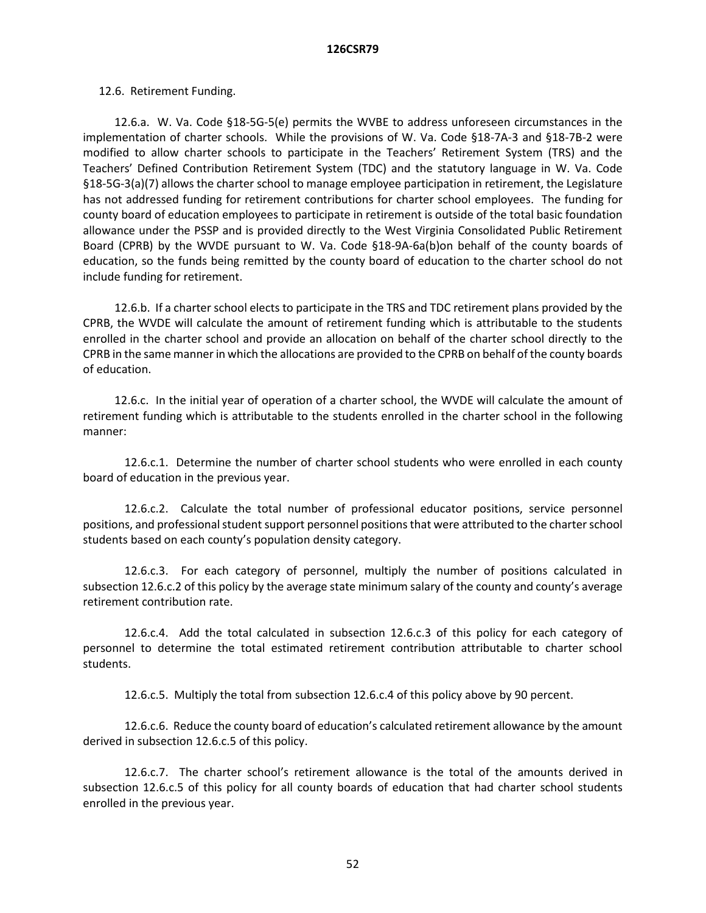### 12.6. Retirement Funding.

12.6.a. W. Va. Code §18-5G-5(e) permits the WVBE to address unforeseen circumstances in the implementation of charter schools. While the provisions of W. Va. Code §18-7A-3 and §18-7B-2 were modified to allow charter schools to participate in the Teachers' Retirement System (TRS) and the Teachers' Defined Contribution Retirement System (TDC) and the statutory language in W. Va. Code §18-5G-3(a)(7) allows the charter school to manage employee participation in retirement, the Legislature has not addressed funding for retirement contributions for charter school employees. The funding for county board of education employees to participate in retirement is outside of the total basic foundation allowance under the PSSP and is provided directly to the West Virginia Consolidated Public Retirement Board (CPRB) by the WVDE pursuant to W. Va. Code §18-9A-6a(b)on behalf of the county boards of education, so the funds being remitted by the county board of education to the charter school do not include funding for retirement.

12.6.b. If a charter school elects to participate in the TRS and TDC retirement plans provided by the CPRB, the WVDE will calculate the amount of retirement funding which is attributable to the students enrolled in the charter school and provide an allocation on behalf of the charter school directly to the CPRB in the same manner in which the allocations are provided to the CPRB on behalf of the county boards of education.

12.6.c. In the initial year of operation of a charter school, the WVDE will calculate the amount of retirement funding which is attributable to the students enrolled in the charter school in the following manner:

12.6.c.1. Determine the number of charter school students who were enrolled in each county board of education in the previous year.

12.6.c.2. Calculate the total number of professional educator positions, service personnel positions, and professional student support personnel positions that were attributed to the charter school students based on each county's population density category.

12.6.c.3. For each category of personnel, multiply the number of positions calculated in subsection 12.6.c.2 of this policy by the average state minimum salary of the county and county's average retirement contribution rate.

12.6.c.4. Add the total calculated in subsection 12.6.c.3 of this policy for each category of personnel to determine the total estimated retirement contribution attributable to charter school students.

12.6.c.5. Multiply the total from subsection 12.6.c.4 of this policy above by 90 percent.

12.6.c.6. Reduce the county board of education's calculated retirement allowance by the amount derived in subsection 12.6.c.5 of this policy.

12.6.c.7. The charter school's retirement allowance is the total of the amounts derived in subsection 12.6.c.5 of this policy for all county boards of education that had charter school students enrolled in the previous year.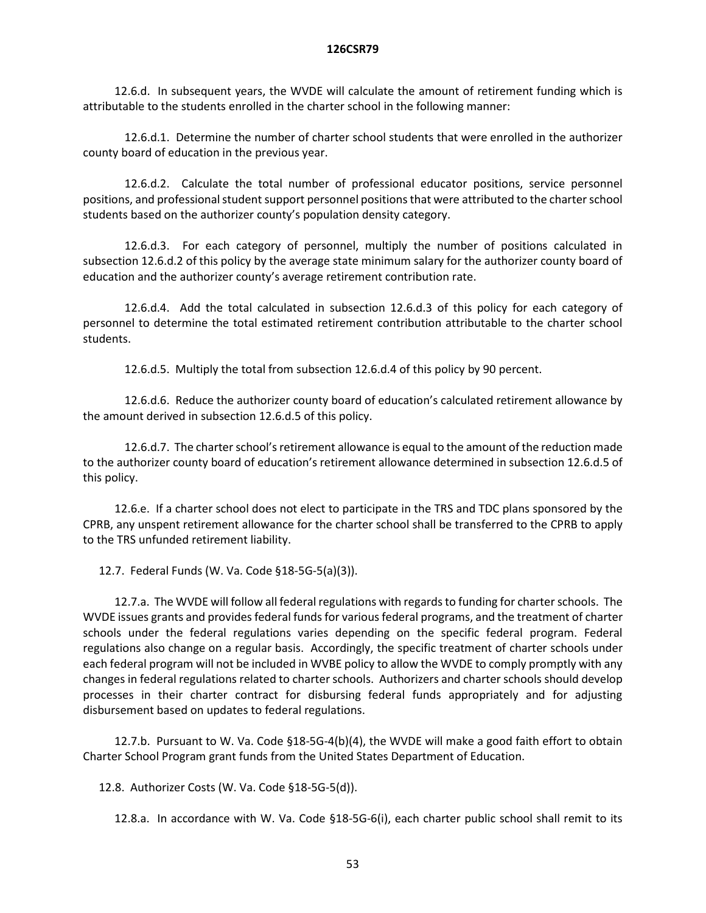12.6.d. In subsequent years, the WVDE will calculate the amount of retirement funding which is attributable to the students enrolled in the charter school in the following manner:

12.6.d.1. Determine the number of charter school students that were enrolled in the authorizer county board of education in the previous year.

12.6.d.2. Calculate the total number of professional educator positions, service personnel positions, and professional student support personnel positions that were attributed to the charter school students based on the authorizer county's population density category.

12.6.d.3. For each category of personnel, multiply the number of positions calculated in subsection 12.6.d.2 of this policy by the average state minimum salary for the authorizer county board of education and the authorizer county's average retirement contribution rate.

12.6.d.4. Add the total calculated in subsection 12.6.d.3 of this policy for each category of personnel to determine the total estimated retirement contribution attributable to the charter school students.

12.6.d.5. Multiply the total from subsection 12.6.d.4 of this policy by 90 percent.

12.6.d.6. Reduce the authorizer county board of education's calculated retirement allowance by the amount derived in subsection 12.6.d.5 of this policy.

12.6.d.7. The charter school's retirement allowance is equal to the amount of the reduction made to the authorizer county board of education's retirement allowance determined in subsection 12.6.d.5 of this policy.

12.6.e. If a charter school does not elect to participate in the TRS and TDC plans sponsored by the CPRB, any unspent retirement allowance for the charter school shall be transferred to the CPRB to apply to the TRS unfunded retirement liability.

12.7. Federal Funds (W. Va. Code §18-5G-5(a)(3)).

12.7.a. The WVDE will follow all federal regulations with regards to funding for charter schools. The WVDE issues grants and provides federal funds for various federal programs, and the treatment of charter schools under the federal regulations varies depending on the specific federal program. Federal regulations also change on a regular basis. Accordingly, the specific treatment of charter schools under each federal program will not be included in WVBE policy to allow the WVDE to comply promptly with any changes in federal regulations related to charter schools. Authorizers and charter schools should develop processes in their charter contract for disbursing federal funds appropriately and for adjusting disbursement based on updates to federal regulations.

12.7.b. Pursuant to W. Va. Code §18-5G-4(b)(4), the WVDE will make a good faith effort to obtain Charter School Program grant funds from the United States Department of Education.

12.8. Authorizer Costs (W. Va. Code §18-5G-5(d)).

12.8.a. In accordance with W. Va. Code §18-5G-6(i), each charter public school shall remit to its